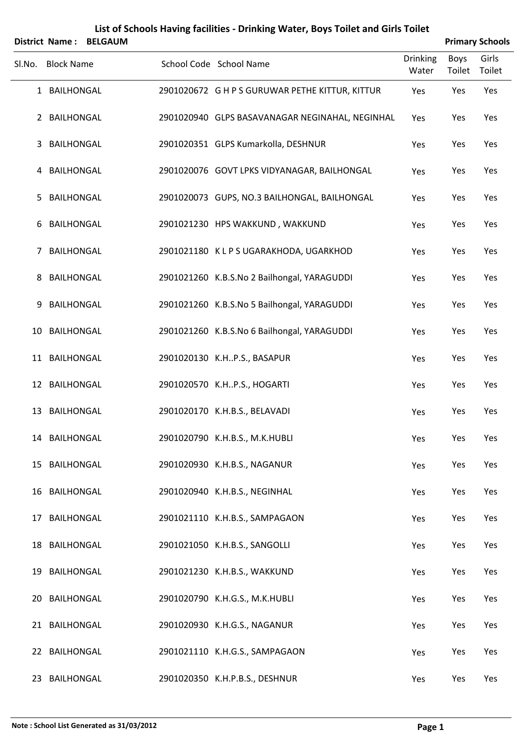|                | <b>District Name:</b> | <b>BELGAUM</b> |                                                 |                          |                | <b>Primary Schools</b> |
|----------------|-----------------------|----------------|-------------------------------------------------|--------------------------|----------------|------------------------|
| SI.No.         | <b>Block Name</b>     |                | School Code School Name                         | <b>Drinking</b><br>Water | Boys<br>Toilet | Girls<br>Toilet        |
|                | 1 BAILHONGAL          |                | 2901020672 G H P S GURUWAR PETHE KITTUR, KITTUR | Yes                      | Yes            | Yes                    |
|                | 2 BAILHONGAL          |                | 2901020940 GLPS BASAVANAGAR NEGINAHAL, NEGINHAL | Yes                      | Yes            | Yes                    |
| 3              | BAILHONGAL            |                | 2901020351 GLPS Kumarkolla, DESHNUR             | Yes                      | Yes            | Yes                    |
|                | 4 BAILHONGAL          |                | 2901020076 GOVT LPKS VIDYANAGAR, BAILHONGAL     | Yes                      | Yes            | Yes                    |
| 5              | BAILHONGAL            |                | 2901020073 GUPS, NO.3 BAILHONGAL, BAILHONGAL    | Yes                      | Yes            | Yes                    |
| 6              | BAILHONGAL            |                | 2901021230 HPS WAKKUND, WAKKUND                 | Yes                      | Yes            | Yes                    |
| $\overline{7}$ | BAILHONGAL            |                | 2901021180 KLPSUGARAKHODA, UGARKHOD             | Yes                      | Yes            | Yes                    |
| 8              | BAILHONGAL            |                | 2901021260 K.B.S.No 2 Bailhongal, YARAGUDDI     | Yes                      | Yes            | Yes                    |
| 9              | <b>BAILHONGAL</b>     |                | 2901021260 K.B.S.No 5 Bailhongal, YARAGUDDI     | Yes                      | Yes            | Yes                    |
|                | 10 BAILHONGAL         |                | 2901021260 K.B.S.No 6 Bailhongal, YARAGUDDI     | Yes                      | Yes            | Yes                    |
|                | 11 BAILHONGAL         |                | 2901020130 K.HP.S., BASAPUR                     | Yes                      | Yes            | Yes                    |
|                | 12 BAILHONGAL         |                | 2901020570 K.HP.S., HOGARTI                     | Yes                      | Yes            | Yes                    |
| 13             | BAILHONGAL            |                | 2901020170 K.H.B.S., BELAVADI                   | Yes                      | Yes            | Yes                    |
|                | 14 BAILHONGAL         |                | 2901020790 K.H.B.S., M.K.HUBLI                  | Yes                      | Yes            | Yes                    |
|                | 15 BAILHONGAL         |                | 2901020930 K.H.B.S., NAGANUR                    | Yes                      | Yes            | Yes                    |
|                | 16 BAILHONGAL         |                | 2901020940 K.H.B.S., NEGINHAL                   | Yes                      | Yes            | Yes                    |
|                | 17 BAILHONGAL         |                | 2901021110 K.H.B.S., SAMPAGAON                  | Yes                      | Yes            | Yes                    |
|                | 18 BAILHONGAL         |                | 2901021050 K.H.B.S., SANGOLLI                   | Yes                      | Yes            | Yes                    |
|                | 19 BAILHONGAL         |                | 2901021230 K.H.B.S., WAKKUND                    | Yes                      | Yes            | Yes                    |
| 20             | BAILHONGAL            |                | 2901020790 K.H.G.S., M.K.HUBLI                  | Yes                      | Yes            | Yes                    |
|                | 21 BAILHONGAL         |                | 2901020930 K.H.G.S., NAGANUR                    | Yes                      | Yes            | Yes                    |
|                | 22 BAILHONGAL         |                | 2901021110 K.H.G.S., SAMPAGAON                  | Yes                      | Yes            | Yes                    |
|                | 23 BAILHONGAL         |                | 2901020350 K.H.P.B.S., DESHNUR                  | Yes                      | Yes            | Yes                    |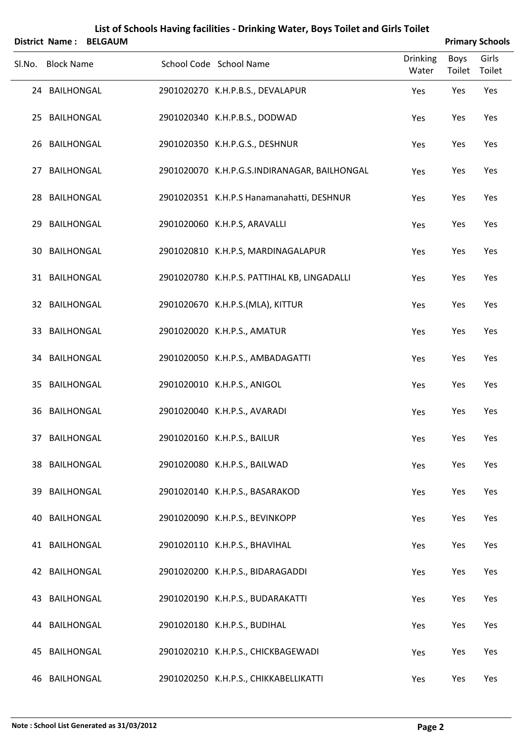|        |                   | District Name: BELGAUM |                                              |                          |                | <b>Primary Schools</b> |
|--------|-------------------|------------------------|----------------------------------------------|--------------------------|----------------|------------------------|
| SI.No. | <b>Block Name</b> |                        | School Code School Name                      | <b>Drinking</b><br>Water | Boys<br>Toilet | Girls<br>Toilet        |
|        | 24 BAILHONGAL     |                        | 2901020270 K.H.P.B.S., DEVALAPUR             | Yes                      | Yes            | Yes                    |
|        | 25 BAILHONGAL     |                        | 2901020340 K.H.P.B.S., DODWAD                | Yes                      | Yes            | Yes                    |
|        | 26 BAILHONGAL     |                        | 2901020350 K.H.P.G.S., DESHNUR               | Yes                      | Yes            | Yes                    |
|        | 27 BAILHONGAL     |                        | 2901020070 K.H.P.G.S.INDIRANAGAR, BAILHONGAL | Yes                      | Yes            | Yes                    |
|        | 28 BAILHONGAL     |                        | 2901020351 K.H.P.S Hanamanahatti, DESHNUR    | Yes                      | Yes            | Yes                    |
|        | 29 BAILHONGAL     |                        | 2901020060 K.H.P.S, ARAVALLI                 | Yes                      | Yes            | Yes                    |
|        | 30 BAILHONGAL     |                        | 2901020810 K.H.P.S, MARDINAGALAPUR           | Yes                      | Yes            | Yes                    |
|        | 31 BAILHONGAL     |                        | 2901020780 K.H.P.S. PATTIHAL KB, LINGADALLI  | Yes                      | Yes            | Yes                    |
|        | 32 BAILHONGAL     |                        | 2901020670 K.H.P.S.(MLA), KITTUR             | Yes                      | Yes            | Yes                    |
|        | 33 BAILHONGAL     |                        | 2901020020 K.H.P.S., AMATUR                  | Yes                      | Yes            | Yes                    |
|        | 34 BAILHONGAL     |                        | 2901020050 K.H.P.S., AMBADAGATTI             | Yes                      | Yes            | Yes                    |
|        | 35 BAILHONGAL     |                        | 2901020010 K.H.P.S., ANIGOL                  | Yes                      | Yes            | Yes                    |
|        | 36 BAILHONGAL     |                        | 2901020040 K.H.P.S., AVARADI                 | Yes                      | Yes            | Yes                    |
|        | 37 BAILHONGAL     |                        | 2901020160 K.H.P.S., BAILUR                  | Yes                      | Yes            | Yes                    |
|        | 38 BAILHONGAL     |                        | 2901020080 K.H.P.S., BAILWAD                 | Yes                      | Yes            | Yes                    |
|        | 39 BAILHONGAL     |                        | 2901020140 K.H.P.S., BASARAKOD               | Yes                      | Yes            | Yes                    |
|        | 40 BAILHONGAL     |                        | 2901020090 K.H.P.S., BEVINKOPP               | Yes                      | Yes            | Yes                    |
|        | 41 BAILHONGAL     |                        | 2901020110 K.H.P.S., BHAVIHAL                | Yes                      | Yes            | Yes                    |
|        | 42 BAILHONGAL     |                        | 2901020200 K.H.P.S., BIDARAGADDI             | Yes                      | Yes            | Yes                    |
|        | 43 BAILHONGAL     |                        | 2901020190 K.H.P.S., BUDARAKATTI             | Yes                      | Yes            | Yes                    |
|        | 44 BAILHONGAL     |                        | 2901020180 K.H.P.S., BUDIHAL                 | Yes                      | Yes            | Yes                    |
|        | 45 BAILHONGAL     |                        | 2901020210 K.H.P.S., CHICKBAGEWADI           | Yes                      | Yes            | Yes                    |
|        | 46 BAILHONGAL     |                        | 2901020250 K.H.P.S., CHIKKABELLIKATTI        | Yes                      | Yes            | Yes                    |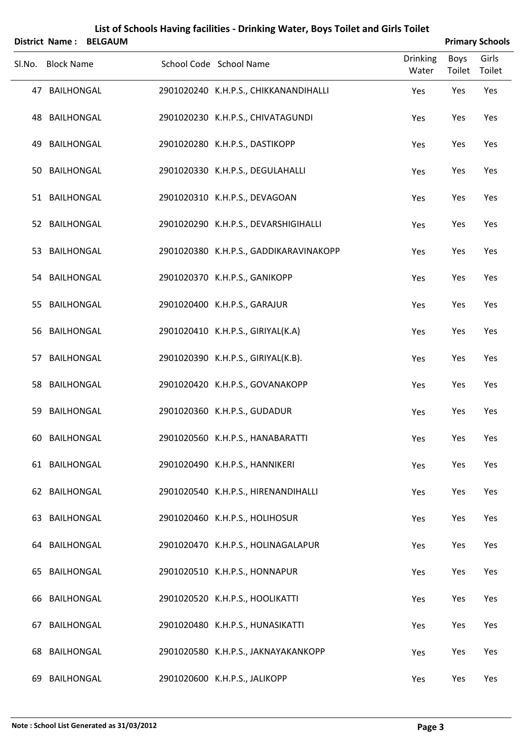|        |                   | District Name: BELGAUM |                                        |                          |                | <b>Primary Schools</b> |
|--------|-------------------|------------------------|----------------------------------------|--------------------------|----------------|------------------------|
| SI.No. | <b>Block Name</b> |                        | School Code School Name                | <b>Drinking</b><br>Water | Boys<br>Toilet | Girls<br>Toilet        |
|        | 47 BAILHONGAL     |                        | 2901020240 K.H.P.S., CHIKKANANDIHALLI  | Yes                      | Yes            | Yes                    |
|        | 48 BAILHONGAL     |                        | 2901020230 K.H.P.S., CHIVATAGUNDI      | Yes                      | Yes            | Yes                    |
|        | 49 BAILHONGAL     |                        | 2901020280 K.H.P.S., DASTIKOPP         | Yes                      | Yes            | Yes                    |
|        | 50 BAILHONGAL     |                        | 2901020330 K.H.P.S., DEGULAHALLI       | Yes                      | Yes            | Yes                    |
|        | 51 BAILHONGAL     |                        | 2901020310 K.H.P.S., DEVAGOAN          | Yes                      | Yes            | Yes                    |
|        | 52 BAILHONGAL     |                        | 2901020290 K.H.P.S., DEVARSHIGIHALLI   | Yes                      | Yes            | Yes                    |
|        | 53 BAILHONGAL     |                        | 2901020380 K.H.P.S., GADDIKARAVINAKOPP | Yes                      | Yes            | Yes                    |
|        | 54 BAILHONGAL     |                        | 2901020370 K.H.P.S., GANIKOPP          | Yes                      | Yes            | Yes                    |
|        | 55 BAILHONGAL     |                        | 2901020400 K.H.P.S., GARAJUR           | Yes                      | Yes            | Yes                    |
|        | 56 BAILHONGAL     |                        | 2901020410 K.H.P.S., GIRIYAL(K.A)      | Yes                      | Yes            | Yes                    |
|        | 57 BAILHONGAL     |                        | 2901020390 K.H.P.S., GIRIYAL(K.B).     | Yes                      | Yes            | Yes                    |
|        | 58 BAILHONGAL     |                        | 2901020420 K.H.P.S., GOVANAKOPP        | Yes                      | Yes            | Yes                    |
|        | 59 BAILHONGAL     |                        | 2901020360 K.H.P.S., GUDADUR           | Yes                      | Yes            | Yes                    |
|        | 60 BAILHONGAL     |                        | 2901020560 K.H.P.S., HANABARATTI       | Yes                      | Yes            | Yes                    |
|        | 61 BAILHONGAL     |                        | 2901020490 K.H.P.S., HANNIKERI         | Yes                      | Yes            | Yes                    |
|        | 62 BAILHONGAL     |                        | 2901020540 K.H.P.S., HIRENANDIHALLI    | Yes                      | Yes            | Yes                    |
|        | 63 BAILHONGAL     |                        | 2901020460 K.H.P.S., HOLIHOSUR         | Yes                      | Yes            | Yes                    |
|        | 64 BAILHONGAL     |                        | 2901020470 K.H.P.S., HOLINAGALAPUR     | Yes                      | Yes            | Yes                    |
|        | 65 BAILHONGAL     |                        | 2901020510 K.H.P.S., HONNAPUR          | Yes                      | Yes            | Yes                    |
|        | 66 BAILHONGAL     |                        | 2901020520 K.H.P.S., HOOLIKATTI        | Yes                      | Yes            | Yes                    |
|        | 67 BAILHONGAL     |                        | 2901020480 K.H.P.S., HUNASIKATTI       | Yes                      | Yes            | Yes                    |
|        | 68 BAILHONGAL     |                        | 2901020580 K.H.P.S., JAKNAYAKANKOPP    | Yes                      | Yes            | Yes                    |
|        | 69 BAILHONGAL     |                        | 2901020600 K.H.P.S., JALIKOPP          | Yes                      | Yes            | Yes                    |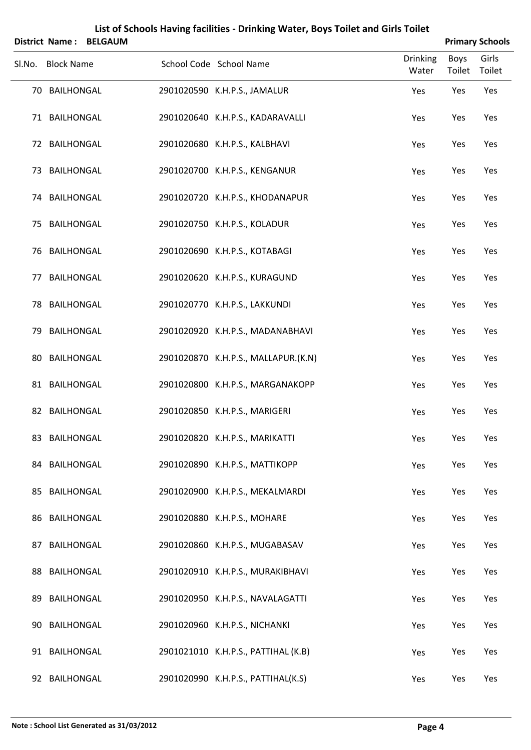|        | <b>District Name:</b> | <b>BELGAUM</b> |                                     |                          |                | <b>Primary Schools</b> |
|--------|-----------------------|----------------|-------------------------------------|--------------------------|----------------|------------------------|
| SI.No. | <b>Block Name</b>     |                | School Code School Name             | <b>Drinking</b><br>Water | Boys<br>Toilet | Girls<br>Toilet        |
|        | 70 BAILHONGAL         |                | 2901020590 K.H.P.S., JAMALUR        | Yes                      | Yes            | Yes                    |
|        | 71 BAILHONGAL         |                | 2901020640 K.H.P.S., KADARAVALLI    | Yes                      | Yes            | Yes                    |
|        | 72 BAILHONGAL         |                | 2901020680 K.H.P.S., KALBHAVI       | Yes                      | Yes            | Yes                    |
|        | 73 BAILHONGAL         |                | 2901020700 K.H.P.S., KENGANUR       | Yes                      | Yes            | Yes                    |
|        | 74 BAILHONGAL         |                | 2901020720 K.H.P.S., KHODANAPUR     | Yes                      | Yes            | Yes                    |
|        | 75 BAILHONGAL         |                | 2901020750 K.H.P.S., KOLADUR        | Yes                      | Yes            | Yes                    |
|        | 76 BAILHONGAL         |                | 2901020690 K.H.P.S., KOTABAGI       | Yes                      | Yes            | Yes                    |
|        | 77 BAILHONGAL         |                | 2901020620 K.H.P.S., KURAGUND       | Yes                      | Yes            | Yes                    |
|        | 78 BAILHONGAL         |                | 2901020770 K.H.P.S., LAKKUNDI       | Yes                      | Yes            | Yes                    |
|        | 79 BAILHONGAL         |                | 2901020920 K.H.P.S., MADANABHAVI    | Yes                      | Yes            | Yes                    |
| 80     | BAILHONGAL            |                | 2901020870 K.H.P.S., MALLAPUR.(K.N) | Yes                      | Yes            | Yes                    |
|        | 81 BAILHONGAL         |                | 2901020800 K.H.P.S., MARGANAKOPP    | Yes                      | Yes            | Yes                    |
|        | 82 BAILHONGAL         |                | 2901020850 K.H.P.S., MARIGERI       | Yes                      | Yes            | Yes                    |
|        | 83 BAILHONGAL         |                | 2901020820 K.H.P.S., MARIKATTI      | Yes                      | Yes            | Yes                    |
|        | 84 BAILHONGAL         |                | 2901020890 K.H.P.S., MATTIKOPP      | Yes                      | Yes            | Yes                    |
|        | 85 BAILHONGAL         |                | 2901020900 K.H.P.S., MEKALMARDI     | Yes                      | Yes            | Yes                    |
|        | 86 BAILHONGAL         |                | 2901020880 K.H.P.S., MOHARE         | Yes                      | Yes            | Yes                    |
|        | 87 BAILHONGAL         |                | 2901020860 K.H.P.S., MUGABASAV      | Yes                      | Yes            | Yes                    |
|        | 88 BAILHONGAL         |                | 2901020910 K.H.P.S., MURAKIBHAVI    | Yes                      | Yes            | Yes                    |
|        | 89 BAILHONGAL         |                | 2901020950 K.H.P.S., NAVALAGATTI    | Yes                      | Yes            | Yes                    |
|        | 90 BAILHONGAL         |                | 2901020960 K.H.P.S., NICHANKI       | Yes                      | Yes            | Yes                    |
|        | 91 BAILHONGAL         |                | 2901021010 K.H.P.S., PATTIHAL (K.B) | Yes                      | Yes            | Yes                    |
|        | 92 BAILHONGAL         |                | 2901020990 K.H.P.S., PATTIHAL(K.S)  | Yes                      | Yes            | Yes                    |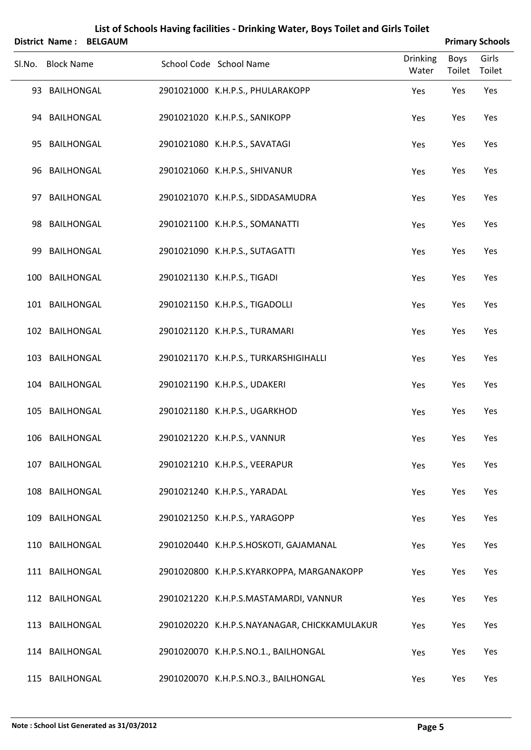|    | <b>District Name:</b> | <b>BELGAUM</b> |                                              |                          |                | <b>Primary Schools</b> |
|----|-----------------------|----------------|----------------------------------------------|--------------------------|----------------|------------------------|
|    | Sl.No. Block Name     |                | School Code School Name                      | <b>Drinking</b><br>Water | Boys<br>Toilet | Girls<br>Toilet        |
|    | 93 BAILHONGAL         |                | 2901021000 K.H.P.S., PHULARAKOPP             | Yes                      | Yes            | Yes                    |
|    | 94 BAILHONGAL         |                | 2901021020 K.H.P.S., SANIKOPP                | Yes                      | Yes            | Yes                    |
|    | 95 BAILHONGAL         |                | 2901021080 K.H.P.S., SAVATAGI                | Yes                      | Yes            | Yes                    |
|    | 96 BAILHONGAL         |                | 2901021060 K.H.P.S., SHIVANUR                | Yes                      | Yes            | Yes                    |
|    | 97 BAILHONGAL         |                | 2901021070 K.H.P.S., SIDDASAMUDRA            | Yes                      | Yes            | Yes                    |
|    | 98 BAILHONGAL         |                | 2901021100 K.H.P.S., SOMANATTI               | Yes                      | Yes            | Yes                    |
| 99 | <b>BAILHONGAL</b>     |                | 2901021090 K.H.P.S., SUTAGATTI               | Yes                      | Yes            | Yes                    |
|    | 100 BAILHONGAL        |                | 2901021130 K.H.P.S., TIGADI                  | Yes                      | Yes            | Yes                    |
|    | 101 BAILHONGAL        |                | 2901021150 K.H.P.S., TIGADOLLI               | Yes                      | Yes            | Yes                    |
|    | 102 BAILHONGAL        |                | 2901021120 K.H.P.S., TURAMARI                | Yes                      | Yes            | Yes                    |
|    | 103 BAILHONGAL        |                | 2901021170 K.H.P.S., TURKARSHIGIHALLI        | Yes                      | Yes            | Yes                    |
|    | 104 BAILHONGAL        |                | 2901021190 K.H.P.S., UDAKERI                 | Yes                      | Yes            | Yes                    |
|    | 105 BAILHONGAL        |                | 2901021180 K.H.P.S., UGARKHOD                | Yes                      | Yes            | Yes                    |
|    | 106 BAILHONGAL        |                | 2901021220 K.H.P.S., VANNUR                  | Yes                      | Yes            | Yes                    |
|    | 107 BAILHONGAL        |                | 2901021210 K.H.P.S., VEERAPUR                | Yes                      | Yes            | Yes                    |
|    | 108 BAILHONGAL        |                | 2901021240 K.H.P.S., YARADAL                 | Yes                      | Yes            | Yes                    |
|    | 109 BAILHONGAL        |                | 2901021250 K.H.P.S., YARAGOPP                | Yes                      | Yes            | Yes                    |
|    | 110 BAILHONGAL        |                | 2901020440 K.H.P.S.HOSKOTI, GAJAMANAL        | Yes                      | Yes            | Yes                    |
|    | 111 BAILHONGAL        |                | 2901020800 K.H.P.S.KYARKOPPA, MARGANAKOPP    | Yes                      | Yes            | Yes                    |
|    | 112 BAILHONGAL        |                | 2901021220 K.H.P.S.MASTAMARDI, VANNUR        | Yes                      | Yes            | Yes                    |
|    | 113 BAILHONGAL        |                | 2901020220 K.H.P.S.NAYANAGAR, CHICKKAMULAKUR | Yes                      | Yes            | Yes                    |
|    | 114 BAILHONGAL        |                | 2901020070 K.H.P.S.NO.1., BAILHONGAL         | Yes                      | Yes            | Yes                    |
|    | 115 BAILHONGAL        |                | 2901020070 K.H.P.S.NO.3., BAILHONGAL         | Yes                      | Yes            | Yes                    |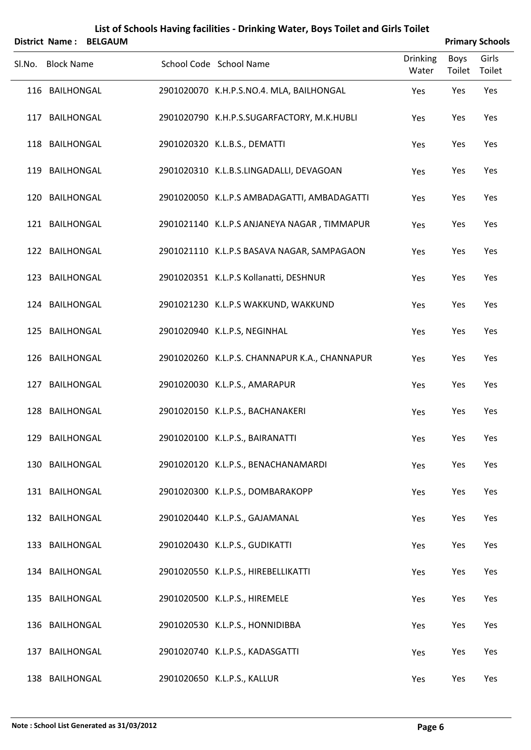|        | <b>District Name:</b> | <b>BELGAUM</b> |                                               |                          |                | <b>Primary Schools</b> |
|--------|-----------------------|----------------|-----------------------------------------------|--------------------------|----------------|------------------------|
| Sl.No. | <b>Block Name</b>     |                | School Code School Name                       | <b>Drinking</b><br>Water | Boys<br>Toilet | Girls<br>Toilet        |
|        | 116 BAILHONGAL        |                | 2901020070 K.H.P.S.NO.4. MLA, BAILHONGAL      | Yes                      | Yes            | Yes                    |
|        | 117 BAILHONGAL        |                | 2901020790 K.H.P.S.SUGARFACTORY, M.K.HUBLI    | Yes                      | Yes            | Yes                    |
|        | 118 BAILHONGAL        |                | 2901020320 K.L.B.S., DEMATTI                  | Yes                      | Yes            | Yes                    |
|        | 119 BAILHONGAL        |                | 2901020310 K.L.B.S.LINGADALLI, DEVAGOAN       | Yes                      | Yes            | Yes                    |
|        | 120 BAILHONGAL        |                | 2901020050 K.L.P.S AMBADAGATTI, AMBADAGATTI   | Yes                      | Yes            | Yes                    |
|        | 121 BAILHONGAL        |                | 2901021140 K.L.P.S ANJANEYA NAGAR, TIMMAPUR   | Yes                      | Yes            | Yes                    |
|        | 122 BAILHONGAL        |                | 2901021110 K.L.P.S BASAVA NAGAR, SAMPAGAON    | Yes                      | Yes            | Yes                    |
|        | 123 BAILHONGAL        |                | 2901020351 K.L.P.S Kollanatti, DESHNUR        | Yes                      | Yes            | Yes                    |
|        | 124 BAILHONGAL        |                | 2901021230 K.L.P.S WAKKUND, WAKKUND           | Yes                      | Yes            | Yes                    |
|        | 125 BAILHONGAL        |                | 2901020940 K.L.P.S, NEGINHAL                  | Yes                      | Yes            | Yes                    |
|        | 126 BAILHONGAL        |                | 2901020260 K.L.P.S. CHANNAPUR K.A., CHANNAPUR | Yes                      | Yes            | Yes                    |
|        | 127 BAILHONGAL        |                | 2901020030 K.L.P.S., AMARAPUR                 | Yes                      | Yes            | Yes                    |
|        | 128 BAILHONGAL        |                | 2901020150 K.L.P.S., BACHANAKERI              | Yes                      | Yes            | Yes                    |
|        | 129 BAILHONGAL        |                | 2901020100 K.L.P.S., BAIRANATTI               | Yes                      | Yes            | Yes                    |
|        | 130 BAILHONGAL        |                | 2901020120 K.L.P.S., BENACHANAMARDI           | Yes                      | Yes            | Yes                    |
|        | 131 BAILHONGAL        |                | 2901020300 K.L.P.S., DOMBARAKOPP              | Yes                      | Yes            | Yes                    |
|        | 132 BAILHONGAL        |                | 2901020440 K.L.P.S., GAJAMANAL                | Yes                      | Yes            | Yes                    |
|        | 133 BAILHONGAL        |                | 2901020430 K.L.P.S., GUDIKATTI                | Yes                      | Yes            | Yes                    |
|        | 134 BAILHONGAL        |                | 2901020550 K.L.P.S., HIREBELLIKATTI           | Yes                      | Yes            | Yes                    |
|        | 135 BAILHONGAL        |                | 2901020500 K.L.P.S., HIREMELE                 | Yes                      | Yes            | Yes                    |
|        | 136 BAILHONGAL        |                | 2901020530 K.L.P.S., HONNIDIBBA               | Yes                      | Yes            | Yes                    |
|        | 137 BAILHONGAL        |                | 2901020740 K.L.P.S., KADASGATTI               | Yes                      | Yes            | Yes                    |
|        | 138 BAILHONGAL        |                | 2901020650 K.L.P.S., KALLUR                   | Yes                      | Yes            | Yes                    |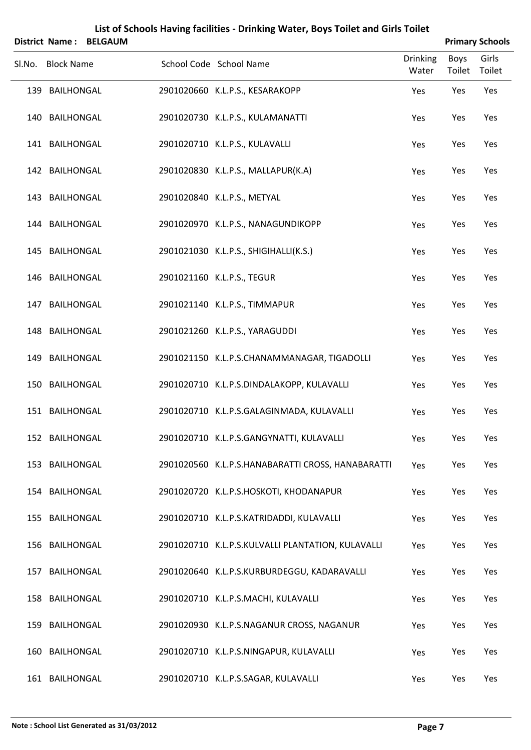|        |                   | District Name: BELGAUM |                                                   |                          |                | <b>Primary Schools</b> |
|--------|-------------------|------------------------|---------------------------------------------------|--------------------------|----------------|------------------------|
| SI.No. | <b>Block Name</b> |                        | School Code School Name                           | <b>Drinking</b><br>Water | Boys<br>Toilet | Girls<br>Toilet        |
|        | 139 BAILHONGAL    |                        | 2901020660 K.L.P.S., KESARAKOPP                   | Yes                      | Yes            | Yes                    |
|        | 140 BAILHONGAL    |                        | 2901020730 K.L.P.S., KULAMANATTI                  | Yes                      | Yes            | Yes                    |
|        | 141 BAILHONGAL    |                        | 2901020710 K.L.P.S., KULAVALLI                    | Yes                      | Yes            | Yes                    |
|        | 142 BAILHONGAL    |                        | 2901020830 K.L.P.S., MALLAPUR(K.A)                | Yes                      | Yes            | Yes                    |
|        | 143 BAILHONGAL    |                        | 2901020840 K.L.P.S., METYAL                       | Yes                      | Yes            | Yes                    |
|        | 144 BAILHONGAL    |                        | 2901020970 K.L.P.S., NANAGUNDIKOPP                | Yes                      | Yes            | Yes                    |
|        | 145 BAILHONGAL    |                        | 2901021030 K.L.P.S., SHIGIHALLI(K.S.)             | Yes                      | Yes            | Yes                    |
|        | 146 BAILHONGAL    |                        | 2901021160 K.L.P.S., TEGUR                        | Yes                      | Yes            | Yes                    |
|        | 147 BAILHONGAL    |                        | 2901021140 K.L.P.S., TIMMAPUR                     | Yes                      | Yes            | Yes                    |
|        | 148 BAILHONGAL    |                        | 2901021260 K.L.P.S., YARAGUDDI                    | Yes                      | Yes            | Yes                    |
|        | 149 BAILHONGAL    |                        | 2901021150 K.L.P.S.CHANAMMANAGAR, TIGADOLLI       | Yes                      | Yes            | Yes                    |
|        | 150 BAILHONGAL    |                        | 2901020710 K.L.P.S.DINDALAKOPP, KULAVALLI         | Yes                      | Yes            | Yes                    |
|        | 151 BAILHONGAL    |                        | 2901020710 K.L.P.S.GALAGINMADA, KULAVALLI         | Yes                      | Yes            | Yes                    |
|        | 152 BAILHONGAL    |                        | 2901020710 K.L.P.S.GANGYNATTI, KULAVALLI          | Yes                      | Yes            | Yes                    |
|        | 153 BAILHONGAL    |                        | 2901020560 K.L.P.S.HANABARATTI CROSS, HANABARATTI | Yes                      | Yes            | Yes                    |
|        | 154 BAILHONGAL    |                        | 2901020720 K.L.P.S.HOSKOTI, KHODANAPUR            | Yes                      | Yes            | Yes                    |
|        | 155 BAILHONGAL    |                        | 2901020710 K.L.P.S.KATRIDADDI, KULAVALLI          | Yes                      | Yes            | Yes                    |
|        | 156 BAILHONGAL    |                        | 2901020710 K.L.P.S.KULVALLI PLANTATION, KULAVALLI | Yes                      | Yes            | Yes                    |
|        | 157 BAILHONGAL    |                        | 2901020640 K.L.P.S.KURBURDEGGU, KADARAVALLI       | Yes                      | Yes            | Yes                    |
|        | 158 BAILHONGAL    |                        | 2901020710 K.L.P.S.MACHI, KULAVALLI               | Yes                      | Yes            | Yes                    |
|        | 159 BAILHONGAL    |                        | 2901020930 K.L.P.S.NAGANUR CROSS, NAGANUR         | Yes                      | Yes            | Yes                    |
|        | 160 BAILHONGAL    |                        | 2901020710 K.L.P.S.NINGAPUR, KULAVALLI            | Yes                      | Yes            | Yes                    |
|        | 161 BAILHONGAL    |                        | 2901020710 K.L.P.S.SAGAR, KULAVALLI               | Yes                      | Yes            | Yes                    |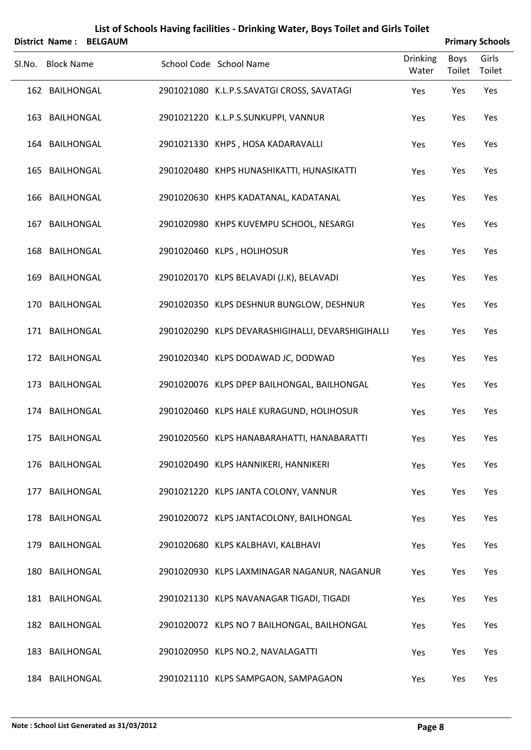| <b>District Name:</b> | <b>BELGAUM</b> | List of Schools Having facilities - Drinking Water, Boys Toilet and Girls Toilet |                          |                       | <b>Primary Schools</b> |
|-----------------------|----------------|----------------------------------------------------------------------------------|--------------------------|-----------------------|------------------------|
| Sl.No. Block Name     |                | School Code School Name                                                          | <b>Drinking</b><br>Water | <b>Boys</b><br>Toilet | Girls<br>Toilet        |
| 162 BAILHONGAL        |                | 2901021080 K.L.P.S.SAVATGI CROSS, SAVATAGI                                       | Yes                      | Yes                   | Yes                    |
| 163 BAILHONGAL        |                | 2901021220 K.L.P.S.SUNKUPPI, VANNUR                                              | Yes                      | Yes                   | Yes                    |
| 164 BAILHONGAL        |                | 2901021330 KHPS, HOSA KADARAVALLI                                                | Yes                      | Yes                   | Yes                    |
| 165 BAILHONGAL        |                | 2901020480 KHPS HUNASHIKATTI, HUNASIKATTI                                        | Yes                      | Yes                   | Yes                    |
| 166 BAILHONGAL        |                | 2901020630 KHPS KADATANAL, KADATANAL                                             | Yes                      | Yes                   | Yes                    |
| 167 BAILHONGAL        |                | 2901020980 KHPS KUVEMPU SCHOOL, NESARGI                                          | Yes                      | Yes                   | Yes                    |
| 168 BAILHONGAL        |                | 2901020460 KLPS, HOLIHOSUR                                                       | Yes                      | Yes                   | Yes                    |
| 169 BAILHONGAL        |                | 2901020170 KLPS BELAVADI (J.K), BELAVADI                                         | Yes                      | Yes                   | Yes                    |
| 170 BAILHONGAL        |                | 2901020350 KLPS DESHNUR BUNGLOW, DESHNUR                                         | Yes                      | Yes                   | Yes                    |
| 171 BAILHONGAL        |                | 2901020290 KLPS DEVARASHIGIHALLI, DEVARSHIGIHALLI                                | Yes                      | Yes                   | Yes                    |
| 172 BAILHONGAL        |                | 2901020340 KLPS DODAWAD JC, DODWAD                                               | Yes                      | Yes                   | Yes                    |
| 173 BAILHONGAL        |                | 2901020076 KLPS DPEP BAILHONGAL, BAILHONGAL                                      | Yes                      | Yes                   | Yes                    |
| 174 BAILHONGAL        |                | 2901020460 KLPS HALE KURAGUND, HOLIHOSUR                                         | Yes                      | Yes                   | Yes                    |
| 175 BAILHONGAL        |                | 2901020560 KLPS HANABARAHATTI, HANABARATTI                                       | Yes                      | Yes                   | Yes                    |
| 176 BAILHONGAL        |                | 2901020490 KLPS HANNIKERI, HANNIKERI                                             | Yes                      | Yes                   | Yes                    |
| 177 BAILHONGAL        |                | 2901021220 KLPS JANTA COLONY, VANNUR                                             | Yes                      | Yes                   | Yes                    |
| 178 BAILHONGAL        |                | 2901020072 KLPS JANTACOLONY, BAILHONGAL                                          | Yes                      | Yes                   | Yes                    |
| 179 BAILHONGAL        |                | 2901020680 KLPS KALBHAVI, KALBHAVI                                               | Yes                      | Yes                   | Yes                    |
| 180 BAILHONGAL        |                | 2901020930 KLPS LAXMINAGAR NAGANUR, NAGANUR                                      | Yes                      | Yes                   | Yes                    |
| 181 BAILHONGAL        |                | 2901021130 KLPS NAVANAGAR TIGADI, TIGADI                                         | Yes                      | Yes                   | Yes                    |
| 182 BAILHONGAL        |                | 2901020072 KLPS NO 7 BAILHONGAL, BAILHONGAL                                      | Yes                      | Yes                   | Yes                    |
| 183 BAILHONGAL        |                | 2901020950 KLPS NO.2, NAVALAGATTI                                                | Yes                      | Yes                   | Yes                    |
| 184 BAILHONGAL        |                | 2901021110 KLPS SAMPGAON, SAMPAGAON                                              | Yes                      | Yes                   | Yes                    |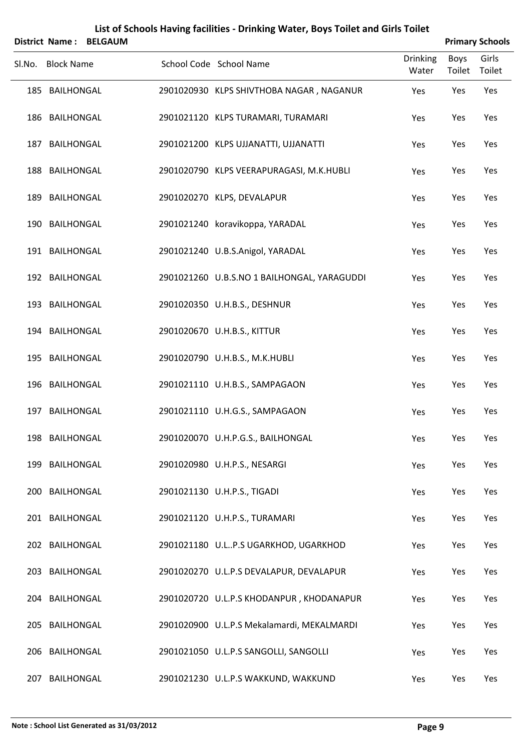|        | <b>District Name:</b> | <b>BELGAUM</b> | List of Schools Having facilities - Drinking Water, Boys Toilet and Girls Toilet |                          |                       | <b>Primary Schools</b> |
|--------|-----------------------|----------------|----------------------------------------------------------------------------------|--------------------------|-----------------------|------------------------|
| Sl.No. | <b>Block Name</b>     |                | School Code School Name                                                          | <b>Drinking</b><br>Water | <b>Boys</b><br>Toilet | Girls<br>Toilet        |
| 185    | <b>BAILHONGAL</b>     |                | 2901020930 KLPS SHIVTHOBA NAGAR, NAGANUR                                         | Yes                      | Yes                   | Yes                    |
|        | 186 BAILHONGAL        |                | 2901021120 KLPS TURAMARI, TURAMARI                                               | Yes                      | Yes                   | Yes                    |
| 187    | <b>BAILHONGAL</b>     |                | 2901021200 KLPS UJJANATTI, UJJANATTI                                             | Yes                      | Yes                   | Yes                    |
|        | 188 BAILHONGAL        |                | 2901020790 KLPS VEERAPURAGASI, M.K.HUBLI                                         | Yes                      | Yes                   | Yes                    |
| 189    | <b>BAILHONGAL</b>     |                | 2901020270 KLPS, DEVALAPUR                                                       | Yes                      | Yes                   | Yes                    |
|        | 190 BAILHONGAL        |                | 2901021240 koravikoppa, YARADAL                                                  | Yes                      | Yes                   | Yes                    |
|        | 191 BAILHONGAL        |                | 2901021240 U.B.S.Anigol, YARADAL                                                 | Yes                      | Yes                   | Yes                    |
|        | 192 BAILHONGAL        |                | 2901021260 U.B.S.NO 1 BAILHONGAL, YARAGUDDI                                      | Yes                      | Yes                   | Yes                    |
| 193    | BAILHONGAL            |                | 2901020350 U.H.B.S., DESHNUR                                                     | Yes                      | Yes                   | Yes                    |
|        | 194 BAILHONGAL        |                | 2901020670 U.H.B.S., KITTUR                                                      | Yes                      | Yes                   | Yes                    |
| 195    | BAILHONGAL            |                | 2901020790 U.H.B.S., M.K.HUBLI                                                   | Yes                      | Yes                   | Yes                    |
| 196    | <b>BAILHONGAL</b>     |                | 2901021110 U.H.B.S., SAMPAGAON                                                   | Yes                      | Yes                   | Yes                    |
| 197    | <b>BAILHONGAL</b>     |                | 2901021110 U.H.G.S., SAMPAGAON                                                   | Yes                      | Yes                   | Yes                    |
|        | 198 BAILHONGAL        |                | 2901020070 U.H.P.G.S., BAILHONGAL                                                | Yes                      | Yes                   | Yes                    |
|        | 199 BAILHONGAL        |                | 2901020980 U.H.P.S., NESARGI                                                     | Yes                      | Yes                   | Yes                    |
| 200    | <b>BAILHONGAL</b>     |                | 2901021130 U.H.P.S., TIGADI                                                      | Yes                      | Yes                   | Yes                    |
|        | 201 BAILHONGAL        |                | 2901021120 U.H.P.S., TURAMARI                                                    | Yes                      | Yes                   | Yes                    |
| 202    | <b>BAILHONGAL</b>     |                | 2901021180 U.LP.S UGARKHOD, UGARKHOD                                             | Yes                      | Yes                   | Yes                    |
|        | 203 BAILHONGAL        |                | 2901020270 U.L.P.S DEVALAPUR, DEVALAPUR                                          | Yes                      | Yes                   | Yes                    |
| 204    | <b>BAILHONGAL</b>     |                | 2901020720 U.L.P.S KHODANPUR, KHODANAPUR                                         | Yes                      | Yes                   | Yes                    |
| 205    | <b>BAILHONGAL</b>     |                | 2901020900 U.L.P.S Mekalamardi, MEKALMARDI                                       | Yes                      | Yes                   | Yes                    |
| 206    | <b>BAILHONGAL</b>     |                | 2901021050 U.L.P.S SANGOLLI, SANGOLLI                                            | Yes                      | Yes                   | Yes                    |
| 207    | <b>BAILHONGAL</b>     |                | 2901021230 U.L.P.S WAKKUND, WAKKUND                                              | Yes                      | Yes                   | Yes                    |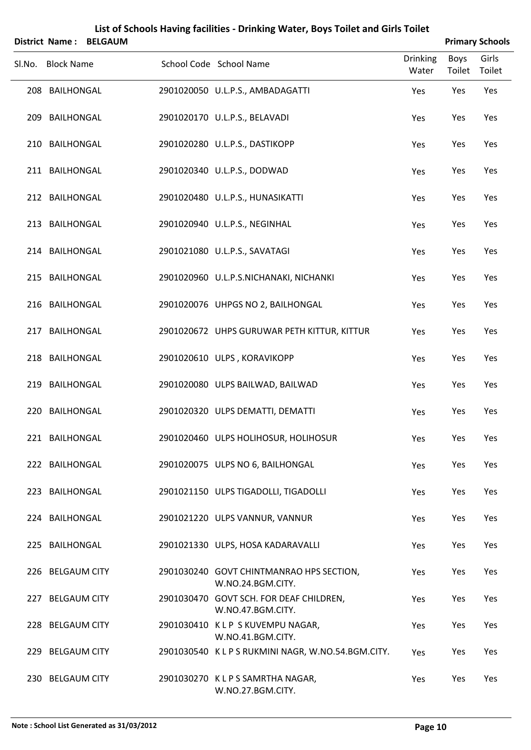|        |                   | District Name: BELGAUM |                                                               |                          |                | <b>Primary Schools</b> |
|--------|-------------------|------------------------|---------------------------------------------------------------|--------------------------|----------------|------------------------|
| Sl.No. | <b>Block Name</b> |                        | School Code School Name                                       | <b>Drinking</b><br>Water | Boys<br>Toilet | Girls<br>Toilet        |
|        | 208 BAILHONGAL    |                        | 2901020050 U.L.P.S., AMBADAGATTI                              | Yes                      | Yes            | Yes                    |
|        | 209 BAILHONGAL    |                        | 2901020170 U.L.P.S., BELAVADI                                 | Yes                      | Yes            | Yes                    |
|        | 210 BAILHONGAL    |                        | 2901020280 U.L.P.S., DASTIKOPP                                | Yes                      | Yes            | Yes                    |
|        | 211 BAILHONGAL    |                        | 2901020340 U.L.P.S., DODWAD                                   | Yes                      | Yes            | Yes                    |
|        | 212 BAILHONGAL    |                        | 2901020480 U.L.P.S., HUNASIKATTI                              | Yes                      | Yes            | Yes                    |
|        | 213 BAILHONGAL    |                        | 2901020940 U.L.P.S., NEGINHAL                                 | Yes                      | Yes            | Yes                    |
|        | 214 BAILHONGAL    |                        | 2901021080 U.L.P.S., SAVATAGI                                 | Yes                      | Yes            | Yes                    |
|        | 215 BAILHONGAL    |                        | 2901020960 U.L.P.S.NICHANAKI, NICHANKI                        | Yes                      | Yes            | Yes                    |
|        | 216 BAILHONGAL    |                        | 2901020076 UHPGS NO 2, BAILHONGAL                             | Yes                      | Yes            | Yes                    |
|        | 217 BAILHONGAL    |                        | 2901020672 UHPS GURUWAR PETH KITTUR, KITTUR                   | Yes                      | Yes            | Yes                    |
|        | 218 BAILHONGAL    |                        | 2901020610 ULPS, KORAVIKOPP                                   | Yes                      | Yes            | Yes                    |
|        | 219 BAILHONGAL    |                        | 2901020080 ULPS BAILWAD, BAILWAD                              | Yes                      | Yes            | Yes                    |
|        | 220 BAILHONGAL    |                        | 2901020320 ULPS DEMATTI, DEMATTI                              | Yes                      | Yes            | Yes                    |
|        | 221 BAILHONGAL    |                        | 2901020460 ULPS HOLIHOSUR, HOLIHOSUR                          | Yes                      | Yes            | Yes                    |
|        | 222 BAILHONGAL    |                        | 2901020075 ULPS NO 6, BAILHONGAL                              | Yes                      | Yes            | Yes                    |
|        | 223 BAILHONGAL    |                        | 2901021150 ULPS TIGADOLLI, TIGADOLLI                          | Yes                      | Yes            | Yes                    |
|        | 224 BAILHONGAL    |                        | 2901021220 ULPS VANNUR, VANNUR                                | Yes                      | Yes            | Yes                    |
|        | 225 BAILHONGAL    |                        | 2901021330 ULPS, HOSA KADARAVALLI                             | Yes                      | Yes            | Yes                    |
|        | 226 BELGAUM CITY  |                        | 2901030240 GOVT CHINTMANRAO HPS SECTION,<br>W.NO.24.BGM.CITY. | Yes                      | Yes            | Yes                    |
|        | 227 BELGAUM CITY  |                        | 2901030470 GOVT SCH. FOR DEAF CHILDREN,<br>W.NO.47.BGM.CITY.  | Yes                      | Yes            | Yes                    |
|        | 228 BELGAUM CITY  |                        | 2901030410 KLP SKUVEMPU NAGAR,<br>W.NO.41.BGM.CITY.           | Yes                      | Yes            | Yes                    |
|        | 229 BELGAUM CITY  |                        | 2901030540 KLPS RUKMINI NAGR, W.NO.54.BGM.CITY.               | Yes                      | Yes            | Yes                    |
|        | 230 BELGAUM CITY  |                        | 2901030270 KLPS SAMRTHA NAGAR,<br>W.NO.27.BGM.CITY.           | Yes                      | Yes            | Yes                    |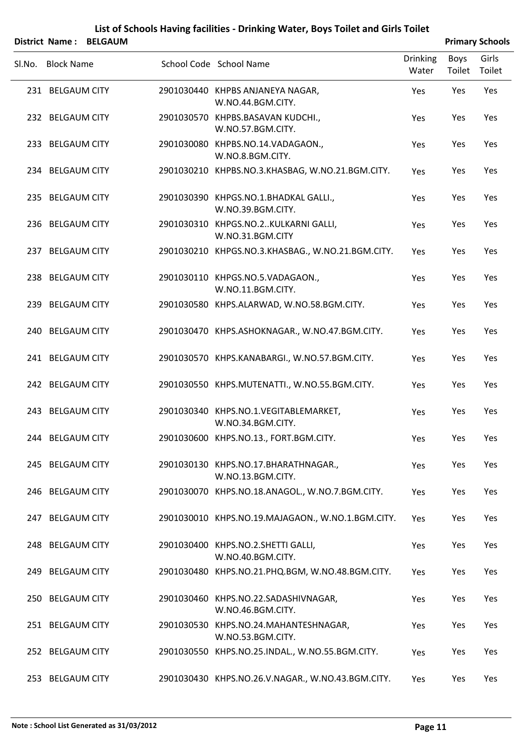|        |                   | District Name: BELGAUM |                                                            |                          |                | <b>Primary Schools</b> |
|--------|-------------------|------------------------|------------------------------------------------------------|--------------------------|----------------|------------------------|
| SI.No. | <b>Block Name</b> |                        | School Code School Name                                    | <b>Drinking</b><br>Water | Boys<br>Toilet | Girls<br>Toilet        |
|        | 231 BELGAUM CITY  |                        | 2901030440 KHPBS ANJANEYA NAGAR,<br>W.NO.44.BGM.CITY.      | Yes                      | Yes            | Yes                    |
|        | 232 BELGAUM CITY  |                        | 2901030570 KHPBS.BASAVAN KUDCHI.,<br>W.NO.57.BGM.CITY.     | Yes                      | Yes            | Yes                    |
|        | 233 BELGAUM CITY  |                        | 2901030080 KHPBS.NO.14.VADAGAON.,<br>W.NO.8.BGM.CITY.      | Yes                      | Yes            | Yes                    |
|        | 234 BELGAUM CITY  |                        | 2901030210 KHPBS.NO.3.KHASBAG, W.NO.21.BGM.CITY.           | Yes                      | Yes            | Yes                    |
|        | 235 BELGAUM CITY  |                        | 2901030390 KHPGS.NO.1.BHADKAL GALLI.,<br>W.NO.39.BGM.CITY. | Yes                      | Yes            | Yes                    |
|        | 236 BELGAUM CITY  |                        | 2901030310 KHPGS.NO.2KULKARNI GALLI,<br>W.NO.31.BGM.CITY   | Yes                      | Yes            | Yes                    |
|        | 237 BELGAUM CITY  |                        | 2901030210 KHPGS.NO.3.KHASBAG., W.NO.21.BGM.CITY.          | Yes                      | Yes            | Yes                    |
|        | 238 BELGAUM CITY  |                        | 2901030110 KHPGS.NO.5.VADAGAON.,<br>W.NO.11.BGM.CITY.      | Yes                      | Yes            | Yes                    |
|        | 239 BELGAUM CITY  |                        | 2901030580 KHPS.ALARWAD, W.NO.58.BGM.CITY.                 | Yes                      | Yes            | Yes                    |
|        | 240 BELGAUM CITY  |                        | 2901030470 KHPS.ASHOKNAGAR., W.NO.47.BGM.CITY.             | Yes                      | Yes            | Yes                    |
|        | 241 BELGAUM CITY  |                        | 2901030570 KHPS.KANABARGI., W.NO.57.BGM.CITY.              | Yes                      | Yes            | Yes                    |
|        | 242 BELGAUM CITY  |                        | 2901030550 KHPS.MUTENATTI., W.NO.55.BGM.CITY.              | Yes                      | Yes            | Yes                    |
|        | 243 BELGAUM CITY  |                        | 2901030340 KHPS.NO.1.VEGITABLEMARKET,<br>W.NO.34.BGM.CITY. | Yes                      | Yes            | Yes                    |
|        | 244 BELGAUM CITY  |                        | 2901030600 KHPS.NO.13., FORT.BGM.CITY.                     | Yes                      | Yes            | Yes                    |
|        | 245 BELGAUM CITY  |                        | 2901030130 KHPS.NO.17.BHARATHNAGAR.,<br>W.NO.13.BGM.CITY.  | Yes                      | Yes            | Yes                    |
|        | 246 BELGAUM CITY  |                        | 2901030070 KHPS.NO.18.ANAGOL., W.NO.7.BGM.CITY.            | <b>Yes</b>               | Yes            | Yes                    |
|        | 247 BELGAUM CITY  |                        | 2901030010 KHPS.NO.19.MAJAGAON., W.NO.1.BGM.CITY.          | Yes                      | Yes            | Yes                    |
|        | 248 BELGAUM CITY  |                        | 2901030400 KHPS.NO.2.SHETTI GALLI,<br>W.NO.40.BGM.CITY.    | <b>Yes</b>               | Yes            | Yes                    |
|        | 249 BELGAUM CITY  |                        | 2901030480 KHPS.NO.21.PHQ.BGM, W.NO.48.BGM.CITY.           | Yes                      | Yes            | Yes                    |
|        | 250 BELGAUM CITY  |                        | 2901030460 KHPS.NO.22.SADASHIVNAGAR,<br>W.NO.46.BGM.CITY.  | Yes                      | Yes            | Yes                    |
|        | 251 BELGAUM CITY  |                        | 2901030530 KHPS.NO.24.MAHANTESHNAGAR,<br>W.NO.53.BGM.CITY. | Yes                      | Yes            | Yes                    |
|        | 252 BELGAUM CITY  |                        | 2901030550 KHPS.NO.25.INDAL., W.NO.55.BGM.CITY.            | <b>Yes</b>               | Yes            | Yes                    |
|        | 253 BELGAUM CITY  |                        | 2901030430 KHPS.NO.26.V.NAGAR., W.NO.43.BGM.CITY.          | Yes                      | Yes            | Yes                    |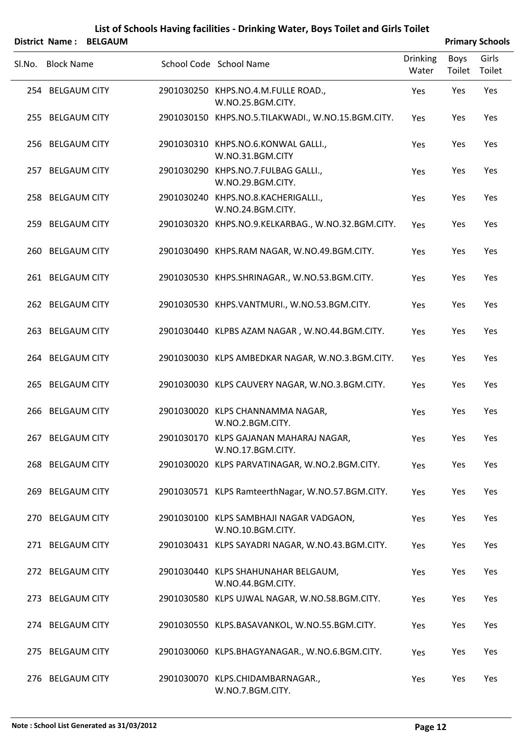|        | District Name:    | <b>BELGAUM</b> |                                                              |                          |                | <b>Primary Schools</b> |
|--------|-------------------|----------------|--------------------------------------------------------------|--------------------------|----------------|------------------------|
| Sl.No. | <b>Block Name</b> |                | School Code School Name                                      | <b>Drinking</b><br>Water | Boys<br>Toilet | Girls<br>Toilet        |
|        | 254 BELGAUM CITY  |                | 2901030250 KHPS.NO.4.M.FULLE ROAD.,<br>W.NO.25.BGM.CITY.     | Yes                      | Yes            | Yes                    |
|        | 255 BELGAUM CITY  |                | 2901030150 KHPS.NO.5.TILAKWADI., W.NO.15.BGM.CITY.           | Yes                      | Yes            | Yes                    |
|        | 256 BELGAUM CITY  |                | 2901030310 KHPS.NO.6.KONWAL GALLI.,<br>W.NO.31.BGM.CITY      | Yes                      | Yes            | Yes                    |
|        | 257 BELGAUM CITY  |                | 2901030290 KHPS.NO.7.FULBAG GALLI.,<br>W.NO.29.BGM.CITY.     | Yes                      | Yes            | Yes                    |
|        | 258 BELGAUM CITY  |                | 2901030240 KHPS.NO.8.KACHERIGALLI.,<br>W.NO.24.BGM.CITY.     | Yes                      | Yes            | Yes                    |
|        | 259 BELGAUM CITY  |                | 2901030320 KHPS.NO.9.KELKARBAG., W.NO.32.BGM.CITY.           | Yes                      | Yes            | Yes                    |
|        | 260 BELGAUM CITY  |                | 2901030490 KHPS.RAM NAGAR, W.NO.49.BGM.CITY.                 | Yes                      | Yes            | Yes                    |
|        | 261 BELGAUM CITY  |                | 2901030530 KHPS.SHRINAGAR., W.NO.53.BGM.CITY.                | Yes                      | Yes            | Yes                    |
|        | 262 BELGAUM CITY  |                | 2901030530 KHPS.VANTMURI., W.NO.53.BGM.CITY.                 | Yes                      | Yes            | Yes                    |
|        | 263 BELGAUM CITY  |                | 2901030440 KLPBS AZAM NAGAR, W.NO.44.BGM.CITY.               | Yes                      | Yes            | Yes                    |
|        | 264 BELGAUM CITY  |                | 2901030030 KLPS AMBEDKAR NAGAR, W.NO.3.BGM.CITY.             | Yes                      | Yes            | Yes                    |
|        | 265 BELGAUM CITY  |                | 2901030030 KLPS CAUVERY NAGAR, W.NO.3.BGM.CITY.              | Yes                      | Yes            | Yes                    |
|        | 266 BELGAUM CITY  |                | 2901030020 KLPS CHANNAMMA NAGAR,<br>W.NO.2.BGM.CITY.         | Yes                      | Yes            | Yes                    |
|        | 267 BELGAUM CITY  |                | 2901030170 KLPS GAJANAN MAHARAJ NAGAR,<br>W.NO.17.BGM.CITY.  | Yes                      | Yes            | Yes                    |
|        | 268 BELGAUM CITY  |                | 2901030020 KLPS PARVATINAGAR, W.NO.2.BGM.CITY.               | Yes                      | Yes            | Yes                    |
|        | 269 BELGAUM CITY  |                | 2901030571 KLPS RamteerthNagar, W.NO.57.BGM.CITY.            | Yes                      | Yes            | Yes                    |
|        | 270 BELGAUM CITY  |                | 2901030100 KLPS SAMBHAJI NAGAR VADGAON,<br>W.NO.10.BGM.CITY. | Yes                      | Yes            | Yes                    |
|        | 271 BELGAUM CITY  |                | 2901030431 KLPS SAYADRI NAGAR, W.NO.43.BGM.CITY.             | Yes                      | Yes            | Yes                    |
|        | 272 BELGAUM CITY  |                | 2901030440 KLPS SHAHUNAHAR BELGAUM,<br>W.NO.44.BGM.CITY.     | Yes                      | Yes            | Yes                    |
|        | 273 BELGAUM CITY  |                | 2901030580 KLPS UJWAL NAGAR, W.NO.58.BGM.CITY.               | Yes                      | Yes            | Yes                    |
|        | 274 BELGAUM CITY  |                | 2901030550 KLPS.BASAVANKOL, W.NO.55.BGM.CITY.                | Yes                      | Yes            | Yes                    |
|        | 275 BELGAUM CITY  |                | 2901030060 KLPS.BHAGYANAGAR., W.NO.6.BGM.CITY.               | Yes                      | Yes            | Yes                    |
|        | 276 BELGAUM CITY  |                | 2901030070 KLPS.CHIDAMBARNAGAR.,<br>W.NO.7.BGM.CITY.         | Yes                      | Yes            | Yes                    |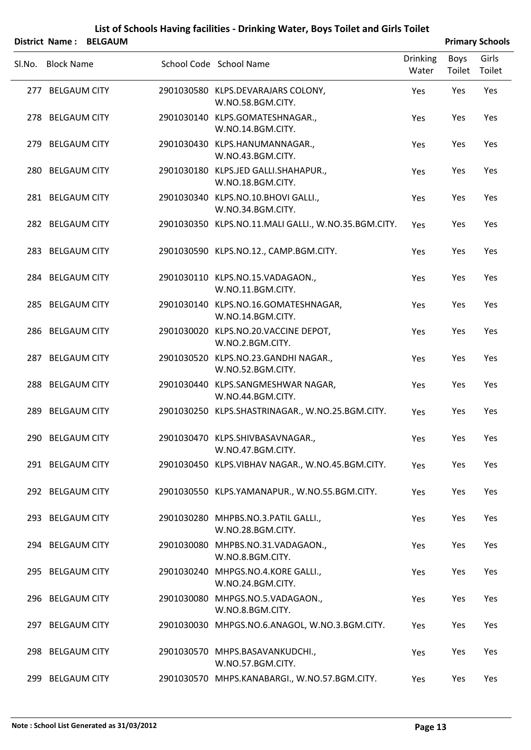|        |                   | District Name: BELGAUM |                                                           |                          |                | <b>Primary Schools</b> |
|--------|-------------------|------------------------|-----------------------------------------------------------|--------------------------|----------------|------------------------|
| Sl.No. | <b>Block Name</b> |                        | School Code School Name                                   | <b>Drinking</b><br>Water | Boys<br>Toilet | Girls<br>Toilet        |
|        | 277 BELGAUM CITY  |                        | 2901030580 KLPS.DEVARAJARS COLONY,<br>W.NO.58.BGM.CITY.   | Yes                      | Yes            | Yes                    |
|        | 278 BELGAUM CITY  |                        | 2901030140 KLPS.GOMATESHNAGAR.,<br>W.NO.14.BGM.CITY.      | Yes                      | Yes            | Yes                    |
|        | 279 BELGAUM CITY  |                        | 2901030430 KLPS.HANUMANNAGAR.,<br>W.NO.43.BGM.CITY.       | Yes                      | Yes            | Yes                    |
|        | 280 BELGAUM CITY  |                        | 2901030180 KLPS.JED GALLI.SHAHAPUR.,<br>W.NO.18.BGM.CITY. | Yes                      | Yes            | Yes                    |
|        | 281 BELGAUM CITY  |                        | 2901030340 KLPS.NO.10.BHOVI GALLI.,<br>W.NO.34.BGM.CITY.  | Yes                      | Yes            | Yes                    |
|        | 282 BELGAUM CITY  |                        | 2901030350 KLPS.NO.11.MALI GALLI., W.NO.35.BGM.CITY.      | Yes                      | Yes            | Yes                    |
|        | 283 BELGAUM CITY  |                        | 2901030590 KLPS.NO.12., CAMP.BGM.CITY.                    | Yes                      | Yes            | Yes                    |
|        | 284 BELGAUM CITY  |                        | 2901030110 KLPS.NO.15.VADAGAON.,<br>W.NO.11.BGM.CITY.     | Yes                      | Yes            | Yes                    |
|        | 285 BELGAUM CITY  |                        | 2901030140 KLPS.NO.16.GOMATESHNAGAR,<br>W.NO.14.BGM.CITY. | Yes                      | Yes            | Yes                    |
|        | 286 BELGAUM CITY  |                        | 2901030020 KLPS.NO.20.VACCINE DEPOT,<br>W.NO.2.BGM.CITY.  | Yes                      | Yes            | Yes                    |
|        | 287 BELGAUM CITY  |                        | 2901030520 KLPS.NO.23.GANDHI NAGAR.,<br>W.NO.52.BGM.CITY. | Yes                      | Yes            | Yes                    |
|        | 288 BELGAUM CITY  |                        | 2901030440 KLPS.SANGMESHWAR NAGAR,<br>W.NO.44.BGM.CITY.   | Yes                      | Yes            | Yes                    |
|        | 289 BELGAUM CITY  |                        | 2901030250 KLPS.SHASTRINAGAR., W.NO.25.BGM.CITY.          | Yes                      | Yes            | Yes                    |
|        | 290 BELGAUM CITY  |                        | 2901030470 KLPS.SHIVBASAVNAGAR.,<br>W.NO.47.BGM.CITY.     | Yes                      | Yes            | Yes                    |
|        | 291 BELGAUM CITY  |                        | 2901030450 KLPS.VIBHAV NAGAR., W.NO.45.BGM.CITY.          | Yes                      | Yes            | Yes                    |
|        | 292 BELGAUM CITY  |                        | 2901030550 KLPS.YAMANAPUR., W.NO.55.BGM.CITY.             | Yes                      | Yes            | Yes                    |
|        | 293 BELGAUM CITY  |                        | 2901030280 MHPBS.NO.3.PATIL GALLI.,<br>W.NO.28.BGM.CITY.  | Yes                      | Yes            | Yes                    |
|        | 294 BELGAUM CITY  |                        | 2901030080 MHPBS.NO.31.VADAGAON.,<br>W.NO.8.BGM.CITY.     | Yes                      | Yes            | Yes                    |
|        | 295 BELGAUM CITY  |                        | 2901030240 MHPGS.NO.4.KORE GALLI.,<br>W.NO.24.BGM.CITY.   | Yes                      | Yes            | Yes                    |
|        | 296 BELGAUM CITY  |                        | 2901030080 MHPGS.NO.5.VADAGAON.,<br>W.NO.8.BGM.CITY.      | Yes                      | Yes            | Yes                    |
|        | 297 BELGAUM CITY  |                        | 2901030030 MHPGS.NO.6.ANAGOL, W.NO.3.BGM.CITY.            | Yes                      | Yes            | Yes                    |
|        | 298 BELGAUM CITY  |                        | 2901030570 MHPS.BASAVANKUDCHI.,<br>W.NO.57.BGM.CITY.      | Yes                      | Yes            | Yes                    |
|        | 299 BELGAUM CITY  |                        | 2901030570 MHPS.KANABARGI., W.NO.57.BGM.CITY.             | Yes                      | Yes            | Yes                    |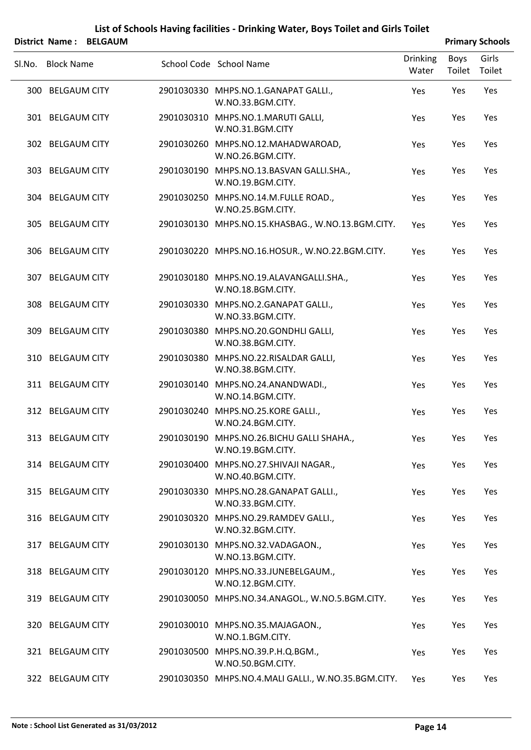|        |                   | District Name: BELGAUM |                                                                |                          |                | <b>Primary Schools</b> |
|--------|-------------------|------------------------|----------------------------------------------------------------|--------------------------|----------------|------------------------|
| SI.No. | <b>Block Name</b> |                        | School Code School Name                                        | <b>Drinking</b><br>Water | Boys<br>Toilet | Girls<br>Toilet        |
|        | 300 BELGAUM CITY  |                        | 2901030330 MHPS.NO.1.GANAPAT GALLI.,<br>W.NO.33.BGM.CITY.      | Yes                      | Yes            | Yes                    |
|        | 301 BELGAUM CITY  |                        | 2901030310 MHPS.NO.1.MARUTI GALLI,<br>W.NO.31.BGM.CITY         | Yes                      | Yes            | Yes                    |
|        | 302 BELGAUM CITY  |                        | 2901030260 MHPS.NO.12.MAHADWAROAD,<br>W.NO.26.BGM.CITY.        | Yes                      | Yes            | Yes                    |
|        | 303 BELGAUM CITY  |                        | 2901030190 MHPS.NO.13.BASVAN GALLI.SHA.,<br>W.NO.19.BGM.CITY.  | Yes                      | Yes            | Yes                    |
|        | 304 BELGAUM CITY  |                        | 2901030250 MHPS.NO.14.M.FULLE ROAD.,<br>W.NO.25.BGM.CITY.      | Yes                      | Yes            | Yes                    |
|        | 305 BELGAUM CITY  |                        | 2901030130 MHPS.NO.15.KHASBAG., W.NO.13.BGM.CITY.              | Yes                      | Yes            | Yes                    |
|        | 306 BELGAUM CITY  |                        | 2901030220 MHPS.NO.16.HOSUR., W.NO.22.BGM.CITY.                | Yes                      | Yes            | Yes                    |
|        | 307 BELGAUM CITY  |                        | 2901030180 MHPS.NO.19.ALAVANGALLI.SHA.,<br>W.NO.18.BGM.CITY.   | Yes                      | Yes            | Yes                    |
|        | 308 BELGAUM CITY  |                        | 2901030330 MHPS.NO.2.GANAPAT GALLI.,<br>W.NO.33.BGM.CITY.      | Yes                      | Yes            | Yes                    |
|        | 309 BELGAUM CITY  |                        | 2901030380 MHPS.NO.20.GONDHLI GALLI,<br>W.NO.38.BGM.CITY.      | Yes                      | Yes            | Yes                    |
|        | 310 BELGAUM CITY  |                        | 2901030380 MHPS.NO.22.RISALDAR GALLI,<br>W.NO.38.BGM.CITY.     | Yes                      | Yes            | Yes                    |
|        | 311 BELGAUM CITY  |                        | 2901030140 MHPS.NO.24.ANANDWADI.,<br>W.NO.14.BGM.CITY.         | Yes                      | Yes            | Yes                    |
|        | 312 BELGAUM CITY  |                        | 2901030240 MHPS.NO.25.KORE GALLI.,<br>W.NO.24.BGM.CITY.        | Yes                      | Yes            | Yes                    |
|        | 313 BELGAUM CITY  |                        | 2901030190 MHPS.NO.26.BICHU GALLI SHAHA.,<br>W.NO.19.BGM.CITY. | Yes                      | Yes            | Yes                    |
|        | 314 BELGAUM CITY  |                        | 2901030400 MHPS.NO.27.SHIVAJI NAGAR.,<br>W.NO.40.BGM.CITY.     | Yes                      | Yes            | Yes                    |
|        | 315 BELGAUM CITY  |                        | 2901030330 MHPS.NO.28.GANAPAT GALLI.,<br>W.NO.33.BGM.CITY.     | Yes                      | Yes            | Yes                    |
|        | 316 BELGAUM CITY  |                        | 2901030320 MHPS.NO.29.RAMDEV GALLI.,<br>W.NO.32.BGM.CITY.      | Yes                      | Yes            | Yes                    |
|        | 317 BELGAUM CITY  |                        | 2901030130 MHPS.NO.32.VADAGAON.,<br>W.NO.13.BGM.CITY.          | Yes                      | Yes            | Yes                    |
|        | 318 BELGAUM CITY  |                        | 2901030120 MHPS.NO.33.JUNEBELGAUM.,<br>W.NO.12.BGM.CITY.       | Yes                      | Yes            | Yes                    |
|        | 319 BELGAUM CITY  |                        | 2901030050 MHPS.NO.34.ANAGOL., W.NO.5.BGM.CITY.                | Yes                      | Yes            | Yes                    |
|        | 320 BELGAUM CITY  |                        | 2901030010 MHPS.NO.35.MAJAGAON.,<br>W.NO.1.BGM.CITY.           | Yes                      | Yes            | Yes                    |
|        | 321 BELGAUM CITY  |                        | 2901030500 MHPS.NO.39.P.H.Q.BGM.,<br>W.NO.50.BGM.CITY.         | Yes                      | Yes            | Yes                    |
|        | 322 BELGAUM CITY  |                        | 2901030350 MHPS.NO.4.MALI GALLI., W.NO.35.BGM.CITY.            | Yes                      | Yes            | Yes                    |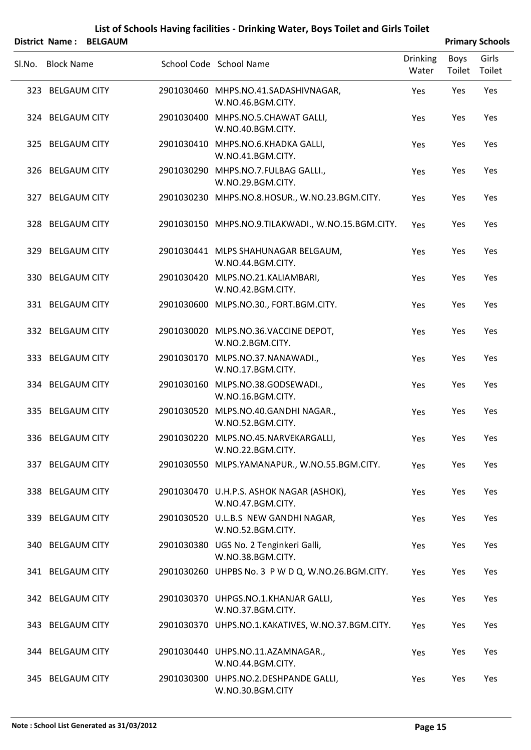#### **List of Schools Having facilities ‐ Drinking Water, Boys Toilet and Girls Toilet District Name : BELGAUM Primary Schools**

|                   | DISLIILL INGIIIE. DELUAUIVI |                                                               |                          |                | <b>PHILIC V SCHOOD</b> |
|-------------------|-----------------------------|---------------------------------------------------------------|--------------------------|----------------|------------------------|
| SI.No. Block Name |                             | School Code School Name                                       | <b>Drinking</b><br>Water | Boys<br>Toilet | Girls<br>Toilet        |
| 323 BELGAUM CITY  |                             | 2901030460 MHPS.NO.41.SADASHIVNAGAR,<br>W.NO.46.BGM.CITY.     | Yes                      | Yes            | Yes                    |
| 324 BELGAUM CITY  |                             | 2901030400 MHPS.NO.5.CHAWAT GALLI,<br>W.NO.40.BGM.CITY.       | Yes                      | Yes            | Yes                    |
| 325 BELGAUM CITY  |                             | 2901030410 MHPS.NO.6.KHADKA GALLI,<br>W.NO.41.BGM.CITY.       | Yes                      | Yes            | Yes                    |
| 326 BELGAUM CITY  |                             | 2901030290 MHPS.NO.7.FULBAG GALLI.,<br>W.NO.29.BGM.CITY.      | Yes                      | Yes            | Yes                    |
| 327 BELGAUM CITY  |                             | 2901030230 MHPS.NO.8.HOSUR., W.NO.23.BGM.CITY.                | Yes                      | Yes            | Yes                    |
| 328 BELGAUM CITY  |                             | 2901030150 MHPS.NO.9.TILAKWADI., W.NO.15.BGM.CITY.            | Yes                      | Yes            | Yes                    |
| 329 BELGAUM CITY  |                             | 2901030441 MLPS SHAHUNAGAR BELGAUM,<br>W.NO.44.BGM.CITY.      | Yes                      | Yes            | Yes                    |
| 330 BELGAUM CITY  |                             | 2901030420 MLPS.NO.21.KALIAMBARI,<br>W.NO.42.BGM.CITY.        | Yes                      | Yes            | Yes                    |
| 331 BELGAUM CITY  |                             | 2901030600 MLPS.NO.30., FORT.BGM.CITY.                        | Yes                      | Yes            | Yes                    |
| 332 BELGAUM CITY  |                             | 2901030020 MLPS.NO.36.VACCINE DEPOT,<br>W.NO.2.BGM.CITY.      | Yes                      | Yes            | Yes                    |
| 333 BELGAUM CITY  |                             | 2901030170 MLPS.NO.37.NANAWADI.,<br>W.NO.17.BGM.CITY.         | Yes                      | Yes            | Yes                    |
| 334 BELGAUM CITY  |                             | 2901030160 MLPS.NO.38.GODSEWADI.,<br>W.NO.16.BGM.CITY.        | Yes                      | Yes            | Yes                    |
| 335 BELGAUM CITY  |                             | 2901030520 MLPS.NO.40.GANDHI NAGAR.,<br>W.NO.52.BGM.CITY.     | Yes                      | Yes            | Yes                    |
| 336 BELGAUM CITY  |                             | 2901030220 MLPS.NO.45.NARVEKARGALLI,<br>W.NO.22.BGM.CITY.     | Yes                      | Yes            | Yes                    |
| 337 BELGAUM CITY  |                             | 2901030550 MLPS.YAMANAPUR., W.NO.55.BGM.CITY.                 | Yes                      | Yes            | Yes                    |
| 338 BELGAUM CITY  |                             | 2901030470 U.H.P.S. ASHOK NAGAR (ASHOK),<br>W.NO.47.BGM.CITY. | Yes                      | Yes            | Yes                    |
| 339 BELGAUM CITY  |                             | 2901030520 U.L.B.S NEW GANDHI NAGAR,<br>W.NO.52.BGM.CITY.     | Yes                      | Yes            | Yes                    |
| 340 BELGAUM CITY  |                             | 2901030380 UGS No. 2 Tenginkeri Galli,<br>W.NO.38.BGM.CITY.   | Yes                      | Yes            | Yes                    |
| 341 BELGAUM CITY  |                             | 2901030260 UHPBS No. 3 P W D Q, W.NO.26.BGM.CITY.             | Yes                      | Yes            | Yes                    |
| 342 BELGAUM CITY  |                             | 2901030370 UHPGS.NO.1.KHANJAR GALLI,<br>W.NO.37.BGM.CITY.     | Yes                      | Yes            | Yes                    |
| 343 BELGAUM CITY  |                             | 2901030370 UHPS.NO.1.KAKATIVES, W.NO.37.BGM.CITY.             | Yes                      | Yes            | Yes                    |
| 344 BELGAUM CITY  |                             | 2901030440 UHPS.NO.11.AZAMNAGAR.,<br>W.NO.44.BGM.CITY.        | Yes                      | Yes            | Yes                    |
| 345 BELGAUM CITY  |                             | 2901030300 UHPS.NO.2.DESHPANDE GALLI,<br>W.NO.30.BGM.CITY     | Yes                      | Yes            | Yes                    |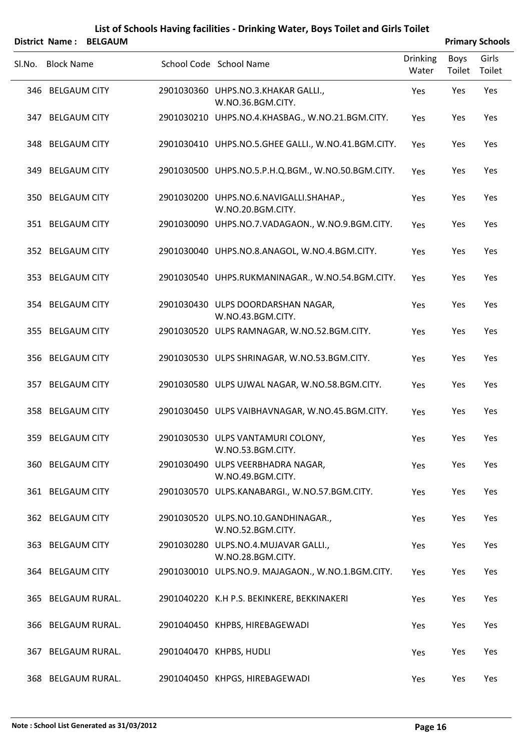#### **List of Schools Having facilities ‐ Drinking Water, Boys Toilet and Girls Toilet District Name : BELGAUM Primary Schools**

|                   | PISUILL INGIIIC. PLLUMUINI |                                                              |                          |                | <b>Fillial y Scribbis</b> |
|-------------------|----------------------------|--------------------------------------------------------------|--------------------------|----------------|---------------------------|
| Sl.No. Block Name |                            | School Code School Name                                      | <b>Drinking</b><br>Water | Boys<br>Toilet | Girls<br>Toilet           |
| 346 BELGAUM CITY  |                            | 2901030360 UHPS.NO.3.KHAKAR GALLI.,<br>W.NO.36.BGM.CITY.     | Yes                      | Yes            | Yes                       |
| 347 BELGAUM CITY  |                            | 2901030210 UHPS.NO.4.KHASBAG., W.NO.21.BGM.CITY.             | Yes                      | Yes            | Yes                       |
| 348 BELGAUM CITY  |                            | 2901030410 UHPS.NO.5.GHEE GALLI., W.NO.41.BGM.CITY.          | Yes                      | Yes            | Yes                       |
| 349 BELGAUM CITY  |                            | 2901030500 UHPS.NO.5.P.H.Q.BGM., W.NO.50.BGM.CITY.           | Yes                      | Yes            | Yes                       |
| 350 BELGAUM CITY  |                            | 2901030200 UHPS.NO.6.NAVIGALLI.SHAHAP.,<br>W.NO.20.BGM.CITY. | Yes                      | Yes            | Yes                       |
| 351 BELGAUM CITY  |                            | 2901030090 UHPS.NO.7.VADAGAON., W.NO.9.BGM.CITY.             | Yes                      | Yes            | Yes                       |
| 352 BELGAUM CITY  |                            | 2901030040 UHPS.NO.8.ANAGOL, W.NO.4.BGM.CITY.                | Yes                      | Yes            | Yes                       |
| 353 BELGAUM CITY  |                            | 2901030540 UHPS.RUKMANINAGAR., W.NO.54.BGM.CITY.             | Yes                      | Yes            | Yes                       |
| 354 BELGAUM CITY  |                            | 2901030430 ULPS DOORDARSHAN NAGAR,<br>W.NO.43.BGM.CITY.      | Yes                      | Yes            | Yes                       |
| 355 BELGAUM CITY  |                            | 2901030520 ULPS RAMNAGAR, W.NO.52.BGM.CITY.                  | Yes                      | Yes            | Yes                       |
| 356 BELGAUM CITY  |                            | 2901030530 ULPS SHRINAGAR, W.NO.53.BGM.CITY.                 | Yes                      | Yes            | Yes                       |
| 357 BELGAUM CITY  |                            | 2901030580 ULPS UJWAL NAGAR, W.NO.58.BGM.CITY.               | Yes                      | Yes            | Yes                       |
| 358 BELGAUM CITY  |                            | 2901030450 ULPS VAIBHAVNAGAR, W.NO.45.BGM.CITY.              | Yes                      | Yes            | Yes                       |
| 359 BELGAUM CITY  |                            | 2901030530 ULPS VANTAMURI COLONY,<br>W.NO.53.BGM.CITY.       | Yes                      | Yes            | Yes                       |
| 360 BELGAUM CITY  |                            | 2901030490 ULPS VEERBHADRA NAGAR,<br>W.NO.49.BGM.CITY.       | Yes                      | Yes            | Yes                       |
| 361 BELGAUM CITY  |                            | 2901030570 ULPS.KANABARGI., W.NO.57.BGM.CITY.                | Yes                      | Yes            | Yes                       |
| 362 BELGAUM CITY  |                            | 2901030520 ULPS.NO.10.GANDHINAGAR.,<br>W.NO.52.BGM.CITY.     | Yes                      | Yes            | Yes                       |
| 363 BELGAUM CITY  |                            | 2901030280 ULPS.NO.4.MUJAVAR GALLI.,<br>W.NO.28.BGM.CITY.    | Yes                      | Yes            | Yes                       |
| 364 BELGAUM CITY  |                            | 2901030010 ULPS.NO.9. MAJAGAON., W.NO.1.BGM.CITY.            | Yes                      | Yes            | Yes                       |
|                   | 365 BELGAUM RURAL.         | 2901040220 K.H P.S. BEKINKERE, BEKKINAKERI                   | Yes                      | Yes            | Yes                       |
|                   | 366 BELGAUM RURAL.         | 2901040450 KHPBS, HIREBAGEWADI                               | Yes                      | Yes            | Yes                       |
|                   | 367 BELGAUM RURAL.         | 2901040470 KHPBS, HUDLI                                      | Yes                      | Yes            | Yes                       |
|                   | 368 BELGAUM RURAL.         | 2901040450 KHPGS, HIREBAGEWADI                               | Yes                      | Yes            | Yes                       |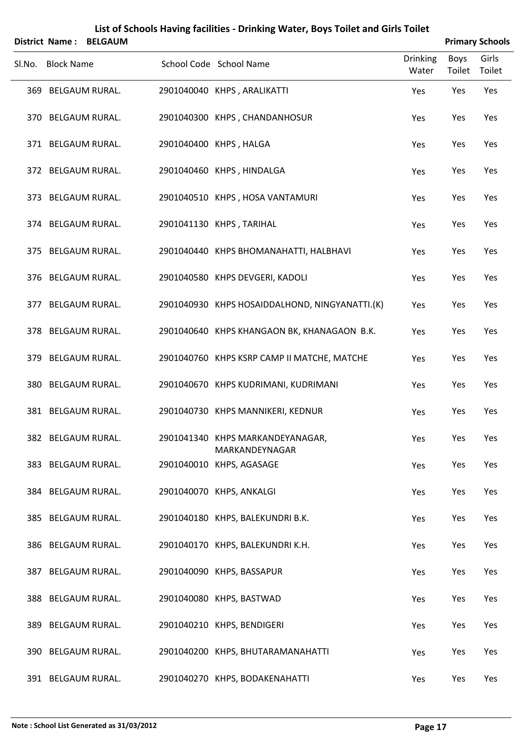|        |                   | District Name: BELGAUM |                                                    |                          |                | <b>Primary Schools</b> |
|--------|-------------------|------------------------|----------------------------------------------------|--------------------------|----------------|------------------------|
| SI.No. | <b>Block Name</b> |                        | School Code School Name                            | <b>Drinking</b><br>Water | Boys<br>Toilet | Girls<br>Toilet        |
|        |                   | 369 BELGAUM RURAL.     | 2901040040 KHPS, ARALIKATTI                        | Yes                      | Yes            | Yes                    |
|        |                   | 370 BELGAUM RURAL.     | 2901040300 KHPS, CHANDANHOSUR                      | Yes                      | Yes            | Yes                    |
|        |                   | 371 BELGAUM RURAL.     | 2901040400 KHPS, HALGA                             | Yes                      | Yes            | Yes                    |
|        |                   | 372 BELGAUM RURAL.     | 2901040460 KHPS, HINDALGA                          | Yes                      | Yes            | Yes                    |
|        |                   | 373 BELGAUM RURAL.     | 2901040510 KHPS, HOSA VANTAMURI                    | Yes                      | Yes            | Yes                    |
|        |                   | 374 BELGAUM RURAL.     | 2901041130 KHPS, TARIHAL                           | Yes                      | Yes            | Yes                    |
|        |                   | 375 BELGAUM RURAL.     | 2901040440 KHPS BHOMANAHATTI, HALBHAVI             | Yes                      | Yes            | Yes                    |
|        |                   | 376 BELGAUM RURAL.     | 2901040580 KHPS DEVGERI, KADOLI                    | Yes                      | Yes            | Yes                    |
| 377    |                   | <b>BELGAUM RURAL.</b>  | 2901040930 KHPS HOSAIDDALHOND, NINGYANATTI.(K)     | Yes                      | Yes            | Yes                    |
|        |                   | 378 BELGAUM RURAL.     | 2901040640 KHPS KHANGAON BK, KHANAGAON B.K.        | Yes                      | Yes            | Yes                    |
| 379 -  |                   | <b>BELGAUM RURAL.</b>  | 2901040760 KHPS KSRP CAMP II MATCHE, MATCHE        | Yes                      | Yes            | Yes                    |
|        |                   | 380 BELGAUM RURAL.     | 2901040670 KHPS KUDRIMANI, KUDRIMANI               | Yes                      | Yes            | Yes                    |
|        |                   | 381 BELGAUM RURAL.     | 2901040730 KHPS MANNIKERI, KEDNUR                  | Yes                      | Yes            | Yes                    |
|        |                   | 382 BELGAUM RURAL.     | 2901041340 KHPS MARKANDEYANAGAR,<br>MARKANDEYNAGAR | Yes                      | Yes            | Yes                    |
|        |                   | 383 BELGAUM RURAL.     | 2901040010 KHPS, AGASAGE                           | Yes                      | Yes            | Yes                    |
|        |                   | 384 BELGAUM RURAL.     | 2901040070 KHPS, ANKALGI                           | Yes                      | Yes            | Yes                    |
|        |                   | 385 BELGAUM RURAL.     | 2901040180 KHPS, BALEKUNDRI B.K.                   | Yes                      | Yes            | Yes                    |
|        |                   | 386 BELGAUM RURAL.     | 2901040170 KHPS, BALEKUNDRI K.H.                   | Yes                      | Yes            | Yes                    |
|        |                   | 387 BELGAUM RURAL.     | 2901040090 KHPS, BASSAPUR                          | Yes                      | Yes            | Yes                    |
|        |                   | 388 BELGAUM RURAL.     | 2901040080 KHPS, BASTWAD                           | Yes                      | Yes            | Yes                    |
|        |                   | 389 BELGAUM RURAL.     | 2901040210 KHPS, BENDIGERI                         | Yes                      | Yes            | Yes                    |
|        |                   | 390 BELGAUM RURAL.     | 2901040200 KHPS, BHUTARAMANAHATTI                  | Yes                      | Yes            | Yes                    |
|        |                   | 391 BELGAUM RURAL.     | 2901040270 KHPS, BODAKENAHATTI                     | Yes                      | Yes            | Yes                    |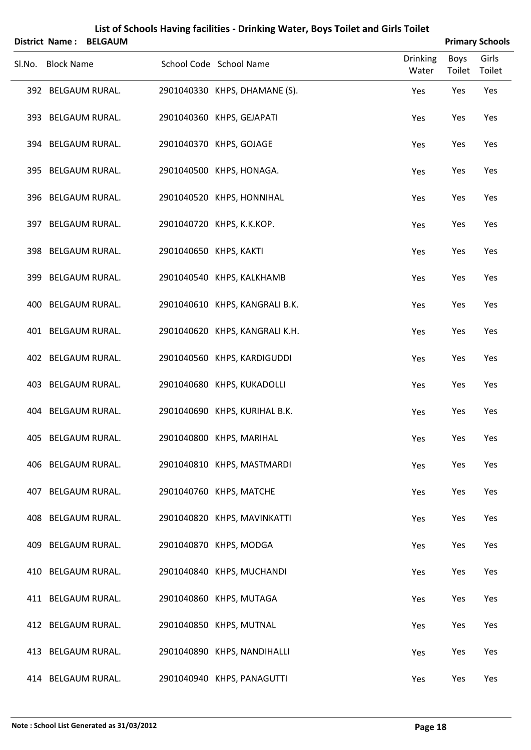|        | District Name:    | <b>BELGAUM</b>     |                        |                                |                          |                | <b>Primary Schools</b> |
|--------|-------------------|--------------------|------------------------|--------------------------------|--------------------------|----------------|------------------------|
| SI.No. | <b>Block Name</b> |                    |                        | School Code School Name        | <b>Drinking</b><br>Water | Boys<br>Toilet | Girls<br>Toilet        |
|        |                   | 392 BELGAUM RURAL. |                        | 2901040330 KHPS, DHAMANE (S).  | Yes                      | Yes            | Yes                    |
|        |                   | 393 BELGAUM RURAL. |                        | 2901040360 KHPS, GEJAPATI      | Yes                      | Yes            | Yes                    |
|        |                   | 394 BELGAUM RURAL. |                        | 2901040370 KHPS, GOJAGE        | Yes                      | Yes            | Yes                    |
|        |                   | 395 BELGAUM RURAL. |                        | 2901040500 KHPS, HONAGA.       | Yes                      | Yes            | Yes                    |
|        |                   | 396 BELGAUM RURAL. |                        | 2901040520 KHPS, HONNIHAL      | Yes                      | Yes            | Yes                    |
|        |                   | 397 BELGAUM RURAL. |                        | 2901040720 KHPS, K.K.KOP.      | Yes                      | Yes            | Yes                    |
|        |                   | 398 BELGAUM RURAL. | 2901040650 KHPS, KAKTI |                                | Yes                      | Yes            | Yes                    |
|        |                   | 399 BELGAUM RURAL. |                        | 2901040540 KHPS, KALKHAMB      | Yes                      | Yes            | Yes                    |
|        |                   | 400 BELGAUM RURAL. |                        | 2901040610 KHPS, KANGRALI B.K. | Yes                      | Yes            | Yes                    |
|        |                   | 401 BELGAUM RURAL. |                        | 2901040620 KHPS, KANGRALI K.H. | Yes                      | Yes            | Yes                    |
|        |                   | 402 BELGAUM RURAL. |                        | 2901040560 KHPS, KARDIGUDDI    | Yes                      | Yes            | Yes                    |
|        |                   | 403 BELGAUM RURAL. |                        | 2901040680 KHPS, KUKADOLLI     | Yes                      | Yes            | Yes                    |
|        |                   | 404 BELGAUM RURAL. |                        | 2901040690 KHPS, KURIHAL B.K.  | Yes                      | Yes            | Yes                    |
|        |                   | 405 BELGAUM RURAL. |                        | 2901040800 KHPS, MARIHAL       | Yes                      | Yes            | Yes                    |
|        |                   | 406 BELGAUM RURAL. |                        | 2901040810 KHPS, MASTMARDI     | Yes                      | Yes            | Yes                    |
|        |                   | 407 BELGAUM RURAL. |                        | 2901040760 KHPS, MATCHE        | Yes                      | Yes            | Yes                    |
|        |                   | 408 BELGAUM RURAL. |                        | 2901040820 KHPS, MAVINKATTI    | Yes                      | Yes            | Yes                    |
|        |                   | 409 BELGAUM RURAL. |                        | 2901040870 KHPS, MODGA         | Yes                      | Yes            | Yes                    |
|        |                   | 410 BELGAUM RURAL. |                        | 2901040840 KHPS, MUCHANDI      | Yes                      | Yes            | Yes                    |
|        |                   | 411 BELGAUM RURAL. |                        | 2901040860 KHPS, MUTAGA        | Yes                      | Yes            | Yes                    |
|        |                   | 412 BELGAUM RURAL. |                        | 2901040850 KHPS, MUTNAL        | Yes                      | Yes            | Yes                    |
|        |                   | 413 BELGAUM RURAL. |                        | 2901040890 KHPS, NANDIHALLI    | Yes                      | Yes            | Yes                    |
|        |                   | 414 BELGAUM RURAL. |                        | 2901040940 KHPS, PANAGUTTI     | Yes                      | Yes            | Yes                    |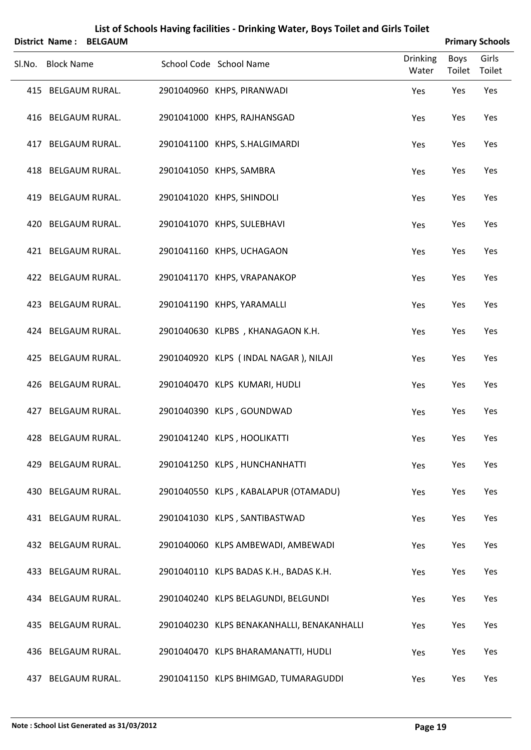|        |                    | District Name: BELGAUM |                                            |                          |                | <b>Primary Schools</b> |
|--------|--------------------|------------------------|--------------------------------------------|--------------------------|----------------|------------------------|
| SI.No. | <b>Block Name</b>  |                        | School Code School Name                    | <b>Drinking</b><br>Water | Boys<br>Toilet | Girls<br>Toilet        |
|        | 415 BELGAUM RURAL. |                        | 2901040960 KHPS, PIRANWADI                 | Yes                      | Yes            | Yes                    |
|        | 416 BELGAUM RURAL. |                        | 2901041000 KHPS, RAJHANSGAD                | Yes                      | Yes            | Yes                    |
|        | 417 BELGAUM RURAL. |                        | 2901041100 KHPS, S.HALGIMARDI              | Yes                      | Yes            | Yes                    |
|        | 418 BELGAUM RURAL. |                        | 2901041050 KHPS, SAMBRA                    | Yes                      | Yes            | Yes                    |
|        | 419 BELGAUM RURAL. |                        | 2901041020 KHPS, SHINDOLI                  | Yes                      | Yes            | Yes                    |
|        | 420 BELGAUM RURAL. |                        | 2901041070 KHPS, SULEBHAVI                 | Yes                      | Yes            | Yes                    |
|        | 421 BELGAUM RURAL. |                        | 2901041160 KHPS, UCHAGAON                  | Yes                      | Yes            | Yes                    |
|        | 422 BELGAUM RURAL. |                        | 2901041170 KHPS, VRAPANAKOP                | Yes                      | Yes            | Yes                    |
|        | 423 BELGAUM RURAL. |                        | 2901041190 KHPS, YARAMALLI                 | Yes                      | Yes            | Yes                    |
|        | 424 BELGAUM RURAL. |                        | 2901040630 KLPBS, KHANAGAON K.H.           | Yes                      | Yes            | Yes                    |
|        | 425 BELGAUM RURAL. |                        | 2901040920 KLPS (INDAL NAGAR), NILAJI      | Yes                      | Yes            | Yes                    |
|        | 426 BELGAUM RURAL. |                        | 2901040470 KLPS KUMARI, HUDLI              | Yes                      | Yes            | Yes                    |
| 427    |                    | <b>BELGAUM RURAL.</b>  | 2901040390 KLPS, GOUNDWAD                  | Yes                      | Yes            | Yes                    |
|        | 428 BELGAUM RURAL. |                        | 2901041240 KLPS, HOOLIKATTI                | Yes                      | Yes            | Yes                    |
|        | 429 BELGAUM RURAL. |                        | 2901041250 KLPS, HUNCHANHATTI              | Yes                      | Yes            | Yes                    |
|        | 430 BELGAUM RURAL. |                        | 2901040550 KLPS, KABALAPUR (OTAMADU)       | Yes                      | Yes            | Yes                    |
|        | 431 BELGAUM RURAL. |                        | 2901041030 KLPS, SANTIBASTWAD              | Yes                      | Yes            | Yes                    |
|        | 432 BELGAUM RURAL. |                        | 2901040060 KLPS AMBEWADI, AMBEWADI         | Yes                      | Yes            | Yes                    |
|        | 433 BELGAUM RURAL. |                        | 2901040110 KLPS BADAS K.H., BADAS K.H.     | Yes                      | Yes            | Yes                    |
|        | 434 BELGAUM RURAL. |                        | 2901040240 KLPS BELAGUNDI, BELGUNDI        | Yes                      | Yes            | Yes                    |
|        | 435 BELGAUM RURAL. |                        | 2901040230 KLPS BENAKANHALLI, BENAKANHALLI | Yes                      | Yes            | Yes                    |
|        | 436 BELGAUM RURAL. |                        | 2901040470 KLPS BHARAMANATTI, HUDLI        | Yes                      | Yes            | Yes                    |
| 437    |                    | <b>BELGAUM RURAL.</b>  | 2901041150 KLPS BHIMGAD, TUMARAGUDDI       | Yes                      | Yes            | Yes                    |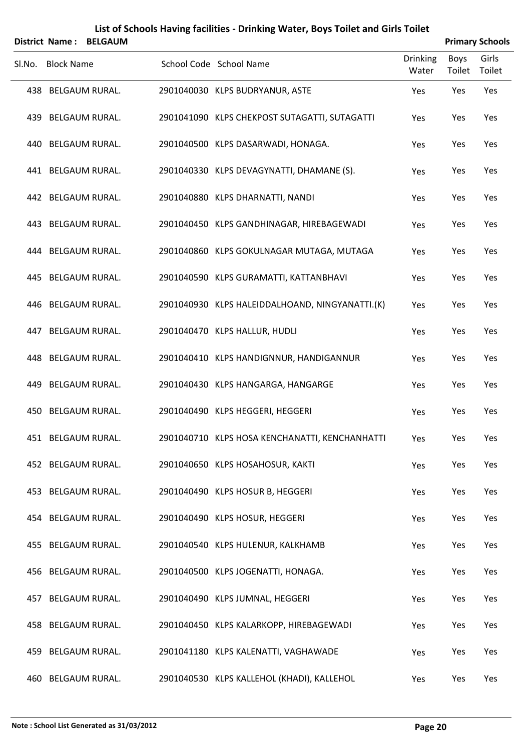|        |                       |                | List of Schools Having facilities - Drinking Water, Boys Toilet and Girls Toilet |                          |                |                        |
|--------|-----------------------|----------------|----------------------------------------------------------------------------------|--------------------------|----------------|------------------------|
|        | District Name:        | <b>BELGAUM</b> |                                                                                  |                          |                | <b>Primary Schools</b> |
| Sl.No. | <b>Block Name</b>     |                | School Code School Name                                                          | <b>Drinking</b><br>Water | Boys<br>Toilet | Girls<br>Toilet        |
|        | 438 BELGAUM RURAL.    |                | 2901040030 KLPS BUDRYANUR, ASTE                                                  | Yes                      | Yes            | Yes                    |
|        | 439 BELGAUM RURAL.    |                | 2901041090 KLPS CHEKPOST SUTAGATTI, SUTAGATTI                                    | Yes                      | Yes            | Yes                    |
|        | 440 BELGAUM RURAL.    |                | 2901040500 KLPS DASARWADI, HONAGA.                                               | Yes                      | Yes            | Yes                    |
|        | 441 BELGAUM RURAL.    |                | 2901040330 KLPS DEVAGYNATTI, DHAMANE (S).                                        | Yes                      | Yes            | Yes                    |
|        | 442 BELGAUM RURAL.    |                | 2901040880 KLPS DHARNATTI, NANDI                                                 | Yes                      | Yes            | Yes                    |
|        | 443 BELGAUM RURAL.    |                | 2901040450 KLPS GANDHINAGAR, HIREBAGEWADI                                        | Yes                      | Yes            | Yes                    |
|        | 444 BELGAUM RURAL.    |                | 2901040860 KLPS GOKULNAGAR MUTAGA, MUTAGA                                        | Yes                      | Yes            | Yes                    |
|        | 445 BELGAUM RURAL.    |                | 2901040590 KLPS GURAMATTI, KATTANBHAVI                                           | Yes                      | Yes            | Yes                    |
|        | 446 BELGAUM RURAL.    |                | 2901040930 KLPS HALEIDDALHOAND, NINGYANATTI.(K)                                  | Yes                      | Yes            | Yes                    |
| 447    | <b>BELGAUM RURAL.</b> |                | 2901040470 KLPS HALLUR, HUDLI                                                    | Yes                      | Yes            | Yes                    |
|        | 448 BELGAUM RURAL.    |                | 2901040410 KLPS HANDIGNNUR, HANDIGANNUR                                          | Yes                      | Yes            | Yes                    |
| 449    | <b>BELGAUM RURAL.</b> |                | 2901040430 KLPS HANGARGA, HANGARGE                                               | Yes                      | Yes            | Yes                    |
|        | 450 BELGAUM RURAL.    |                | 2901040490 KLPS HEGGERI, HEGGERI                                                 | Yes                      | Yes            | Yes                    |
|        | 451 BELGAUM RURAL.    |                | 2901040710 KLPS HOSA KENCHANATTI, KENCHANHATTI                                   | Yes                      | Yes            | Yes                    |
|        | 452 BELGAUM RURAL.    |                | 2901040650 KLPS HOSAHOSUR, KAKTI                                                 | Yes                      | Yes            | Yes                    |
|        | 453 BELGAUM RURAL.    |                | 2901040490 KLPS HOSUR B, HEGGERI                                                 | Yes                      | Yes            | Yes                    |
|        | 454 BELGAUM RURAL.    |                | 2901040490 KLPS HOSUR, HEGGERI                                                   | Yes                      | Yes            | Yes                    |
|        | 455 BELGAUM RURAL.    |                | 2901040540 KLPS HULENUR, KALKHAMB                                                | Yes                      | Yes            | Yes                    |
|        | 456 BELGAUM RURAL.    |                | 2901040500 KLPS JOGENATTI, HONAGA.                                               | Yes                      | Yes            | Yes                    |
| 457    | <b>BELGAUM RURAL.</b> |                | 2901040490 KLPS JUMNAL, HEGGERI                                                  | Yes                      | Yes            | Yes                    |
|        | 458 BELGAUM RURAL.    |                | 2901040450 KLPS KALARKOPP, HIREBAGEWADI                                          | Yes                      | Yes            | Yes                    |
|        | 459 BELGAUM RURAL.    |                | 2901041180 KLPS KALENATTI, VAGHAWADE                                             | Yes                      | Yes            | Yes                    |
|        |                       |                |                                                                                  |                          |                |                        |

460 BELGAUM RURAL. 2901040530 KLPS KALLEHOL (KHADI), KALLEHOL Yes Yes Yes Yes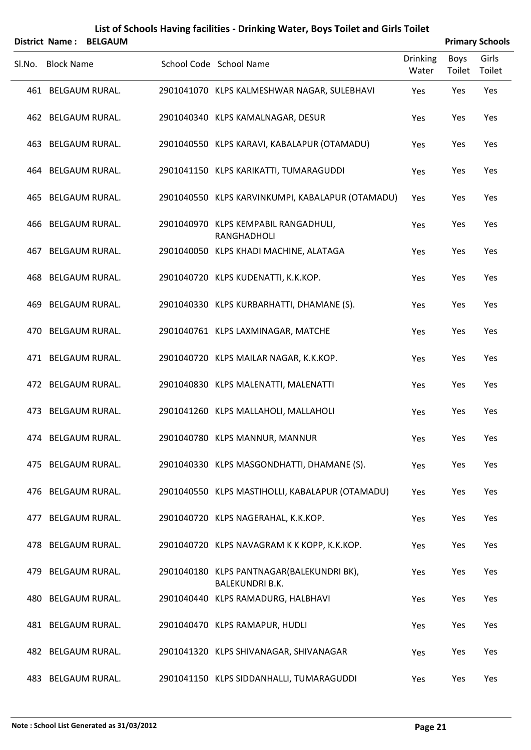|        | District Name:    | <b>BELGAUM</b>     |                                                                     |                          |                | <b>Primary Schools</b> |
|--------|-------------------|--------------------|---------------------------------------------------------------------|--------------------------|----------------|------------------------|
| Sl.No. | <b>Block Name</b> |                    | School Code School Name                                             | <b>Drinking</b><br>Water | Boys<br>Toilet | Girls<br>Toilet        |
|        |                   | 461 BELGAUM RURAL. | 2901041070 KLPS KALMESHWAR NAGAR, SULEBHAVI                         | Yes                      | Yes            | Yes                    |
|        |                   | 462 BELGAUM RURAL. | 2901040340 KLPS KAMALNAGAR, DESUR                                   | Yes                      | Yes            | Yes                    |
|        |                   | 463 BELGAUM RURAL. | 2901040550 KLPS KARAVI, KABALAPUR (OTAMADU)                         | Yes                      | Yes            | Yes                    |
|        |                   | 464 BELGAUM RURAL. | 2901041150 KLPS KARIKATTI, TUMARAGUDDI                              | Yes                      | Yes            | Yes                    |
|        |                   | 465 BELGAUM RURAL. | 2901040550 KLPS KARVINKUMPI, KABALAPUR (OTAMADU)                    | Yes                      | Yes            | Yes                    |
|        |                   | 466 BELGAUM RURAL. | 2901040970 KLPS KEMPABIL RANGADHULI,<br>RANGHADHOLI                 | Yes                      | Yes            | Yes                    |
|        |                   | 467 BELGAUM RURAL. | 2901040050 KLPS KHADI MACHINE, ALATAGA                              | Yes                      | Yes            | Yes                    |
|        |                   | 468 BELGAUM RURAL. | 2901040720 KLPS KUDENATTI, K.K.KOP.                                 | Yes                      | Yes            | Yes                    |
|        |                   | 469 BELGAUM RURAL. | 2901040330 KLPS KURBARHATTI, DHAMANE (S).                           | Yes                      | Yes            | Yes                    |
|        |                   | 470 BELGAUM RURAL. | 2901040761 KLPS LAXMINAGAR, MATCHE                                  | Yes                      | Yes            | Yes                    |
|        |                   | 471 BELGAUM RURAL. | 2901040720 KLPS MAILAR NAGAR, K.K.KOP.                              | Yes                      | Yes            | Yes                    |
|        |                   | 472 BELGAUM RURAL. | 2901040830 KLPS MALENATTI, MALENATTI                                | Yes                      | Yes            | Yes                    |
|        |                   | 473 BELGAUM RURAL. | 2901041260 KLPS MALLAHOLI, MALLAHOLI                                | Yes                      | Yes            | Yes                    |
|        |                   | 474 BELGAUM RURAL. | 2901040780 KLPS MANNUR, MANNUR                                      | Yes                      | Yes            | Yes                    |
|        |                   | 475 BELGAUM RURAL. | 2901040330 KLPS MASGONDHATTI, DHAMANE (S).                          | Yes                      | Yes            | Yes                    |
|        |                   | 476 BELGAUM RURAL. | 2901040550 KLPS MASTIHOLLI, KABALAPUR (OTAMADU)                     | Yes                      | Yes            | Yes                    |
|        |                   | 477 BELGAUM RURAL. | 2901040720 KLPS NAGERAHAL, K.K.KOP.                                 | Yes                      | Yes            | Yes                    |
|        |                   | 478 BELGAUM RURAL. | 2901040720 KLPS NAVAGRAM K K KOPP, K.K.KOP.                         | Yes                      | Yes            | Yes                    |
|        |                   | 479 BELGAUM RURAL. | 2901040180 KLPS PANTNAGAR(BALEKUNDRI BK),<br><b>BALEKUNDRI B.K.</b> | Yes                      | Yes            | Yes                    |
|        |                   | 480 BELGAUM RURAL. | 2901040440 KLPS RAMADURG, HALBHAVI                                  | Yes                      | Yes            | Yes                    |
|        |                   | 481 BELGAUM RURAL. | 2901040470 KLPS RAMAPUR, HUDLI                                      | Yes                      | Yes            | Yes                    |
|        |                   | 482 BELGAUM RURAL. | 2901041320 KLPS SHIVANAGAR, SHIVANAGAR                              | Yes                      | Yes            | Yes                    |
|        |                   | 483 BELGAUM RURAL. | 2901041150 KLPS SIDDANHALLI, TUMARAGUDDI                            | Yes                      | Yes            | Yes                    |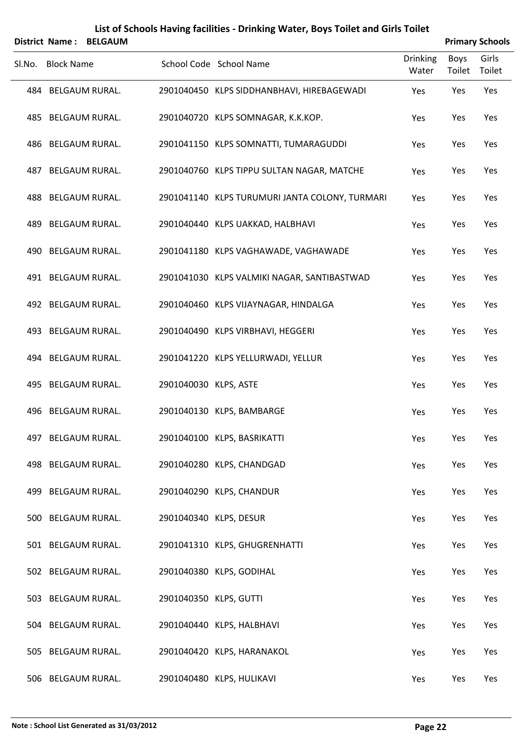|        | District Name:    | <b>BELGAUM</b>     |                        |                                                |                          |                | <b>Primary Schools</b> |
|--------|-------------------|--------------------|------------------------|------------------------------------------------|--------------------------|----------------|------------------------|
| SI.No. | <b>Block Name</b> |                    |                        | School Code School Name                        | <b>Drinking</b><br>Water | Boys<br>Toilet | Girls<br>Toilet        |
|        |                   | 484 BELGAUM RURAL. |                        | 2901040450 KLPS SIDDHANBHAVI, HIREBAGEWADI     | Yes                      | Yes            | Yes                    |
|        |                   | 485 BELGAUM RURAL. |                        | 2901040720 KLPS SOMNAGAR, K.K.KOP.             | Yes                      | Yes            | Yes                    |
|        |                   | 486 BELGAUM RURAL. |                        | 2901041150 KLPS SOMNATTI, TUMARAGUDDI          | Yes                      | Yes            | Yes                    |
|        |                   | 487 BELGAUM RURAL. |                        | 2901040760 KLPS TIPPU SULTAN NAGAR, MATCHE     | Yes                      | Yes            | Yes                    |
|        |                   | 488 BELGAUM RURAL. |                        | 2901041140 KLPS TURUMURI JANTA COLONY, TURMARI | Yes                      | Yes            | Yes                    |
|        |                   | 489 BELGAUM RURAL. |                        | 2901040440 KLPS UAKKAD, HALBHAVI               | Yes                      | Yes            | Yes                    |
|        |                   | 490 BELGAUM RURAL. |                        | 2901041180 KLPS VAGHAWADE, VAGHAWADE           | Yes                      | Yes            | Yes                    |
|        |                   | 491 BELGAUM RURAL. |                        | 2901041030 KLPS VALMIKI NAGAR, SANTIBASTWAD    | Yes                      | Yes            | Yes                    |
|        |                   | 492 BELGAUM RURAL. |                        | 2901040460 KLPS VIJAYNAGAR, HINDALGA           | Yes                      | Yes            | Yes                    |
|        |                   | 493 BELGAUM RURAL. |                        | 2901040490 KLPS VIRBHAVI, HEGGERI              | Yes                      | Yes            | Yes                    |
|        |                   | 494 BELGAUM RURAL. |                        | 2901041220 KLPS YELLURWADI, YELLUR             | Yes                      | Yes            | Yes                    |
|        |                   | 495 BELGAUM RURAL. | 2901040030 KLPS, ASTE  |                                                | Yes                      | Yes            | Yes                    |
|        |                   | 496 BELGAUM RURAL. |                        | 2901040130 KLPS, BAMBARGE                      | Yes                      | Yes            | Yes                    |
|        |                   | 497 BELGAUM RURAL. |                        | 2901040100 KLPS, BASRIKATTI                    | Yes                      | Yes            | Yes                    |
|        |                   | 498 BELGAUM RURAL. |                        | 2901040280 KLPS, CHANDGAD                      | Yes                      | Yes            | Yes                    |
|        |                   | 499 BELGAUM RURAL. |                        | 2901040290 KLPS, CHANDUR                       | Yes                      | Yes            | Yes                    |
|        |                   | 500 BELGAUM RURAL. | 2901040340 KLPS, DESUR |                                                | Yes                      | Yes            | Yes                    |
|        |                   | 501 BELGAUM RURAL. |                        | 2901041310 KLPS, GHUGRENHATTI                  | Yes                      | Yes            | Yes                    |
|        |                   | 502 BELGAUM RURAL. |                        | 2901040380 KLPS, GODIHAL                       | Yes                      | Yes            | Yes                    |
|        |                   | 503 BELGAUM RURAL. | 2901040350 KLPS, GUTTI |                                                | Yes                      | Yes            | Yes                    |
|        |                   | 504 BELGAUM RURAL. |                        | 2901040440 KLPS, HALBHAVI                      | Yes                      | Yes            | Yes                    |
|        |                   | 505 BELGAUM RURAL. |                        | 2901040420 KLPS, HARANAKOL                     | Yes                      | Yes            | Yes                    |
|        |                   | 506 BELGAUM RURAL. |                        | 2901040480 KLPS, HULIKAVI                      | Yes                      | Yes            | Yes                    |

 $\overline{a}$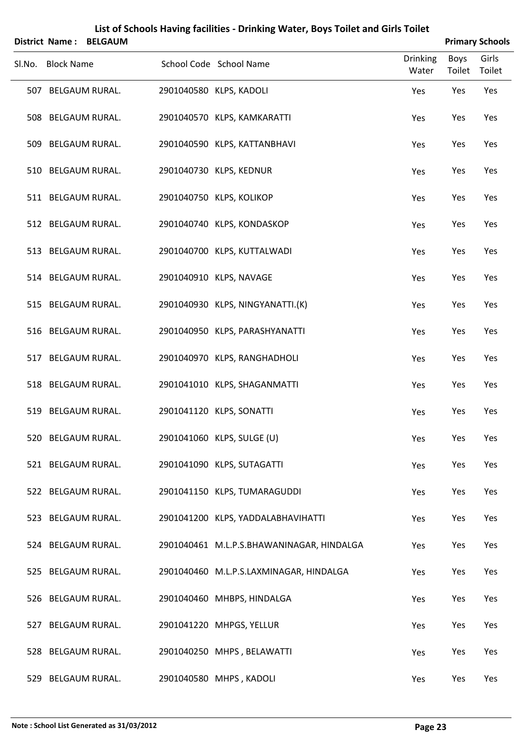| <b>District Name:</b> | <b>BELGAUM</b> |                                           |                          | <b>Primary Schools</b> |                 |
|-----------------------|----------------|-------------------------------------------|--------------------------|------------------------|-----------------|
| Sl.No. Block Name     |                | School Code School Name                   | <b>Drinking</b><br>Water | Boys<br>Toilet         | Girls<br>Toilet |
| 507 BELGAUM RURAL.    |                | 2901040580 KLPS, KADOLI                   | Yes                      | Yes                    | Yes             |
| 508 BELGAUM RURAL.    |                | 2901040570 KLPS, KAMKARATTI               | Yes                      | Yes                    | Yes             |
| 509 BELGAUM RURAL.    |                | 2901040590 KLPS, KATTANBHAVI              | Yes                      | Yes                    | Yes             |
| 510 BELGAUM RURAL.    |                | 2901040730 KLPS, KEDNUR                   | Yes                      | Yes                    | Yes             |
| 511 BELGAUM RURAL.    |                | 2901040750 KLPS, KOLIKOP                  | Yes                      | Yes                    | Yes             |
| 512 BELGAUM RURAL.    |                | 2901040740 KLPS, KONDASKOP                | Yes                      | Yes                    | Yes             |
| 513 BELGAUM RURAL.    |                | 2901040700 KLPS, KUTTALWADI               | Yes                      | Yes                    | Yes             |
| 514 BELGAUM RURAL.    |                | 2901040910 KLPS, NAVAGE                   | Yes                      | Yes                    | Yes             |
| 515 BELGAUM RURAL.    |                | 2901040930 KLPS, NINGYANATTI.(K)          | Yes                      | Yes                    | Yes             |
| 516 BELGAUM RURAL.    |                | 2901040950 KLPS, PARASHYANATTI            | Yes                      | Yes                    | Yes             |
| 517 BELGAUM RURAL.    |                | 2901040970 KLPS, RANGHADHOLI              | Yes                      | Yes                    | Yes             |
| 518 BELGAUM RURAL.    |                | 2901041010 KLPS, SHAGANMATTI              | Yes                      | Yes                    | Yes             |
| 519 BELGAUM RURAL.    |                | 2901041120 KLPS, SONATTI                  | Yes                      | Yes                    | Yes             |
| 520 BELGAUM RURAL.    |                | 2901041060 KLPS, SULGE (U)                | Yes                      | Yes                    | Yes             |
| 521 BELGAUM RURAL.    |                | 2901041090 KLPS, SUTAGATTI                | Yes                      | Yes                    | Yes             |
| 522 BELGAUM RURAL.    |                | 2901041150 KLPS, TUMARAGUDDI              | Yes                      | Yes                    | Yes             |
| 523 BELGAUM RURAL.    |                | 2901041200 KLPS, YADDALABHAVIHATTI        | Yes                      | Yes                    | Yes             |
| 524 BELGAUM RURAL.    |                | 2901040461 M.L.P.S.BHAWANINAGAR, HINDALGA | Yes                      | Yes                    | Yes             |
| 525 BELGAUM RURAL.    |                | 2901040460 M.L.P.S.LAXMINAGAR, HINDALGA   | Yes                      | Yes                    | Yes             |
| 526 BELGAUM RURAL.    |                | 2901040460 MHBPS, HINDALGA                | Yes                      | Yes                    | Yes             |
| 527 BELGAUM RURAL.    |                | 2901041220 MHPGS, YELLUR                  | Yes                      | Yes                    | Yes             |
| 528 BELGAUM RURAL.    |                | 2901040250 MHPS, BELAWATTI                | Yes                      | Yes                    | Yes             |
| 529 BELGAUM RURAL.    |                | 2901040580 MHPS, KADOLI                   | Yes                      | Yes                    | Yes             |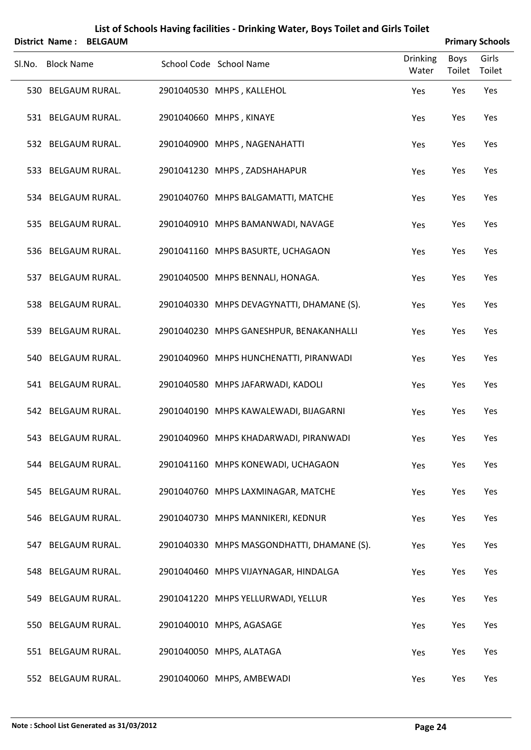|        |                    | District Name: BELGAUM |                                            |                          | <b>Primary Schools</b> |                 |
|--------|--------------------|------------------------|--------------------------------------------|--------------------------|------------------------|-----------------|
| SI.No. | <b>Block Name</b>  |                        | School Code School Name                    | <b>Drinking</b><br>Water | Boys<br>Toilet         | Girls<br>Toilet |
|        | 530 BELGAUM RURAL. |                        | 2901040530 MHPS, KALLEHOL                  | Yes                      | Yes                    | Yes             |
|        | 531 BELGAUM RURAL. |                        | 2901040660 MHPS, KINAYE                    | Yes                      | Yes                    | Yes             |
|        | 532 BELGAUM RURAL. |                        | 2901040900 MHPS, NAGENAHATTI               | Yes                      | Yes                    | Yes             |
|        | 533 BELGAUM RURAL. |                        | 2901041230 MHPS, ZADSHAHAPUR               | Yes                      | Yes                    | Yes             |
|        | 534 BELGAUM RURAL. |                        | 2901040760 MHPS BALGAMATTI, MATCHE         | Yes                      | Yes                    | Yes             |
|        | 535 BELGAUM RURAL. |                        | 2901040910 MHPS BAMANWADI, NAVAGE          | Yes                      | Yes                    | Yes             |
|        | 536 BELGAUM RURAL. |                        | 2901041160 MHPS BASURTE, UCHAGAON          | Yes                      | Yes                    | Yes             |
|        | 537 BELGAUM RURAL. |                        | 2901040500 MHPS BENNALI, HONAGA.           | Yes                      | Yes                    | Yes             |
|        | 538 BELGAUM RURAL. |                        | 2901040330 MHPS DEVAGYNATTI, DHAMANE (S).  | Yes                      | Yes                    | Yes             |
|        | 539 BELGAUM RURAL. |                        | 2901040230 MHPS GANESHPUR, BENAKANHALLI    | Yes                      | Yes                    | Yes             |
|        | 540 BELGAUM RURAL. |                        | 2901040960 MHPS HUNCHENATTI, PIRANWADI     | Yes                      | Yes                    | Yes             |
|        | 541 BELGAUM RURAL. |                        | 2901040580 MHPS JAFARWADI, KADOLI          | Yes                      | Yes                    | Yes             |
|        | 542 BELGAUM RURAL. |                        | 2901040190 MHPS KAWALEWADI, BIJAGARNI      | Yes                      | Yes                    | Yes             |
|        | 543 BELGAUM RURAL. |                        | 2901040960 MHPS KHADARWADI, PIRANWADI      | Yes                      | Yes                    | Yes             |
|        | 544 BELGAUM RURAL. |                        | 2901041160 MHPS KONEWADI, UCHAGAON         | Yes                      | Yes                    | Yes             |
|        | 545 BELGAUM RURAL. |                        | 2901040760 MHPS LAXMINAGAR, MATCHE         | Yes                      | Yes                    | Yes             |
|        | 546 BELGAUM RURAL. |                        | 2901040730 MHPS MANNIKERI, KEDNUR          | Yes                      | Yes                    | Yes             |
|        | 547 BELGAUM RURAL. |                        | 2901040330 MHPS MASGONDHATTI, DHAMANE (S). | Yes                      | Yes                    | Yes             |
|        | 548 BELGAUM RURAL. |                        | 2901040460 MHPS VIJAYNAGAR, HINDALGA       | Yes                      | Yes                    | Yes             |
|        | 549 BELGAUM RURAL. |                        | 2901041220 MHPS YELLURWADI, YELLUR         | Yes                      | Yes                    | Yes             |
|        | 550 BELGAUM RURAL. |                        | 2901040010 MHPS, AGASAGE                   | Yes                      | Yes                    | Yes             |
|        | 551 BELGAUM RURAL. |                        | 2901040050 MHPS, ALATAGA                   | Yes                      | Yes                    | Yes             |
|        | 552 BELGAUM RURAL. |                        | 2901040060 MHPS, AMBEWADI                  | Yes                      | Yes                    | Yes             |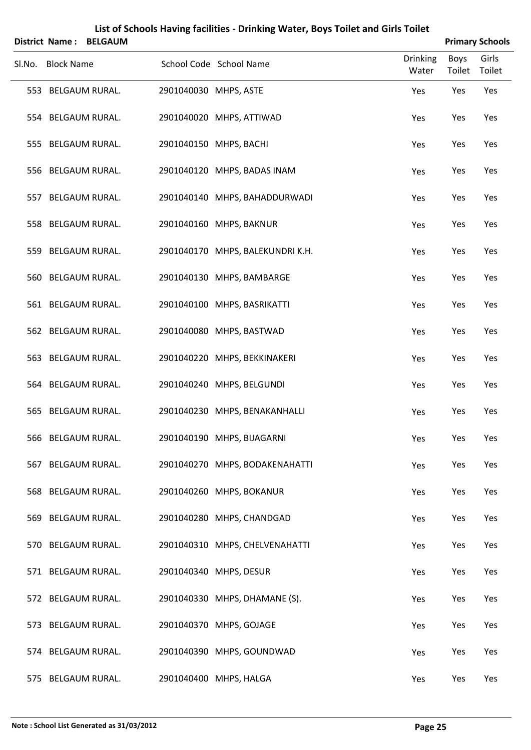|        |                    | District Name: BELGAUM |                       |                                  |                          |                | <b>Primary Schools</b> |
|--------|--------------------|------------------------|-----------------------|----------------------------------|--------------------------|----------------|------------------------|
| SI.No. | <b>Block Name</b>  |                        |                       | School Code School Name          | <b>Drinking</b><br>Water | Boys<br>Toilet | Girls<br>Toilet        |
|        | 553 BELGAUM RURAL. |                        | 2901040030 MHPS, ASTE |                                  | Yes                      | Yes            | Yes                    |
|        | 554 BELGAUM RURAL. |                        |                       | 2901040020 MHPS, ATTIWAD         | Yes                      | Yes            | Yes                    |
|        | 555 BELGAUM RURAL. |                        |                       | 2901040150 MHPS, BACHI           | Yes                      | Yes            | Yes                    |
|        | 556 BELGAUM RURAL. |                        |                       | 2901040120 MHPS, BADAS INAM      | Yes                      | Yes            | Yes                    |
|        | 557 BELGAUM RURAL. |                        |                       | 2901040140 MHPS, BAHADDURWADI    | Yes                      | Yes            | Yes                    |
|        | 558 BELGAUM RURAL. |                        |                       | 2901040160 MHPS, BAKNUR          | Yes                      | Yes            | Yes                    |
|        | 559 BELGAUM RURAL. |                        |                       | 2901040170 MHPS, BALEKUNDRI K.H. | Yes                      | Yes            | Yes                    |
|        | 560 BELGAUM RURAL. |                        |                       | 2901040130 MHPS, BAMBARGE        | Yes                      | Yes            | Yes                    |
|        | 561 BELGAUM RURAL. |                        |                       | 2901040100 MHPS, BASRIKATTI      | Yes                      | Yes            | Yes                    |
|        | 562 BELGAUM RURAL. |                        |                       | 2901040080 MHPS, BASTWAD         | Yes                      | Yes            | Yes                    |
|        | 563 BELGAUM RURAL. |                        |                       | 2901040220 MHPS, BEKKINAKERI     | Yes                      | Yes            | Yes                    |
|        | 564 BELGAUM RURAL. |                        |                       | 2901040240 MHPS, BELGUNDI        | Yes                      | Yes            | Yes                    |
|        | 565 BELGAUM RURAL. |                        |                       | 2901040230 MHPS, BENAKANHALLI    | Yes                      | Yes            | Yes                    |
|        | 566 BELGAUM RURAL. |                        |                       | 2901040190 MHPS, BIJAGARNI       | Yes                      | Yes            | Yes                    |
|        | 567 BELGAUM RURAL. |                        |                       | 2901040270 MHPS, BODAKENAHATTI   | Yes                      | Yes            | Yes                    |
|        | 568 BELGAUM RURAL. |                        |                       | 2901040260 MHPS, BOKANUR         | Yes                      | Yes            | Yes                    |
|        | 569 BELGAUM RURAL. |                        |                       | 2901040280 MHPS, CHANDGAD        | Yes                      | Yes            | Yes                    |
|        | 570 BELGAUM RURAL. |                        |                       | 2901040310 MHPS, CHELVENAHATTI   | Yes                      | Yes            | Yes                    |
|        | 571 BELGAUM RURAL. |                        |                       | 2901040340 MHPS, DESUR           | Yes                      | Yes            | Yes                    |
|        | 572 BELGAUM RURAL. |                        |                       | 2901040330 MHPS, DHAMANE (S).    | Yes                      | Yes            | Yes                    |
|        | 573 BELGAUM RURAL. |                        |                       | 2901040370 MHPS, GOJAGE          | Yes                      | Yes            | Yes                    |
|        | 574 BELGAUM RURAL. |                        |                       | 2901040390 MHPS, GOUNDWAD        | Yes                      | Yes            | Yes                    |
|        | 575 BELGAUM RURAL. |                        |                       | 2901040400 MHPS, HALGA           | Yes                      | Yes            | Yes                    |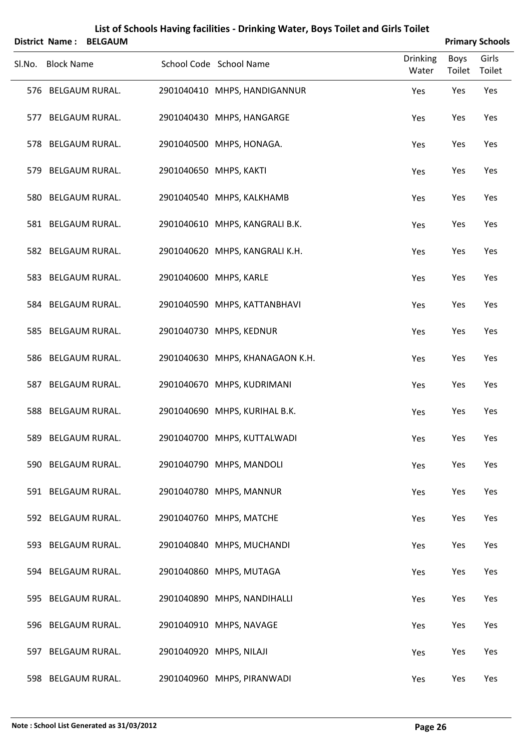|        |                   | District Name: BELGAUM |                        |                                 |                          |                | <b>Primary Schools</b> |
|--------|-------------------|------------------------|------------------------|---------------------------------|--------------------------|----------------|------------------------|
| Sl.No. | <b>Block Name</b> |                        |                        | School Code School Name         | <b>Drinking</b><br>Water | Boys<br>Toilet | Girls<br>Toilet        |
|        |                   | 576 BELGAUM RURAL.     |                        | 2901040410 MHPS, HANDIGANNUR    | Yes                      | Yes            | Yes                    |
|        |                   | 577 BELGAUM RURAL.     |                        | 2901040430 MHPS, HANGARGE       | Yes                      | Yes            | Yes                    |
|        |                   | 578 BELGAUM RURAL.     |                        | 2901040500 MHPS, HONAGA.        | Yes                      | Yes            | Yes                    |
|        |                   | 579 BELGAUM RURAL.     | 2901040650 MHPS, KAKTI |                                 | Yes                      | Yes            | Yes                    |
|        |                   | 580 BELGAUM RURAL.     |                        | 2901040540 MHPS, KALKHAMB       | Yes                      | Yes            | Yes                    |
|        |                   | 581 BELGAUM RURAL.     |                        | 2901040610 MHPS, KANGRALI B.K.  | Yes                      | Yes            | Yes                    |
|        |                   | 582 BELGAUM RURAL.     |                        | 2901040620 MHPS, KANGRALI K.H.  | Yes                      | Yes            | Yes                    |
|        |                   | 583 BELGAUM RURAL.     |                        | 2901040600 MHPS, KARLE          | Yes                      | Yes            | Yes                    |
|        |                   | 584 BELGAUM RURAL.     |                        | 2901040590 MHPS, KATTANBHAVI    | Yes                      | Yes            | Yes                    |
|        |                   | 585 BELGAUM RURAL.     |                        | 2901040730 MHPS, KEDNUR         | Yes                      | Yes            | Yes                    |
|        |                   | 586 BELGAUM RURAL.     |                        | 2901040630 MHPS, KHANAGAON K.H. | Yes                      | Yes            | Yes                    |
|        |                   | 587 BELGAUM RURAL.     |                        | 2901040670 MHPS, KUDRIMANI      | Yes                      | Yes            | Yes                    |
|        |                   | 588 BELGAUM RURAL.     |                        | 2901040690 MHPS, KURIHAL B.K.   | Yes                      | Yes            | Yes                    |
|        |                   | 589 BELGAUM RURAL.     |                        | 2901040700 MHPS, KUTTALWADI     | Yes                      | Yes            | Yes                    |
|        |                   | 590 BELGAUM RURAL.     |                        | 2901040790 MHPS, MANDOLI        | Yes                      | Yes            | Yes                    |
|        |                   | 591 BELGAUM RURAL.     |                        | 2901040780 MHPS, MANNUR         | Yes                      | Yes            | Yes                    |
|        |                   | 592 BELGAUM RURAL.     |                        | 2901040760 MHPS, MATCHE         | Yes                      | Yes            | Yes                    |
|        |                   | 593 BELGAUM RURAL.     |                        | 2901040840 MHPS, MUCHANDI       | Yes                      | Yes            | Yes                    |
|        |                   | 594 BELGAUM RURAL.     |                        | 2901040860 MHPS, MUTAGA         | Yes                      | Yes            | Yes                    |
|        |                   | 595 BELGAUM RURAL.     |                        | 2901040890 MHPS, NANDIHALLI     | Yes                      | Yes            | Yes                    |
|        |                   | 596 BELGAUM RURAL.     |                        | 2901040910 MHPS, NAVAGE         | Yes                      | Yes            | Yes                    |
|        |                   | 597 BELGAUM RURAL.     |                        | 2901040920 MHPS, NILAJI         | Yes                      | Yes            | Yes                    |
|        |                   | 598 BELGAUM RURAL.     |                        | 2901040960 MHPS, PIRANWADI      | Yes                      | Yes            | Yes                    |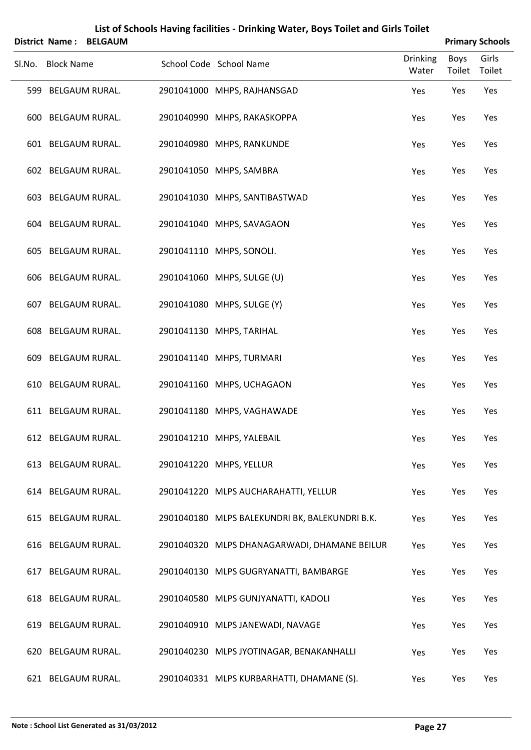|        | <b>District Name:</b> | <b>BELGAUM</b> | List of Schools Having facilities - Drinking Water, Boys Toilet and Girls Toilet |                          |                       | <b>Primary Schools</b> |
|--------|-----------------------|----------------|----------------------------------------------------------------------------------|--------------------------|-----------------------|------------------------|
| Sl.No. | <b>Block Name</b>     |                | School Code School Name                                                          | <b>Drinking</b><br>Water | <b>Boys</b><br>Toilet | Girls<br>Toilet        |
|        | 599 BELGAUM RURAL.    |                | 2901041000 MHPS, RAJHANSGAD                                                      | Yes                      | Yes                   | Yes                    |
|        | 600 BELGAUM RURAL.    |                | 2901040990 MHPS, RAKASKOPPA                                                      | Yes                      | Yes                   | Yes                    |
|        | 601 BELGAUM RURAL.    |                | 2901040980 MHPS, RANKUNDE                                                        | Yes                      | Yes                   | Yes                    |
|        | 602 BELGAUM RURAL.    |                | 2901041050 MHPS, SAMBRA                                                          | Yes                      | Yes                   | Yes                    |
|        | 603 BELGAUM RURAL.    |                | 2901041030 MHPS, SANTIBASTWAD                                                    | Yes                      | Yes                   | Yes                    |
|        | 604 BELGAUM RURAL.    |                | 2901041040 MHPS, SAVAGAON                                                        | Yes                      | Yes                   | Yes                    |
|        | 605 BELGAUM RURAL.    |                | 2901041110 MHPS, SONOLI.                                                         | Yes                      | Yes                   | Yes                    |
|        | 606 BELGAUM RURAL.    |                | 2901041060 MHPS, SULGE (U)                                                       | Yes                      | Yes                   | Yes                    |
|        | 607 BELGAUM RURAL.    |                | 2901041080 MHPS, SULGE (Y)                                                       | Yes                      | Yes                   | Yes                    |
|        | 608 BELGAUM RURAL.    |                | 2901041130 MHPS, TARIHAL                                                         | Yes                      | Yes                   | Yes                    |
|        | 609 BELGAUM RURAL.    |                | 2901041140 MHPS, TURMARI                                                         | Yes                      | Yes                   | Yes                    |
|        | 610 BELGAUM RURAL.    |                | 2901041160 MHPS, UCHAGAON                                                        | Yes                      | Yes                   | Yes                    |
|        | 611 BELGAUM RURAL.    |                | 2901041180 MHPS, VAGHAWADE                                                       | Yes                      | Yes                   | Yes                    |
|        | 612 BELGAUM RURAL.    |                | 2901041210 MHPS, YALEBAIL                                                        | Yes                      | Yes                   | Yes                    |
|        | 613 BELGAUM RURAL.    |                | 2901041220 MHPS, YELLUR                                                          | Yes                      | Yes                   | Yes                    |
|        | 614 BELGAUM RURAL.    |                | 2901041220 MLPS AUCHARAHATTI, YELLUR                                             | Yes                      | Yes                   | Yes                    |
|        | 615 BELGAUM RURAL.    |                | 2901040180 MLPS BALEKUNDRI BK, BALEKUNDRI B.K.                                   | Yes                      | Yes                   | Yes                    |
|        | 616 BELGAUM RURAL.    |                | 2901040320 MLPS DHANAGARWADI, DHAMANE BEILUR                                     | Yes                      | Yes                   | Yes                    |
|        | 617 BELGAUM RURAL.    |                | 2901040130 MLPS GUGRYANATTI, BAMBARGE                                            | Yes                      | Yes                   | Yes                    |
|        | 618 BELGAUM RURAL.    |                | 2901040580 MLPS GUNJYANATTI, KADOLI                                              | Yes                      | Yes                   | Yes                    |
|        | 619 BELGAUM RURAL.    |                | 2901040910 MLPS JANEWADI, NAVAGE                                                 | Yes                      | Yes                   | Yes                    |
|        | 620 BELGAUM RURAL.    |                | 2901040230 MLPS JYOTINAGAR, BENAKANHALLI                                         | Yes                      | Yes                   | Yes                    |
|        | 621 BELGAUM RURAL.    |                | 2901040331 MLPS KURBARHATTI, DHAMANE (S).                                        | Yes                      | Yes                   | Yes                    |

#### **Note : School List Generated as 31/03/2012 Page 27**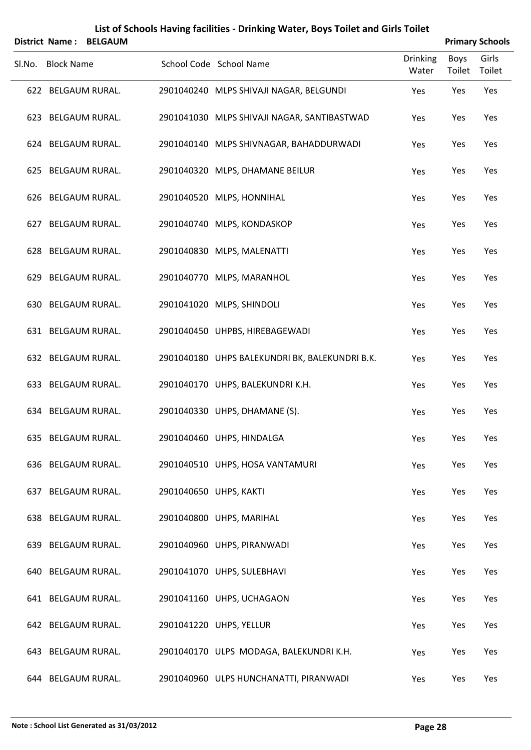|     |                   | District Name: BELGAUM |                        |                                                |                          |                | <b>Primary Schools</b> |
|-----|-------------------|------------------------|------------------------|------------------------------------------------|--------------------------|----------------|------------------------|
|     | Sl.No. Block Name |                        |                        | School Code School Name                        | <b>Drinking</b><br>Water | Boys<br>Toilet | Girls<br>Toilet        |
|     |                   | 622 BELGAUM RURAL.     |                        | 2901040240 MLPS SHIVAJI NAGAR, BELGUNDI        | Yes                      | Yes            | Yes                    |
|     |                   | 623 BELGAUM RURAL.     |                        | 2901041030 MLPS SHIVAJI NAGAR, SANTIBASTWAD    | Yes                      | Yes            | Yes                    |
|     |                   | 624 BELGAUM RURAL.     |                        | 2901040140 MLPS SHIVNAGAR, BAHADDURWADI        | Yes                      | Yes            | Yes                    |
|     |                   | 625 BELGAUM RURAL.     |                        | 2901040320 MLPS, DHAMANE BEILUR                | Yes                      | Yes            | Yes                    |
|     |                   | 626 BELGAUM RURAL.     |                        | 2901040520 MLPS, HONNIHAL                      | Yes                      | Yes            | Yes                    |
|     |                   | 627 BELGAUM RURAL.     |                        | 2901040740 MLPS, KONDASKOP                     | Yes                      | Yes            | Yes                    |
|     |                   | 628 BELGAUM RURAL.     |                        | 2901040830 MLPS, MALENATTI                     | Yes                      | Yes            | Yes                    |
|     |                   | 629 BELGAUM RURAL.     |                        | 2901040770 MLPS, MARANHOL                      | Yes                      | Yes            | Yes                    |
|     |                   | 630 BELGAUM RURAL.     |                        | 2901041020 MLPS, SHINDOLI                      | Yes                      | Yes            | Yes                    |
|     |                   | 631 BELGAUM RURAL.     |                        | 2901040450 UHPBS, HIREBAGEWADI                 | Yes                      | Yes            | Yes                    |
|     |                   | 632 BELGAUM RURAL.     |                        | 2901040180 UHPS BALEKUNDRI BK, BALEKUNDRI B.K. | Yes                      | Yes            | Yes                    |
|     |                   | 633 BELGAUM RURAL.     |                        | 2901040170 UHPS, BALEKUNDRI K.H.               | Yes                      | Yes            | Yes                    |
| 634 |                   | <b>BELGAUM RURAL.</b>  |                        | 2901040330 UHPS, DHAMANE (S).                  | Yes                      | Yes            | Yes                    |
|     |                   | 635 BELGAUM RURAL.     |                        | 2901040460 UHPS, HINDALGA                      | Yes                      | Yes            | Yes                    |
|     |                   | 636 BELGAUM RURAL.     |                        | 2901040510 UHPS, HOSA VANTAMURI                | Yes                      | Yes            | Yes                    |
|     |                   | 637 BELGAUM RURAL.     | 2901040650 UHPS, KAKTI |                                                | Yes                      | Yes            | Yes                    |
|     |                   | 638 BELGAUM RURAL.     |                        | 2901040800 UHPS, MARIHAL                       | Yes                      | Yes            | Yes                    |
|     |                   | 639 BELGAUM RURAL.     |                        | 2901040960 UHPS, PIRANWADI                     | Yes                      | Yes            | Yes                    |
|     |                   | 640 BELGAUM RURAL.     |                        | 2901041070 UHPS, SULEBHAVI                     | Yes                      | Yes            | Yes                    |
|     |                   | 641 BELGAUM RURAL.     |                        | 2901041160 UHPS, UCHAGAON                      | Yes                      | Yes            | Yes                    |
|     |                   | 642 BELGAUM RURAL.     |                        | 2901041220 UHPS, YELLUR                        | Yes                      | Yes            | Yes                    |
|     |                   | 643 BELGAUM RURAL.     |                        | 2901040170 ULPS MODAGA, BALEKUNDRI K.H.        | Yes                      | Yes            | Yes                    |
| 644 |                   | <b>BELGAUM RURAL.</b>  |                        | 2901040960 ULPS HUNCHANATTI, PIRANWADI         | Yes                      | Yes            | Yes                    |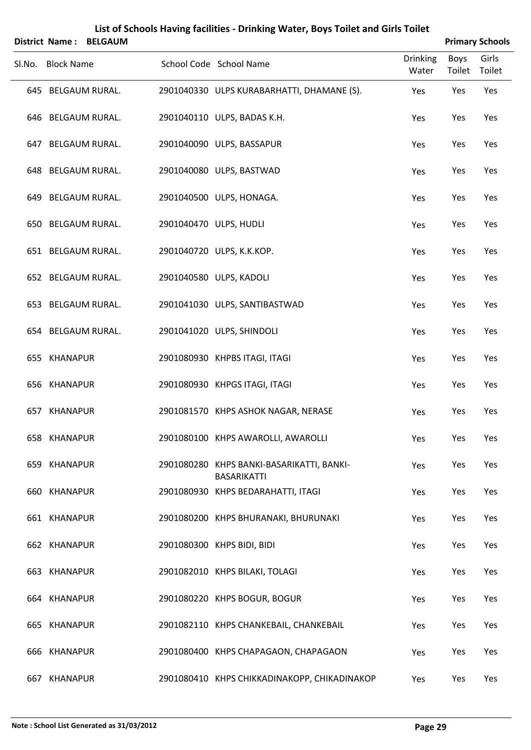|        | District Name:    | <b>BELGAUM</b>     |                        |                                                                 |                          |                | <b>Primary Schools</b> |
|--------|-------------------|--------------------|------------------------|-----------------------------------------------------------------|--------------------------|----------------|------------------------|
| Sl.No. | <b>Block Name</b> |                    |                        | School Code School Name                                         | <b>Drinking</b><br>Water | Boys<br>Toilet | Girls<br>Toilet        |
|        |                   | 645 BELGAUM RURAL. |                        | 2901040330 ULPS KURABARHATTI, DHAMANE (S).                      | Yes                      | Yes            | Yes                    |
|        |                   | 646 BELGAUM RURAL. |                        | 2901040110 ULPS, BADAS K.H.                                     | Yes                      | Yes            | Yes                    |
|        |                   | 647 BELGAUM RURAL. |                        | 2901040090 ULPS, BASSAPUR                                       | Yes                      | Yes            | Yes                    |
|        |                   | 648 BELGAUM RURAL. |                        | 2901040080 ULPS, BASTWAD                                        | Yes                      | Yes            | Yes                    |
|        |                   | 649 BELGAUM RURAL. |                        | 2901040500 ULPS, HONAGA.                                        | Yes                      | Yes            | Yes                    |
|        |                   | 650 BELGAUM RURAL. | 2901040470 ULPS, HUDLI |                                                                 | Yes                      | Yes            | Yes                    |
|        |                   | 651 BELGAUM RURAL. |                        | 2901040720 ULPS, K.K.KOP.                                       | Yes                      | Yes            | Yes                    |
|        |                   | 652 BELGAUM RURAL. |                        | 2901040580 ULPS, KADOLI                                         | Yes                      | Yes            | Yes                    |
|        |                   | 653 BELGAUM RURAL. |                        | 2901041030 ULPS, SANTIBASTWAD                                   | Yes                      | Yes            | Yes                    |
|        |                   | 654 BELGAUM RURAL. |                        | 2901041020 ULPS, SHINDOLI                                       | Yes                      | Yes            | Yes                    |
|        | 655 KHANAPUR      |                    |                        | 2901080930 KHPBS ITAGI, ITAGI                                   | Yes                      | Yes            | Yes                    |
|        | 656 KHANAPUR      |                    |                        | 2901080930 KHPGS ITAGI, ITAGI                                   | Yes                      | Yes            | Yes                    |
|        | 657 KHANAPUR      |                    |                        | 2901081570 KHPS ASHOK NAGAR, NERASE                             | Yes                      | Yes            | Yes                    |
|        | 658 KHANAPUR      |                    |                        | 2901080100 KHPS AWAROLLI, AWAROLLI                              | Yes                      | Yes            | Yes                    |
|        | 659 KHANAPUR      |                    |                        | 2901080280 KHPS BANKI-BASARIKATTI, BANKI-<br><b>BASARIKATTI</b> | Yes                      | Yes            | Yes                    |
|        | 660 KHANAPUR      |                    |                        | 2901080930 KHPS BEDARAHATTI, ITAGI                              | Yes                      | Yes            | Yes                    |
|        | 661 KHANAPUR      |                    |                        | 2901080200 KHPS BHURANAKI, BHURUNAKI                            | Yes                      | Yes            | Yes                    |
|        | 662 KHANAPUR      |                    |                        | 2901080300 KHPS BIDI, BIDI                                      | Yes                      | Yes            | Yes                    |
|        | 663 KHANAPUR      |                    |                        | 2901082010 KHPS BILAKI, TOLAGI                                  | Yes                      | Yes            | Yes                    |
|        | 664 KHANAPUR      |                    |                        | 2901080220 KHPS BOGUR, BOGUR                                    | Yes                      | Yes            | Yes                    |
|        | 665 KHANAPUR      |                    |                        | 2901082110 KHPS CHANKEBAIL, CHANKEBAIL                          | Yes                      | Yes            | Yes                    |
|        | 666 KHANAPUR      |                    |                        | 2901080400 KHPS CHAPAGAON, CHAPAGAON                            | Yes                      | Yes            | Yes                    |
| 667    | <b>KHANAPUR</b>   |                    |                        | 2901080410 KHPS CHIKKADINAKOPP, CHIKADINAKOP                    | Yes                      | Yes            | Yes                    |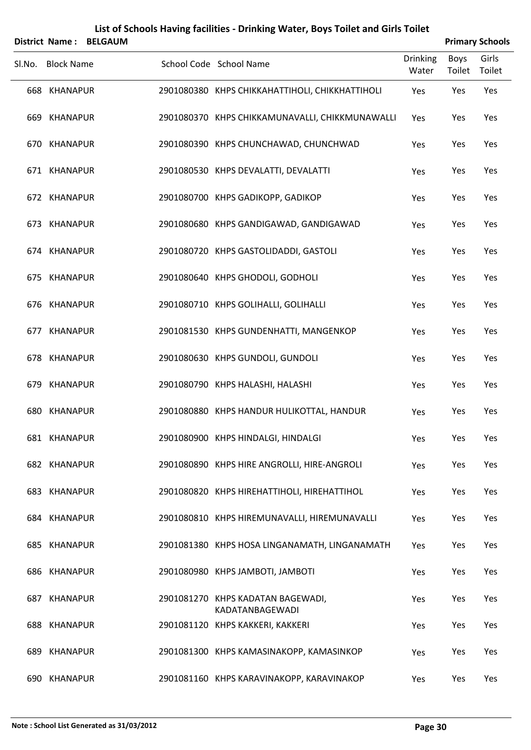|        | <b>District Name:</b> | <b>BELGAUM</b> | List of Schools Having facilities - Drinking Water, Boys Toilet and Girls Toilet |                          |                | <b>Primary Schools</b> |
|--------|-----------------------|----------------|----------------------------------------------------------------------------------|--------------------------|----------------|------------------------|
| Sl.No. | <b>Block Name</b>     |                | School Code School Name                                                          | <b>Drinking</b><br>Water | Boys<br>Toilet | Girls<br>Toilet        |
|        | 668 KHANAPUR          |                | 2901080380 KHPS CHIKKAHATTIHOLI, CHIKKHATTIHOLI                                  | Yes                      | Yes            | Yes                    |
|        | 669 KHANAPUR          |                | 2901080370 KHPS CHIKKAMUNAVALLI, CHIKKMUNAWALLI                                  | Yes                      | Yes            | Yes                    |
| 670    | <b>KHANAPUR</b>       |                | 2901080390 KHPS CHUNCHAWAD, CHUNCHWAD                                            | Yes                      | Yes            | Yes                    |
|        | 671 KHANAPUR          |                | 2901080530 KHPS DEVALATTI, DEVALATTI                                             | Yes                      | Yes            | Yes                    |
|        | 672 KHANAPUR          |                | 2901080700 KHPS GADIKOPP, GADIKOP                                                | Yes                      | Yes            | Yes                    |
|        | 673 KHANAPUR          |                | 2901080680 KHPS GANDIGAWAD, GANDIGAWAD                                           | Yes                      | Yes            | Yes                    |
|        | 674 KHANAPUR          |                | 2901080720 KHPS GASTOLIDADDI, GASTOLI                                            | Yes                      | Yes            | Yes                    |
|        | 675 KHANAPUR          |                | 2901080640 KHPS GHODOLI, GODHOLI                                                 | Yes                      | Yes            | Yes                    |
|        | 676 KHANAPUR          |                | 2901080710 KHPS GOLIHALLI, GOLIHALLI                                             | Yes                      | Yes            | Yes                    |
| 677.   | <b>KHANAPUR</b>       |                | 2901081530 KHPS GUNDENHATTI, MANGENKOP                                           | Yes                      | Yes            | Yes                    |
|        | 678 KHANAPUR          |                | 2901080630 KHPS GUNDOLI, GUNDOLI                                                 | Yes                      | Yes            | Yes                    |
| 679    | <b>KHANAPUR</b>       |                | 2901080790 KHPS HALASHI, HALASHI                                                 | Yes                      | Yes            | Yes                    |
| 680    | KHANAPUR              |                | 2901080880 KHPS HANDUR HULIKOTTAL, HANDUR                                        | Yes                      | Yes            | Yes                    |
|        | 681 KHANAPUR          |                | 2901080900 KHPS HINDALGI, HINDALGI                                               | Yes                      | Yes            | Yes                    |
|        | 682 KHANAPUR          |                | 2901080890 KHPS HIRE ANGROLLI, HIRE-ANGROLI                                      | Yes                      | Yes            | Yes                    |
|        | 683 KHANAPUR          |                | 2901080820 KHPS HIREHATTIHOLI, HIREHATTIHOL                                      | Yes                      | Yes            | Yes                    |
|        | 684 KHANAPUR          |                | 2901080810 KHPS HIREMUNAVALLI, HIREMUNAVALLI                                     | Yes                      | Yes            | Yes                    |
| 685    | KHANAPUR              |                | 2901081380 KHPS HOSA LINGANAMATH, LINGANAMATH                                    | Yes                      | Yes            | Yes                    |
|        | 686 KHANAPUR          |                | 2901080980 KHPS JAMBOTI, JAMBOTI                                                 | Yes                      | Yes            | Yes                    |
| 687    | <b>KHANAPUR</b>       |                | 2901081270 KHPS KADATAN BAGEWADI,                                                | Yes                      | Yes            | Yes                    |
|        | 688 KHANAPUR          |                | KADATANBAGEWADI<br>2901081120 KHPS KAKKERI, KAKKERI                              | Yes                      | Yes            | Yes                    |
| 689    | <b>KHANAPUR</b>       |                | 2901081300 KHPS KAMASINAKOPP, KAMASINKOP                                         | Yes                      | Yes            | Yes                    |
| 690    | <b>KHANAPUR</b>       |                | 2901081160 KHPS KARAVINAKOPP, KARAVINAKOP                                        | Yes                      | Yes            | Yes                    |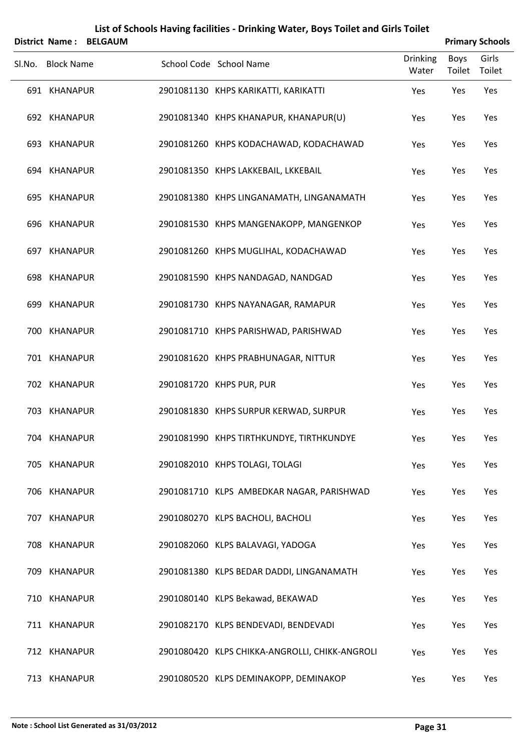| <b>District Name:</b> | <b>BELGAUM</b> |                                                |                          |                       | <b>Primary Schools</b> |
|-----------------------|----------------|------------------------------------------------|--------------------------|-----------------------|------------------------|
| Sl.No. Block Name     |                | School Code School Name                        | <b>Drinking</b><br>Water | <b>Boys</b><br>Toilet | Girls<br>Toilet        |
| 691 KHANAPUR          |                | 2901081130 KHPS KARIKATTI, KARIKATTI           | Yes                      | Yes                   | Yes                    |
| 692 KHANAPUR          |                | 2901081340 KHPS KHANAPUR, KHANAPUR(U)          | Yes                      | Yes                   | Yes                    |
| 693 KHANAPUR          |                | 2901081260 KHPS KODACHAWAD, KODACHAWAD         | Yes                      | Yes                   | Yes                    |
| 694 KHANAPUR          |                | 2901081350 KHPS LAKKEBAIL, LKKEBAIL            | Yes                      | Yes                   | Yes                    |
| 695 KHANAPUR          |                | 2901081380 KHPS LINGANAMATH, LINGANAMATH       | Yes                      | Yes                   | Yes                    |
| 696 KHANAPUR          |                | 2901081530 KHPS MANGENAKOPP, MANGENKOP         | Yes                      | Yes                   | Yes                    |
| 697 KHANAPUR          |                | 2901081260 KHPS MUGLIHAL, KODACHAWAD           | Yes                      | Yes                   | Yes                    |
| 698 KHANAPUR          |                | 2901081590 KHPS NANDAGAD, NANDGAD              | Yes                      | Yes                   | Yes                    |
| 699 KHANAPUR          |                | 2901081730 KHPS NAYANAGAR, RAMAPUR             | Yes                      | Yes                   | Yes                    |
| 700 KHANAPUR          |                | 2901081710 KHPS PARISHWAD, PARISHWAD           | Yes                      | Yes                   | Yes                    |
| 701 KHANAPUR          |                | 2901081620 KHPS PRABHUNAGAR, NITTUR            | Yes                      | Yes                   | Yes                    |
| 702 KHANAPUR          |                | 2901081720 KHPS PUR, PUR                       | Yes                      | Yes                   | Yes                    |
| 703 KHANAPUR          |                | 2901081830 KHPS SURPUR KERWAD, SURPUR          | Yes                      | Yes                   | Yes                    |
| 704 KHANAPUR          |                | 2901081990 KHPS TIRTHKUNDYE, TIRTHKUNDYE       | Yes                      | Yes                   | Yes                    |
| 705 KHANAPUR          |                | 2901082010 KHPS TOLAGI, TOLAGI                 | Yes                      | Yes                   | Yes                    |
| 706 KHANAPUR          |                | 2901081710 KLPS AMBEDKAR NAGAR, PARISHWAD      | Yes                      | Yes                   | Yes                    |
| 707 KHANAPUR          |                | 2901080270 KLPS BACHOLI, BACHOLI               | Yes                      | Yes                   | Yes                    |
| 708 KHANAPUR          |                | 2901082060 KLPS BALAVAGI, YADOGA               | Yes                      | Yes                   | Yes                    |
| 709 KHANAPUR          |                | 2901081380 KLPS BEDAR DADDI, LINGANAMATH       | Yes                      | Yes                   | Yes                    |
| 710 KHANAPUR          |                | 2901080140 KLPS Bekawad, BEKAWAD               | Yes                      | Yes                   | Yes                    |
| 711 KHANAPUR          |                | 2901082170 KLPS BENDEVADI, BENDEVADI           | Yes                      | Yes                   | Yes                    |
| 712 KHANAPUR          |                | 2901080420 KLPS CHIKKA-ANGROLLI, CHIKK-ANGROLI | Yes                      | Yes                   | Yes                    |
| 713 KHANAPUR          |                | 2901080520 KLPS DEMINAKOPP, DEMINAKOP          | Yes                      | Yes                   | Yes                    |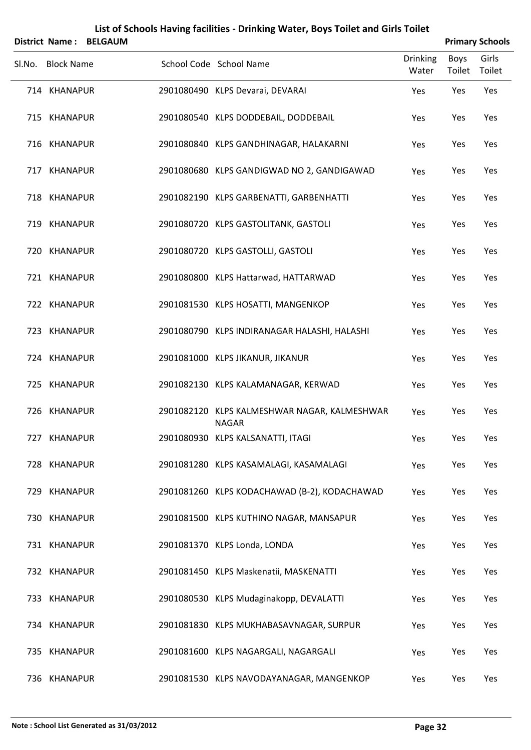| <b>District Name:</b> | <b>BELGAUM</b> | List of Schools Having facilities - Drinking Water, Boys Toilet and Girls Toilet |                          |                | <b>Primary Schools</b> |
|-----------------------|----------------|----------------------------------------------------------------------------------|--------------------------|----------------|------------------------|
| Sl.No. Block Name     |                | School Code School Name                                                          | <b>Drinking</b><br>Water | Boys<br>Toilet | Girls<br>Toilet        |
| 714 KHANAPUR          |                | 2901080490 KLPS Devarai, DEVARAI                                                 | Yes                      | Yes            | Yes                    |
| 715 KHANAPUR          |                | 2901080540 KLPS DODDEBAIL, DODDEBAIL                                             | Yes                      | Yes            | Yes                    |
| 716 KHANAPUR          |                | 2901080840 KLPS GANDHINAGAR, HALAKARNI                                           | Yes                      | Yes            | Yes                    |
| 717 KHANAPUR          |                | 2901080680 KLPS GANDIGWAD NO 2, GANDIGAWAD                                       | Yes                      | Yes            | Yes                    |
| 718 KHANAPUR          |                | 2901082190 KLPS GARBENATTI, GARBENHATTI                                          | Yes                      | Yes            | Yes                    |
| 719 KHANAPUR          |                | 2901080720 KLPS GASTOLITANK, GASTOLI                                             | Yes                      | Yes            | Yes                    |
| 720 KHANAPUR          |                | 2901080720 KLPS GASTOLLI, GASTOLI                                                | Yes                      | Yes            | Yes                    |
| 721 KHANAPUR          |                | 2901080800 KLPS Hattarwad, HATTARWAD                                             | Yes                      | Yes            | Yes                    |
| 722 KHANAPUR          |                | 2901081530 KLPS HOSATTI, MANGENKOP                                               | Yes                      | Yes            | Yes                    |
| 723 KHANAPUR          |                | 2901080790 KLPS INDIRANAGAR HALASHI, HALASHI                                     | Yes                      | Yes            | Yes                    |
| 724 KHANAPUR          |                | 2901081000 KLPS JIKANUR, JIKANUR                                                 | Yes                      | Yes            | Yes                    |
| 725 KHANAPUR          |                | 2901082130 KLPS KALAMANAGAR, KERWAD                                              | Yes                      | Yes            | Yes                    |
| 726 KHANAPUR          |                | 2901082120 KLPS KALMESHWAR NAGAR, KALMESHWAR<br><b>NAGAR</b>                     | Yes                      | Yes            | Yes                    |
| 727 KHANAPUR          |                | 2901080930 KLPS KALSANATTI, ITAGI                                                | Yes                      | Yes            | Yes                    |
| 728 KHANAPUR          |                | 2901081280 KLPS KASAMALAGI, KASAMALAGI                                           | Yes                      | Yes            | Yes                    |
| 729 KHANAPUR          |                | 2901081260 KLPS KODACHAWAD (B-2), KODACHAWAD                                     | Yes                      | Yes            | Yes                    |
| 730 KHANAPUR          |                | 2901081500 KLPS KUTHINO NAGAR, MANSAPUR                                          | Yes                      | Yes            | Yes                    |
| 731 KHANAPUR          |                | 2901081370 KLPS Londa, LONDA                                                     | Yes                      | Yes            | Yes                    |
| 732 KHANAPUR          |                | 2901081450 KLPS Maskenatii, MASKENATTI                                           | Yes                      | Yes            | Yes                    |
| 733 KHANAPUR          |                | 2901080530 KLPS Mudaginakopp, DEVALATTI                                          | Yes                      | Yes            | Yes                    |
| 734 KHANAPUR          |                | 2901081830 KLPS MUKHABASAVNAGAR, SURPUR                                          | Yes                      | Yes            | Yes                    |
| 735 KHANAPUR          |                | 2901081600 KLPS NAGARGALI, NAGARGALI                                             | Yes                      | Yes            | Yes                    |
| 736 KHANAPUR          |                | 2901081530 KLPS NAVODAYANAGAR, MANGENKOP                                         | Yes                      | Yes            | Yes                    |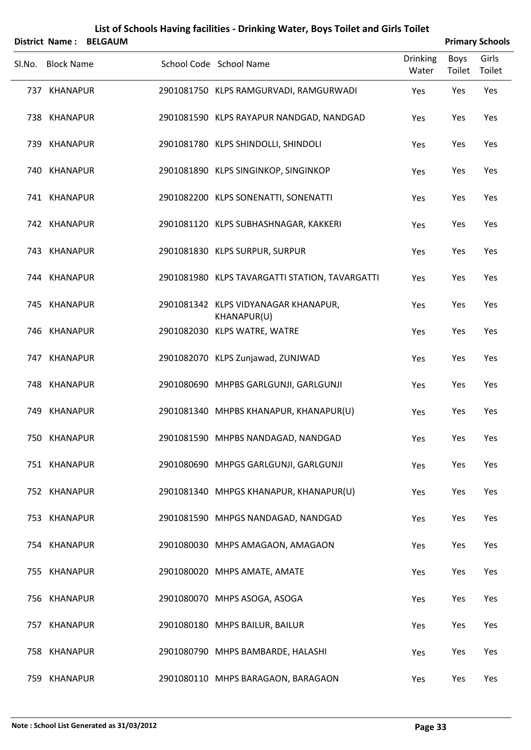|        | <b>District Name:</b> | <b>BELGAUM</b> |                                                     |                          |                       | <b>Primary Schools</b> |
|--------|-----------------------|----------------|-----------------------------------------------------|--------------------------|-----------------------|------------------------|
| Sl.No. | <b>Block Name</b>     |                | School Code School Name                             | <b>Drinking</b><br>Water | <b>Boys</b><br>Toilet | Girls<br>Toilet        |
|        | 737 KHANAPUR          |                | 2901081750 KLPS RAMGURVADI, RAMGURWADI              | Yes                      | Yes                   | Yes                    |
|        | 738 KHANAPUR          |                | 2901081590 KLPS RAYAPUR NANDGAD, NANDGAD            | Yes                      | Yes                   | Yes                    |
| 739    | KHANAPUR              |                | 2901081780 KLPS SHINDOLLI, SHINDOLI                 | Yes                      | Yes                   | Yes                    |
|        | 740 KHANAPUR          |                | 2901081890 KLPS SINGINKOP, SINGINKOP                | Yes                      | Yes                   | Yes                    |
|        | 741 KHANAPUR          |                | 2901082200 KLPS SONENATTI, SONENATTI                | Yes                      | Yes                   | Yes                    |
|        | 742 KHANAPUR          |                | 2901081120 KLPS SUBHASHNAGAR, KAKKERI               | Yes                      | Yes                   | Yes                    |
|        | 743 KHANAPUR          |                | 2901081830 KLPS SURPUR, SURPUR                      | Yes                      | Yes                   | Yes                    |
|        | 744 KHANAPUR          |                | 2901081980 KLPS TAVARGATTI STATION, TAVARGATTI      | Yes                      | Yes                   | Yes                    |
|        | 745 KHANAPUR          |                | 2901081342 KLPS VIDYANAGAR KHANAPUR,<br>KHANAPUR(U) | Yes                      | Yes                   | Yes                    |
|        | 746 KHANAPUR          |                | 2901082030 KLPS WATRE, WATRE                        | Yes                      | Yes                   | Yes                    |
|        | 747 KHANAPUR          |                | 2901082070 KLPS Zunjawad, ZUNJWAD                   | Yes                      | Yes                   | Yes                    |
|        | 748 KHANAPUR          |                | 2901080690 MHPBS GARLGUNJI, GARLGUNJI               | Yes                      | Yes                   | Yes                    |
| 749    | <b>KHANAPUR</b>       |                | 2901081340 MHPBS KHANAPUR, KHANAPUR(U)              | Yes                      | Yes                   | Yes                    |
|        | 750 KHANAPUR          |                | 2901081590 MHPBS NANDAGAD, NANDGAD                  | Yes                      | Yes                   | Yes                    |
|        | 751 KHANAPUR          |                | 2901080690 MHPGS GARLGUNJI, GARLGUNJI               | Yes                      | Yes                   | Yes                    |
|        | 752 KHANAPUR          |                | 2901081340 MHPGS KHANAPUR, KHANAPUR(U)              | Yes                      | Yes                   | Yes                    |
|        | 753 KHANAPUR          |                | 2901081590 MHPGS NANDAGAD, NANDGAD                  | Yes                      | Yes                   | Yes                    |
|        | 754 KHANAPUR          |                | 2901080030 MHPS AMAGAON, AMAGAON                    | Yes                      | Yes                   | Yes                    |
|        | 755 KHANAPUR          |                | 2901080020 MHPS AMATE, AMATE                        | Yes                      | Yes                   | Yes                    |
|        | 756 KHANAPUR          |                | 2901080070 MHPS ASOGA, ASOGA                        | Yes                      | Yes                   | Yes                    |
|        | 757 KHANAPUR          |                | 2901080180 MHPS BAILUR, BAILUR                      | Yes                      | Yes                   | Yes                    |
|        | 758 KHANAPUR          |                | 2901080790 MHPS BAMBARDE, HALASHI                   | Yes                      | Yes                   | Yes                    |
|        | 759 KHANAPUR          |                | 2901080110 MHPS BARAGAON, BARAGAON                  | Yes                      | Yes                   | Yes                    |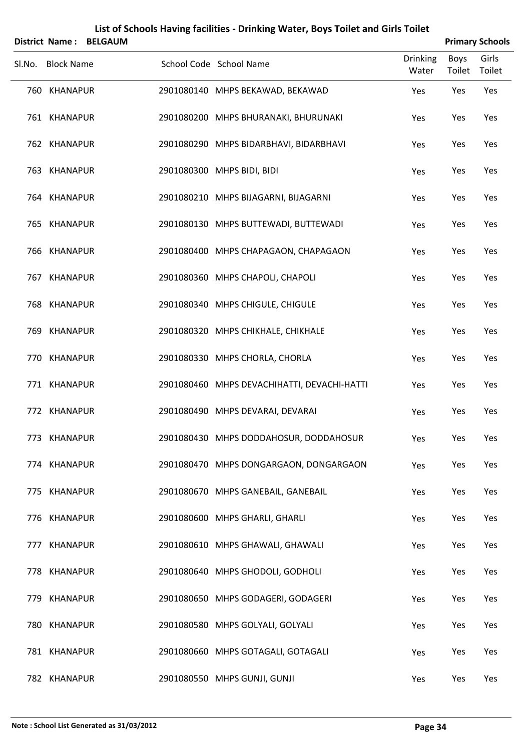|        | <b>District Name:</b> | <b>BELGAUM</b> |                                             |                          |                       | <b>Primary Schools</b> |
|--------|-----------------------|----------------|---------------------------------------------|--------------------------|-----------------------|------------------------|
| Sl.No. | <b>Block Name</b>     |                | School Code School Name                     | <b>Drinking</b><br>Water | <b>Boys</b><br>Toilet | Girls<br>Toilet        |
|        | 760 KHANAPUR          |                | 2901080140 MHPS BEKAWAD, BEKAWAD            | Yes                      | Yes                   | Yes                    |
|        | 761 KHANAPUR          |                | 2901080200 MHPS BHURANAKI, BHURUNAKI        | Yes                      | Yes                   | Yes                    |
|        | 762 KHANAPUR          |                | 2901080290 MHPS BIDARBHAVI, BIDARBHAVI      | Yes                      | Yes                   | Yes                    |
|        | 763 KHANAPUR          |                | 2901080300 MHPS BIDI, BIDI                  | Yes                      | Yes                   | Yes                    |
|        | 764 KHANAPUR          |                | 2901080210 MHPS BIJAGARNI, BIJAGARNI        | Yes                      | Yes                   | Yes                    |
|        | 765 KHANAPUR          |                | 2901080130 MHPS BUTTEWADI, BUTTEWADI        | Yes                      | Yes                   | Yes                    |
|        | 766 KHANAPUR          |                | 2901080400 MHPS CHAPAGAON, CHAPAGAON        | Yes                      | Yes                   | Yes                    |
|        | 767 KHANAPUR          |                | 2901080360 MHPS CHAPOLI, CHAPOLI            | Yes                      | Yes                   | Yes                    |
|        | 768 KHANAPUR          |                | 2901080340 MHPS CHIGULE, CHIGULE            | Yes                      | Yes                   | Yes                    |
|        | 769 KHANAPUR          |                | 2901080320 MHPS CHIKHALE, CHIKHALE          | Yes                      | Yes                   | Yes                    |
|        | 770 KHANAPUR          |                | 2901080330 MHPS CHORLA, CHORLA              | Yes                      | Yes                   | Yes                    |
|        | 771 KHANAPUR          |                | 2901080460 MHPS DEVACHIHATTI, DEVACHI-HATTI | Yes                      | Yes                   | Yes                    |
|        | 772 KHANAPUR          |                | 2901080490 MHPS DEVARAI, DEVARAI            | Yes                      | Yes                   | Yes                    |
|        | 773 KHANAPUR          |                | 2901080430 MHPS DODDAHOSUR, DODDAHOSUR      | Yes                      | Yes                   | Yes                    |
|        | 774 KHANAPUR          |                | 2901080470 MHPS DONGARGAON, DONGARGAON      | Yes                      | Yes                   | Yes                    |
|        | 775 KHANAPUR          |                | 2901080670 MHPS GANEBAIL, GANEBAIL          | Yes                      | Yes                   | Yes                    |
|        | 776 KHANAPUR          |                | 2901080600 MHPS GHARLI, GHARLI              | Yes                      | Yes                   | Yes                    |
|        | 777 KHANAPUR          |                | 2901080610 MHPS GHAWALI, GHAWALI            | Yes                      | Yes                   | Yes                    |
|        | 778 KHANAPUR          |                | 2901080640 MHPS GHODOLI, GODHOLI            | Yes                      | Yes                   | Yes                    |
|        | 779 KHANAPUR          |                | 2901080650 MHPS GODAGERI, GODAGERI          | Yes                      | Yes                   | Yes                    |
|        | 780 KHANAPUR          |                | 2901080580 MHPS GOLYALI, GOLYALI            | Yes                      | Yes                   | Yes                    |
|        | 781 KHANAPUR          |                | 2901080660 MHPS GOTAGALI, GOTAGALI          | Yes                      | Yes                   | Yes                    |
|        | 782 KHANAPUR          |                | 2901080550 MHPS GUNJI, GUNJI                | Yes                      | Yes                   | Yes                    |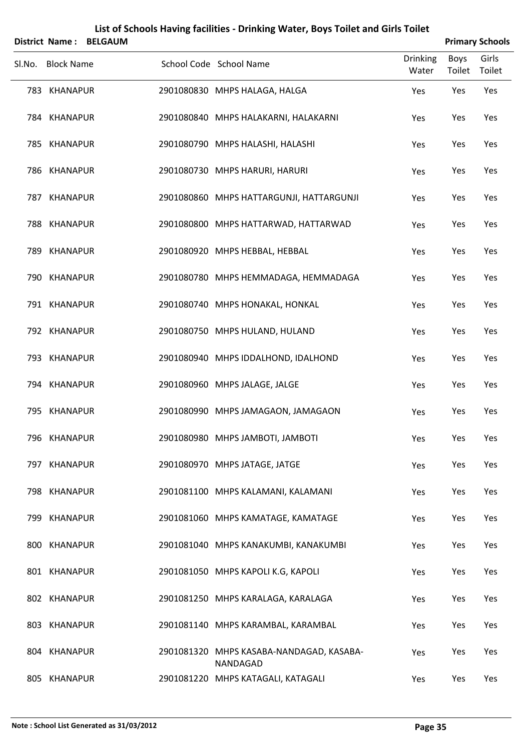|     | <b>District Name:</b> | <b>BELGAUM</b> |                                                      |                          | <b>Primary Schools</b> |                 |
|-----|-----------------------|----------------|------------------------------------------------------|--------------------------|------------------------|-----------------|
|     | Sl.No. Block Name     |                | School Code School Name                              | <b>Drinking</b><br>Water | Boys<br>Toilet         | Girls<br>Toilet |
|     | 783 KHANAPUR          |                | 2901080830 MHPS HALAGA, HALGA                        | Yes                      | Yes                    | Yes             |
|     | 784 KHANAPUR          |                | 2901080840 MHPS HALAKARNI, HALAKARNI                 | Yes                      | Yes                    | Yes             |
|     | 785 KHANAPUR          |                | 2901080790 MHPS HALASHI, HALASHI                     | Yes                      | Yes                    | Yes             |
|     | 786 KHANAPUR          |                | 2901080730 MHPS HARURI, HARURI                       | Yes                      | Yes                    | Yes             |
|     | 787 KHANAPUR          |                | 2901080860 MHPS HATTARGUNJI, HATTARGUNJI             | Yes                      | Yes                    | Yes             |
|     | 788 KHANAPUR          |                | 2901080800 MHPS HATTARWAD, HATTARWAD                 | Yes                      | Yes                    | Yes             |
| 789 | <b>KHANAPUR</b>       |                | 2901080920 MHPS HEBBAL, HEBBAL                       | Yes                      | Yes                    | Yes             |
|     | 790 KHANAPUR          |                | 2901080780 MHPS HEMMADAGA, HEMMADAGA                 | Yes                      | Yes                    | Yes             |
|     | 791 KHANAPUR          |                | 2901080740 MHPS HONAKAL, HONKAL                      | Yes                      | Yes                    | Yes             |
|     | 792 KHANAPUR          |                | 2901080750 MHPS HULAND, HULAND                       | Yes                      | Yes                    | Yes             |
|     | 793 KHANAPUR          |                | 2901080940 MHPS IDDALHOND, IDALHOND                  | Yes                      | Yes                    | Yes             |
|     | 794 KHANAPUR          |                | 2901080960 MHPS JALAGE, JALGE                        | Yes                      | Yes                    | Yes             |
|     | 795 KHANAPUR          |                | 2901080990 MHPS JAMAGAON, JAMAGAON                   | Yes                      | Yes                    | Yes             |
|     | 796 KHANAPUR          |                | 2901080980 MHPS JAMBOTI, JAMBOTI                     | Yes                      | Yes                    | Yes             |
|     | 797 KHANAPUR          |                | 2901080970 MHPS JATAGE, JATGE                        | Yes                      | Yes                    | Yes             |
|     | 798 KHANAPUR          |                | 2901081100 MHPS KALAMANI, KALAMANI                   | Yes                      | Yes                    | Yes             |
|     | 799 KHANAPUR          |                | 2901081060 MHPS KAMATAGE, KAMATAGE                   | Yes                      | Yes                    | Yes             |
|     | 800 KHANAPUR          |                | 2901081040 MHPS KANAKUMBI, KANAKUMBI                 | Yes                      | Yes                    | Yes             |
|     | 801 KHANAPUR          |                | 2901081050 MHPS KAPOLI K.G, KAPOLI                   | Yes                      | Yes                    | Yes             |
|     | 802 KHANAPUR          |                | 2901081250 MHPS KARALAGA, KARALAGA                   | Yes                      | Yes                    | Yes             |
|     | 803 KHANAPUR          |                | 2901081140 MHPS KARAMBAL, KARAMBAL                   | Yes                      | Yes                    | Yes             |
|     | 804 KHANAPUR          |                | 2901081320 MHPS KASABA-NANDAGAD, KASABA-<br>NANDAGAD | Yes                      | Yes                    | Yes             |
|     | 805 KHANAPUR          |                | 2901081220 MHPS KATAGALI, KATAGALI                   | Yes                      | Yes                    | Yes             |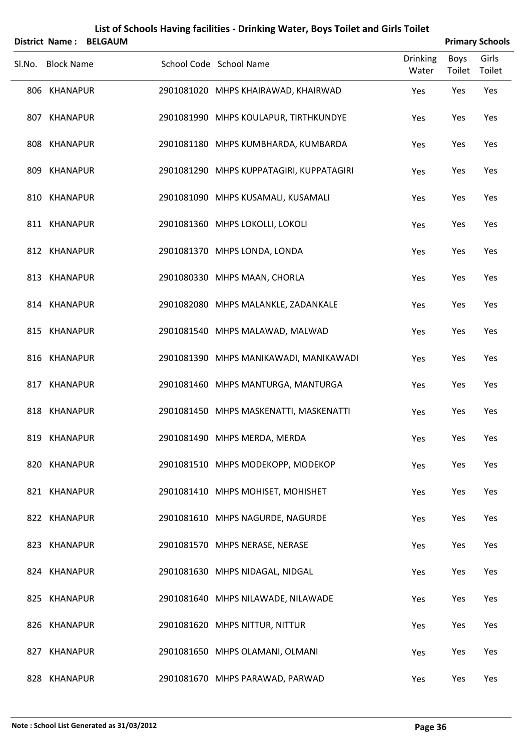|        | <b>District Name:</b> | <b>BELGAUM</b> |                                          |                          |                       | <b>Primary Schools</b> |
|--------|-----------------------|----------------|------------------------------------------|--------------------------|-----------------------|------------------------|
| Sl.No. | <b>Block Name</b>     |                | School Code School Name                  | <b>Drinking</b><br>Water | <b>Boys</b><br>Toilet | Girls<br>Toilet        |
|        | 806 KHANAPUR          |                | 2901081020 MHPS KHAIRAWAD, KHAIRWAD      | Yes                      | Yes                   | Yes                    |
|        | 807 KHANAPUR          |                | 2901081990 MHPS KOULAPUR, TIRTHKUNDYE    | Yes                      | Yes                   | Yes                    |
|        | 808 KHANAPUR          |                | 2901081180 MHPS KUMBHARDA, KUMBARDA      | Yes                      | Yes                   | Yes                    |
|        | 809 KHANAPUR          |                | 2901081290 MHPS KUPPATAGIRI, KUPPATAGIRI | Yes                      | Yes                   | Yes                    |
|        | 810 KHANAPUR          |                | 2901081090 MHPS KUSAMALI, KUSAMALI       | Yes                      | Yes                   | Yes                    |
|        | 811 KHANAPUR          |                | 2901081360 MHPS LOKOLLI, LOKOLI          | Yes                      | Yes                   | Yes                    |
|        | 812 KHANAPUR          |                | 2901081370 MHPS LONDA, LONDA             | Yes                      | Yes                   | Yes                    |
|        | 813 KHANAPUR          |                | 2901080330 MHPS MAAN, CHORLA             | Yes                      | Yes                   | Yes                    |
|        | 814 KHANAPUR          |                | 2901082080 MHPS MALANKLE, ZADANKALE      | Yes                      | Yes                   | Yes                    |
|        | 815 KHANAPUR          |                | 2901081540 MHPS MALAWAD, MALWAD          | Yes                      | Yes                   | Yes                    |
|        | 816 KHANAPUR          |                | 2901081390 MHPS MANIKAWADI, MANIKAWADI   | Yes                      | Yes                   | Yes                    |
|        | 817 KHANAPUR          |                | 2901081460 MHPS MANTURGA, MANTURGA       | Yes                      | Yes                   | Yes                    |
|        | 818 KHANAPUR          |                | 2901081450 MHPS MASKENATTI, MASKENATTI   | Yes                      | Yes                   | Yes                    |
|        | 819 KHANAPUR          |                | 2901081490 MHPS MERDA, MERDA             | Yes                      | Yes                   | Yes                    |
|        | 820 KHANAPUR          |                | 2901081510 MHPS MODEKOPP, MODEKOP        | Yes                      | Yes                   | Yes                    |
|        | 821 KHANAPUR          |                | 2901081410 MHPS MOHISET, MOHISHET        | Yes                      | Yes                   | Yes                    |
|        | 822 KHANAPUR          |                | 2901081610 MHPS NAGURDE, NAGURDE         | Yes                      | Yes                   | Yes                    |
|        | 823 KHANAPUR          |                | 2901081570 MHPS NERASE, NERASE           | Yes                      | Yes                   | Yes                    |
|        | 824 KHANAPUR          |                | 2901081630 MHPS NIDAGAL, NIDGAL          | Yes                      | Yes                   | Yes                    |
|        | 825 KHANAPUR          |                | 2901081640 MHPS NILAWADE, NILAWADE       | Yes                      | Yes                   | Yes                    |
|        | 826 KHANAPUR          |                | 2901081620 MHPS NITTUR, NITTUR           | Yes                      | Yes                   | Yes                    |
|        | 827 KHANAPUR          |                | 2901081650 MHPS OLAMANI, OLMANI          | Yes                      | Yes                   | Yes                    |
|        | 828 KHANAPUR          |                | 2901081670 MHPS PARAWAD, PARWAD          | Yes                      | Yes                   | Yes                    |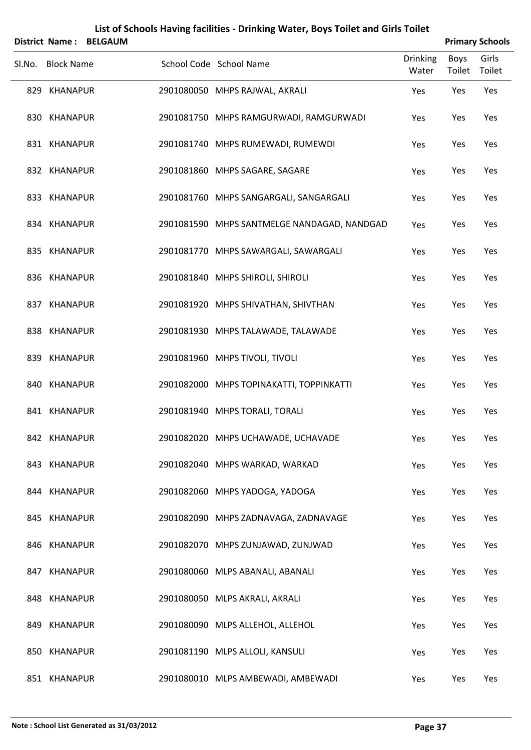| <b>District Name:</b> | <b>BELGAUM</b> |                                             |                          |                       | <b>Primary Schools</b> |
|-----------------------|----------------|---------------------------------------------|--------------------------|-----------------------|------------------------|
| Sl.No. Block Name     |                | School Code School Name                     | <b>Drinking</b><br>Water | <b>Boys</b><br>Toilet | Girls<br>Toilet        |
| 829 KHANAPUR          |                | 2901080050 MHPS RAJWAL, AKRALI              | Yes                      | Yes                   | Yes                    |
| 830 KHANAPUR          |                | 2901081750 MHPS RAMGURWADI, RAMGURWADI      | Yes                      | Yes                   | Yes                    |
| 831 KHANAPUR          |                | 2901081740 MHPS RUMEWADI, RUMEWDI           | Yes                      | Yes                   | Yes                    |
| 832 KHANAPUR          |                | 2901081860 MHPS SAGARE, SAGARE              | Yes                      | Yes                   | Yes                    |
| 833 KHANAPUR          |                | 2901081760 MHPS SANGARGALI, SANGARGALI      | Yes                      | Yes                   | Yes                    |
| 834 KHANAPUR          |                | 2901081590 MHPS SANTMELGE NANDAGAD, NANDGAD | Yes                      | Yes                   | Yes                    |
| 835 KHANAPUR          |                | 2901081770 MHPS SAWARGALI, SAWARGALI        | Yes                      | Yes                   | Yes                    |
| 836 KHANAPUR          |                | 2901081840 MHPS SHIROLI, SHIROLI            | Yes                      | Yes                   | Yes                    |
| 837 KHANAPUR          |                | 2901081920 MHPS SHIVATHAN, SHIVTHAN         | Yes                      | Yes                   | Yes                    |
| 838 KHANAPUR          |                | 2901081930 MHPS TALAWADE, TALAWADE          | Yes                      | Yes                   | Yes                    |
| 839 KHANAPUR          |                | 2901081960 MHPS TIVOLI, TIVOLI              | Yes                      | Yes                   | Yes                    |
| 840 KHANAPUR          |                | 2901082000 MHPS TOPINAKATTI, TOPPINKATTI    | Yes                      | Yes                   | Yes                    |
| 841 KHANAPUR          |                | 2901081940 MHPS TORALI, TORALI              | Yes                      | Yes                   | Yes                    |
| 842 KHANAPUR          |                | 2901082020 MHPS UCHAWADE, UCHAVADE          | Yes                      | Yes                   | Yes                    |
| 843 KHANAPUR          |                | 2901082040 MHPS WARKAD, WARKAD              | Yes                      | Yes                   | Yes                    |
| 844 KHANAPUR          |                | 2901082060 MHPS YADOGA, YADOGA              | Yes                      | Yes                   | Yes                    |
| 845 KHANAPUR          |                | 2901082090 MHPS ZADNAVAGA, ZADNAVAGE        | Yes                      | Yes                   | Yes                    |
| 846 KHANAPUR          |                | 2901082070 MHPS ZUNJAWAD, ZUNJWAD           | Yes                      | Yes                   | Yes                    |
| 847 KHANAPUR          |                | 2901080060 MLPS ABANALI, ABANALI            | Yes                      | Yes                   | Yes                    |
| 848 KHANAPUR          |                | 2901080050 MLPS AKRALI, AKRALI              | Yes                      | Yes                   | Yes                    |
| 849 KHANAPUR          |                | 2901080090 MLPS ALLEHOL, ALLEHOL            | Yes                      | Yes                   | Yes                    |
| 850 KHANAPUR          |                | 2901081190 MLPS ALLOLI, KANSULI             | Yes                      | Yes                   | Yes                    |
| 851 KHANAPUR          |                | 2901080010 MLPS AMBEWADI, AMBEWADI          | Yes                      | Yes                   | Yes                    |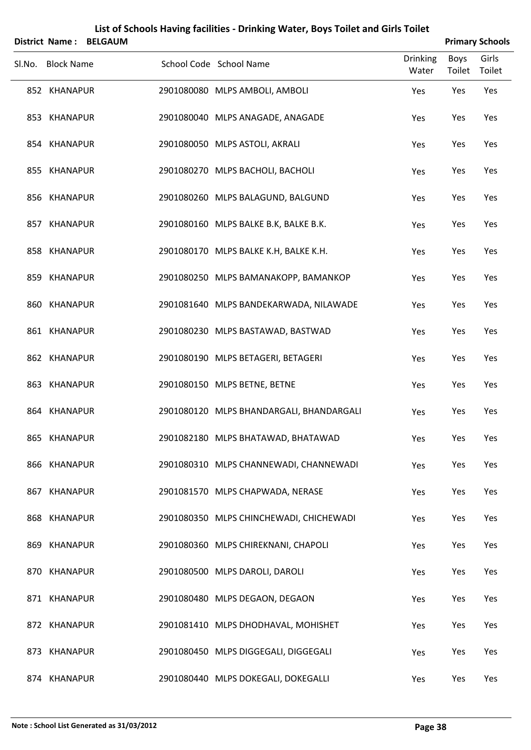|        | <b>District Name:</b> | <b>BELGAUM</b> |                                          |                          |                       | <b>Primary Schools</b> |
|--------|-----------------------|----------------|------------------------------------------|--------------------------|-----------------------|------------------------|
| Sl.No. | <b>Block Name</b>     |                | School Code School Name                  | <b>Drinking</b><br>Water | <b>Boys</b><br>Toilet | Girls<br>Toilet        |
|        | 852 KHANAPUR          |                | 2901080080 MLPS AMBOLI, AMBOLI           | Yes                      | Yes                   | Yes                    |
|        | 853 KHANAPUR          |                | 2901080040 MLPS ANAGADE, ANAGADE         | Yes                      | Yes                   | Yes                    |
|        | 854 KHANAPUR          |                | 2901080050 MLPS ASTOLI, AKRALI           | Yes                      | Yes                   | Yes                    |
|        | 855 KHANAPUR          |                | 2901080270 MLPS BACHOLI, BACHOLI         | Yes                      | Yes                   | Yes                    |
|        | 856 KHANAPUR          |                | 2901080260 MLPS BALAGUND, BALGUND        | Yes                      | Yes                   | Yes                    |
|        | 857 KHANAPUR          |                | 2901080160 MLPS BALKE B.K, BALKE B.K.    | Yes                      | Yes                   | Yes                    |
|        | 858 KHANAPUR          |                | 2901080170 MLPS BALKE K.H, BALKE K.H.    | Yes                      | Yes                   | Yes                    |
|        | 859 KHANAPUR          |                | 2901080250 MLPS BAMANAKOPP, BAMANKOP     | Yes                      | Yes                   | Yes                    |
|        | 860 KHANAPUR          |                | 2901081640 MLPS BANDEKARWADA, NILAWADE   | Yes                      | Yes                   | Yes                    |
|        | 861 KHANAPUR          |                | 2901080230 MLPS BASTAWAD, BASTWAD        | Yes                      | Yes                   | Yes                    |
|        | 862 KHANAPUR          |                | 2901080190 MLPS BETAGERI, BETAGERI       | Yes                      | Yes                   | Yes                    |
|        | 863 KHANAPUR          |                | 2901080150 MLPS BETNE, BETNE             | Yes                      | Yes                   | Yes                    |
|        | 864 KHANAPUR          |                | 2901080120 MLPS BHANDARGALI, BHANDARGALI | Yes                      | Yes                   | Yes                    |
|        | 865 KHANAPUR          |                | 2901082180 MLPS BHATAWAD, BHATAWAD       | Yes                      | Yes                   | Yes                    |
|        | 866 KHANAPUR          |                | 2901080310 MLPS CHANNEWADI, CHANNEWADI   | Yes                      | Yes                   | Yes                    |
|        | 867 KHANAPUR          |                | 2901081570 MLPS CHAPWADA, NERASE         | Yes                      | Yes                   | Yes                    |
|        | 868 KHANAPUR          |                | 2901080350 MLPS CHINCHEWADI, CHICHEWADI  | Yes                      | Yes                   | Yes                    |
|        | 869 KHANAPUR          |                | 2901080360 MLPS CHIREKNANI, CHAPOLI      | Yes                      | Yes                   | Yes                    |
|        | 870 KHANAPUR          |                | 2901080500 MLPS DAROLI, DAROLI           | Yes                      | Yes                   | Yes                    |
|        | 871 KHANAPUR          |                | 2901080480 MLPS DEGAON, DEGAON           | Yes                      | Yes                   | Yes                    |
|        | 872 KHANAPUR          |                | 2901081410 MLPS DHODHAVAL, MOHISHET      | Yes                      | Yes                   | Yes                    |
|        | 873 KHANAPUR          |                | 2901080450 MLPS DIGGEGALI, DIGGEGALI     | Yes                      | Yes                   | Yes                    |
|        | 874 KHANAPUR          |                | 2901080440 MLPS DOKEGALI, DOKEGALLI      | Yes                      | Yes                   | Yes                    |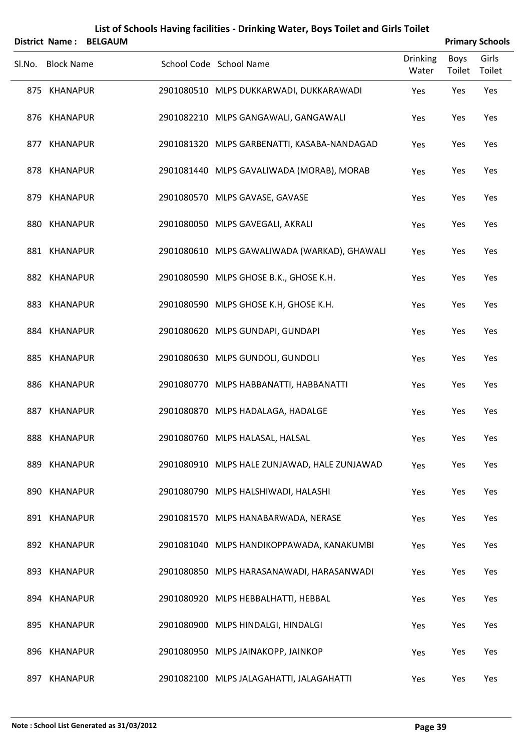| <b>District Name:</b> | <b>BELGAUM</b> | List of Schools Having facilities - Drinking Water, Boys Toilet and Girls Toilet |                          |                | <b>Primary Schools</b> |
|-----------------------|----------------|----------------------------------------------------------------------------------|--------------------------|----------------|------------------------|
| Sl.No. Block Name     |                | School Code School Name                                                          | <b>Drinking</b><br>Water | Boys<br>Toilet | Girls<br>Toilet        |
| 875 KHANAPUR          |                | 2901080510 MLPS DUKKARWADI, DUKKARAWADI                                          | Yes                      | Yes            | Yes                    |
| 876 KHANAPUR          |                | 2901082210 MLPS GANGAWALI, GANGAWALI                                             | Yes                      | Yes            | Yes                    |
| 877 KHANAPUR          |                | 2901081320 MLPS GARBENATTI, KASABA-NANDAGAD                                      | Yes                      | Yes            | Yes                    |
| 878 KHANAPUR          |                | 2901081440 MLPS GAVALIWADA (MORAB), MORAB                                        | Yes                      | Yes            | Yes                    |
| 879 KHANAPUR          |                | 2901080570 MLPS GAVASE, GAVASE                                                   | Yes                      | Yes            | Yes                    |
| 880 KHANAPUR          |                | 2901080050 MLPS GAVEGALI, AKRALI                                                 | Yes                      | Yes            | Yes                    |
| 881 KHANAPUR          |                | 2901080610 MLPS GAWALIWADA (WARKAD), GHAWALI                                     | Yes                      | Yes            | Yes                    |
| 882 KHANAPUR          |                | 2901080590 MLPS GHOSE B.K., GHOSE K.H.                                           | Yes                      | Yes            | Yes                    |
| 883 KHANAPUR          |                | 2901080590 MLPS GHOSE K.H, GHOSE K.H.                                            | Yes                      | Yes            | Yes                    |
| 884 KHANAPUR          |                | 2901080620 MLPS GUNDAPI, GUNDAPI                                                 | Yes                      | Yes            | Yes                    |
| 885 KHANAPUR          |                | 2901080630 MLPS GUNDOLI, GUNDOLI                                                 | Yes                      | Yes            | Yes                    |
| 886 KHANAPUR          |                | 2901080770 MLPS HABBANATTI, HABBANATTI                                           | Yes                      | Yes            | Yes                    |
| 887 KHANAPUR          |                | 2901080870 MLPS HADALAGA, HADALGE                                                | Yes                      | Yes            | Yes                    |
| 888 KHANAPUR          |                | 2901080760 MLPS HALASAL, HALSAL                                                  | Yes                      | Yes            | Yes                    |
| 889 KHANAPUR          |                | 2901080910 MLPS HALE ZUNJAWAD, HALE ZUNJAWAD                                     | Yes                      | Yes            | Yes                    |
| 890 KHANAPUR          |                | 2901080790 MLPS HALSHIWADI, HALASHI                                              | Yes                      | Yes            | Yes                    |
| 891 KHANAPUR          |                | 2901081570 MLPS HANABARWADA, NERASE                                              | Yes                      | Yes            | Yes                    |
| 892 KHANAPUR          |                | 2901081040 MLPS HANDIKOPPAWADA, KANAKUMBI                                        | Yes                      | Yes            | Yes                    |
| 893 KHANAPUR          |                | 2901080850 MLPS HARASANAWADI, HARASANWADI                                        | Yes                      | Yes            | Yes                    |
| 894 KHANAPUR          |                | 2901080920 MLPS HEBBALHATTI, HEBBAL                                              | Yes                      | Yes            | Yes                    |
| 895 KHANAPUR          |                | 2901080900 MLPS HINDALGI, HINDALGI                                               | Yes                      | Yes            | Yes                    |
| 896 KHANAPUR          |                | 2901080950 MLPS JAINAKOPP, JAINKOP                                               | Yes                      | Yes            | Yes                    |
| 897 KHANAPUR          |                | 2901082100 MLPS JALAGAHATTI, JALAGAHATTI                                         | Yes                      | Yes            | Yes                    |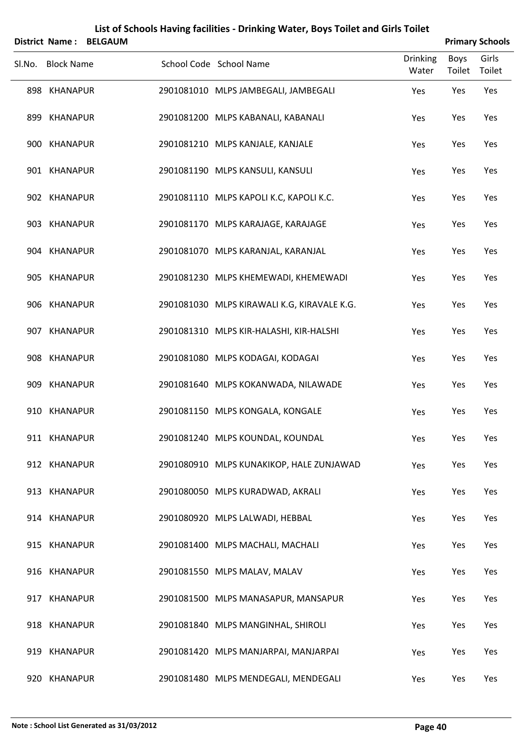|        | <b>District Name:</b> | <b>BELGAUM</b> |                                             |                          |                | <b>Primary Schools</b> |
|--------|-----------------------|----------------|---------------------------------------------|--------------------------|----------------|------------------------|
| SI.No. | <b>Block Name</b>     |                | School Code School Name                     | <b>Drinking</b><br>Water | Boys<br>Toilet | Girls<br>Toilet        |
|        | 898 KHANAPUR          |                | 2901081010 MLPS JAMBEGALI, JAMBEGALI        | Yes                      | Yes            | Yes                    |
|        | 899 KHANAPUR          |                | 2901081200 MLPS KABANALI, KABANALI          | Yes                      | Yes            | Yes                    |
|        | 900 KHANAPUR          |                | 2901081210 MLPS KANJALE, KANJALE            | Yes                      | Yes            | Yes                    |
|        | 901 KHANAPUR          |                | 2901081190 MLPS KANSULI, KANSULI            | Yes                      | Yes            | Yes                    |
|        | 902 KHANAPUR          |                | 2901081110 MLPS KAPOLI K.C, KAPOLI K.C.     | Yes                      | Yes            | Yes                    |
|        | 903 KHANAPUR          |                | 2901081170 MLPS KARAJAGE, KARAJAGE          | Yes                      | Yes            | Yes                    |
|        | 904 KHANAPUR          |                | 2901081070 MLPS KARANJAL, KARANJAL          | Yes                      | Yes            | Yes                    |
|        | 905 KHANAPUR          |                | 2901081230 MLPS KHEMEWADI, KHEMEWADI        | Yes                      | Yes            | Yes                    |
|        | 906 KHANAPUR          |                | 2901081030 MLPS KIRAWALI K.G, KIRAVALE K.G. | Yes                      | Yes            | Yes                    |
|        | 907 KHANAPUR          |                | 2901081310 MLPS KIR-HALASHI, KIR-HALSHI     | Yes                      | Yes            | Yes                    |
|        | 908 KHANAPUR          |                | 2901081080 MLPS KODAGAI, KODAGAI            | Yes                      | Yes            | Yes                    |
|        | 909 KHANAPUR          |                | 2901081640 MLPS KOKANWADA, NILAWADE         | Yes                      | Yes            | Yes                    |
|        | 910 KHANAPUR          |                | 2901081150 MLPS KONGALA, KONGALE            | Yes                      | Yes            | Yes                    |
|        | 911 KHANAPUR          |                | 2901081240 MLPS KOUNDAL, KOUNDAL            | Yes                      | Yes            | Yes                    |
|        | 912 KHANAPUR          |                | 2901080910 MLPS KUNAKIKOP, HALE ZUNJAWAD    | Yes                      | Yes            | Yes                    |
|        | 913 KHANAPUR          |                | 2901080050 MLPS KURADWAD, AKRALI            | Yes                      | Yes            | Yes                    |
|        | 914 KHANAPUR          |                | 2901080920 MLPS LALWADI, HEBBAL             | Yes                      | Yes            | Yes                    |
|        | 915 KHANAPUR          |                | 2901081400 MLPS MACHALI, MACHALI            | Yes                      | Yes            | Yes                    |
|        | 916 KHANAPUR          |                | 2901081550 MLPS MALAV, MALAV                | Yes                      | Yes            | Yes                    |
|        | 917 KHANAPUR          |                | 2901081500 MLPS MANASAPUR, MANSAPUR         | Yes                      | Yes            | Yes                    |
|        | 918 KHANAPUR          |                | 2901081840 MLPS MANGINHAL, SHIROLI          | Yes                      | Yes            | Yes                    |
|        | 919 KHANAPUR          |                | 2901081420 MLPS MANJARPAI, MANJARPAI        | Yes                      | Yes            | Yes                    |
|        | 920 KHANAPUR          |                | 2901081480 MLPS MENDEGALI, MENDEGALI        | Yes                      | Yes            | Yes                    |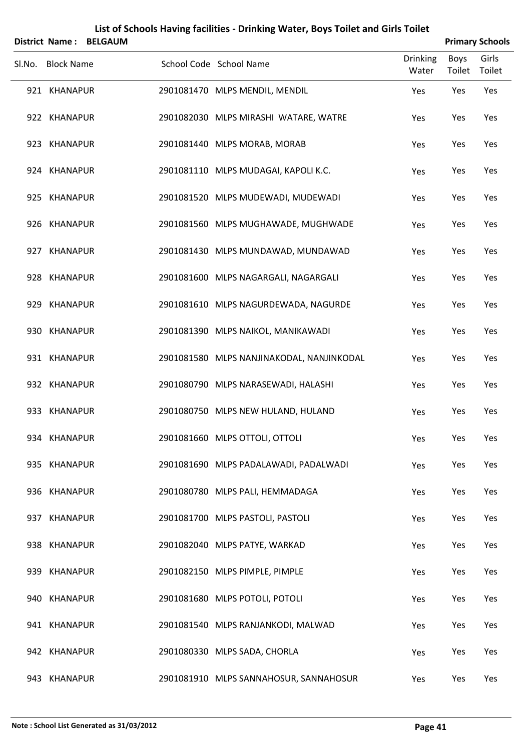| <b>District Name:</b> | <b>BELGAUM</b> |                                           |                          |                       | <b>Primary Schools</b> |
|-----------------------|----------------|-------------------------------------------|--------------------------|-----------------------|------------------------|
| Sl.No. Block Name     |                | School Code School Name                   | <b>Drinking</b><br>Water | <b>Boys</b><br>Toilet | Girls<br>Toilet        |
| 921 KHANAPUR          |                | 2901081470 MLPS MENDIL, MENDIL            | Yes                      | Yes                   | Yes                    |
| 922 KHANAPUR          |                | 2901082030 MLPS MIRASHI WATARE, WATRE     | Yes                      | Yes                   | Yes                    |
| 923 KHANAPUR          |                | 2901081440 MLPS MORAB, MORAB              | Yes                      | Yes                   | Yes                    |
| 924 KHANAPUR          |                | 2901081110 MLPS MUDAGAI, KAPOLI K.C.      | Yes                      | Yes                   | Yes                    |
| 925 KHANAPUR          |                | 2901081520 MLPS MUDEWADI, MUDEWADI        | Yes                      | Yes                   | Yes                    |
| 926 KHANAPUR          |                | 2901081560 MLPS MUGHAWADE, MUGHWADE       | Yes                      | Yes                   | Yes                    |
| 927 KHANAPUR          |                | 2901081430 MLPS MUNDAWAD, MUNDAWAD        | Yes                      | Yes                   | Yes                    |
| 928 KHANAPUR          |                | 2901081600 MLPS NAGARGALI, NAGARGALI      | Yes                      | Yes                   | Yes                    |
| 929 KHANAPUR          |                | 2901081610 MLPS NAGURDEWADA, NAGURDE      | Yes                      | Yes                   | Yes                    |
| 930 KHANAPUR          |                | 2901081390 MLPS NAIKOL, MANIKAWADI        | Yes                      | Yes                   | Yes                    |
| 931 KHANAPUR          |                | 2901081580 MLPS NANJINAKODAL, NANJINKODAL | Yes                      | Yes                   | Yes                    |
| 932 KHANAPUR          |                | 2901080790 MLPS NARASEWADI, HALASHI       | Yes                      | Yes                   | Yes                    |
| 933 KHANAPUR          |                | 2901080750 MLPS NEW HULAND, HULAND        | Yes                      | Yes                   | Yes                    |
| 934 KHANAPUR          |                | 2901081660 MLPS OTTOLI, OTTOLI            | Yes                      | Yes                   | Yes                    |
| 935 KHANAPUR          |                | 2901081690 MLPS PADALAWADI, PADALWADI     | Yes                      | Yes                   | Yes                    |
| 936 KHANAPUR          |                | 2901080780 MLPS PALI, HEMMADAGA           | Yes                      | Yes                   | Yes                    |
| 937 KHANAPUR          |                | 2901081700 MLPS PASTOLI, PASTOLI          | Yes                      | Yes                   | Yes                    |
| 938 KHANAPUR          |                | 2901082040 MLPS PATYE, WARKAD             | Yes                      | Yes                   | Yes                    |
| 939 KHANAPUR          |                | 2901082150 MLPS PIMPLE, PIMPLE            | Yes                      | Yes                   | Yes                    |
| 940 KHANAPUR          |                | 2901081680 MLPS POTOLI, POTOLI            | Yes                      | Yes                   | Yes                    |
| 941 KHANAPUR          |                | 2901081540 MLPS RANJANKODI, MALWAD        | Yes                      | Yes                   | Yes                    |
| 942 KHANAPUR          |                | 2901080330 MLPS SADA, CHORLA              | Yes                      | Yes                   | Yes                    |
| 943 KHANAPUR          |                | 2901081910 MLPS SANNAHOSUR, SANNAHOSUR    | Yes                      | Yes                   | Yes                    |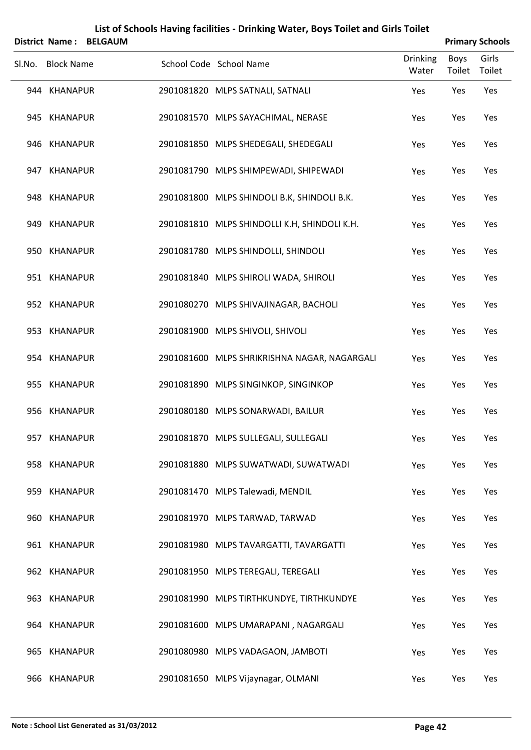|        | <b>District Name:</b> | <b>BELGAUM</b> |                                              |                          |                | <b>Primary Schools</b> |
|--------|-----------------------|----------------|----------------------------------------------|--------------------------|----------------|------------------------|
| SI.No. | <b>Block Name</b>     |                | School Code School Name                      | <b>Drinking</b><br>Water | Boys<br>Toilet | Girls<br>Toilet        |
|        | 944 KHANAPUR          |                | 2901081820 MLPS SATNALI, SATNALI             | Yes                      | Yes            | Yes                    |
|        | 945 KHANAPUR          |                | 2901081570 MLPS SAYACHIMAL, NERASE           | Yes                      | Yes            | Yes                    |
|        | 946 KHANAPUR          |                | 2901081850 MLPS SHEDEGALI, SHEDEGALI         | Yes                      | Yes            | Yes                    |
|        | 947 KHANAPUR          |                | 2901081790 MLPS SHIMPEWADI, SHIPEWADI        | Yes                      | Yes            | Yes                    |
|        | 948 KHANAPUR          |                | 2901081800 MLPS SHINDOLI B.K, SHINDOLI B.K.  | Yes                      | Yes            | Yes                    |
| 949    | <b>KHANAPUR</b>       |                | 2901081810 MLPS SHINDOLLI K.H, SHINDOLI K.H. | Yes                      | Yes            | Yes                    |
|        | 950 KHANAPUR          |                | 2901081780 MLPS SHINDOLLI, SHINDOLI          | Yes                      | Yes            | Yes                    |
|        | 951 KHANAPUR          |                | 2901081840 MLPS SHIROLI WADA, SHIROLI        | Yes                      | Yes            | Yes                    |
|        | 952 KHANAPUR          |                | 2901080270 MLPS SHIVAJINAGAR, BACHOLI        | Yes                      | Yes            | Yes                    |
|        | 953 KHANAPUR          |                | 2901081900 MLPS SHIVOLI, SHIVOLI             | Yes                      | Yes            | Yes                    |
|        | 954 KHANAPUR          |                | 2901081600 MLPS SHRIKRISHNA NAGAR, NAGARGALI | Yes                      | Yes            | Yes                    |
|        | 955 KHANAPUR          |                | 2901081890 MLPS SINGINKOP, SINGINKOP         | Yes                      | Yes            | Yes                    |
| 956    | <b>KHANAPUR</b>       |                | 2901080180 MLPS SONARWADI, BAILUR            | Yes                      | Yes            | Yes                    |
|        | 957 KHANAPUR          |                | 2901081870 MLPS SULLEGALI, SULLEGALI         | Yes                      | Yes            | Yes                    |
|        | 958 KHANAPUR          |                | 2901081880 MLPS SUWATWADI, SUWATWADI         | Yes                      | Yes            | Yes                    |
|        | 959 KHANAPUR          |                | 2901081470 MLPS Talewadi, MENDIL             | Yes                      | Yes            | Yes                    |
|        | 960 KHANAPUR          |                | 2901081970 MLPS TARWAD, TARWAD               | Yes                      | Yes            | Yes                    |
|        | 961 KHANAPUR          |                | 2901081980 MLPS TAVARGATTI, TAVARGATTI       | Yes                      | Yes            | Yes                    |
|        | 962 KHANAPUR          |                | 2901081950 MLPS TEREGALI, TEREGALI           | Yes                      | Yes            | Yes                    |
|        | 963 KHANAPUR          |                | 2901081990 MLPS TIRTHKUNDYE, TIRTHKUNDYE     | Yes                      | Yes            | Yes                    |
|        | 964 KHANAPUR          |                | 2901081600 MLPS UMARAPANI, NAGARGALI         | Yes                      | Yes            | Yes                    |
|        | 965 KHANAPUR          |                | 2901080980 MLPS VADAGAON, JAMBOTI            | Yes                      | Yes            | Yes                    |
|        | 966 KHANAPUR          |                | 2901081650 MLPS Vijaynagar, OLMANI           | Yes                      | Yes            | Yes                    |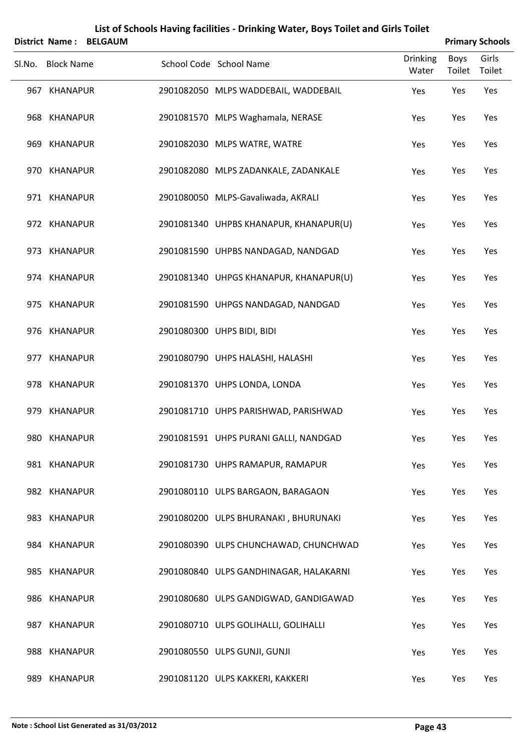| <b>District Name:</b> | <b>BELGAUM</b> |                                        |                          | <b>Primary Schools</b> |                 |
|-----------------------|----------------|----------------------------------------|--------------------------|------------------------|-----------------|
| Sl.No. Block Name     |                | School Code School Name                | <b>Drinking</b><br>Water | Boys<br>Toilet         | Girls<br>Toilet |
| 967 KHANAPUR          |                | 2901082050 MLPS WADDEBAIL, WADDEBAIL   | Yes                      | Yes                    | Yes             |
| 968 KHANAPUR          |                | 2901081570 MLPS Waghamala, NERASE      | Yes                      | Yes                    | Yes             |
| 969 KHANAPUR          |                | 2901082030 MLPS WATRE, WATRE           | Yes                      | Yes                    | Yes             |
| 970 KHANAPUR          |                | 2901082080 MLPS ZADANKALE, ZADANKALE   | Yes                      | Yes                    | Yes             |
| 971 KHANAPUR          |                | 2901080050 MLPS-Gavaliwada, AKRALI     | Yes                      | Yes                    | Yes             |
| 972 KHANAPUR          |                | 2901081340 UHPBS KHANAPUR, KHANAPUR(U) | Yes                      | Yes                    | Yes             |
| 973 KHANAPUR          |                | 2901081590 UHPBS NANDAGAD, NANDGAD     | Yes                      | Yes                    | Yes             |
| 974 KHANAPUR          |                | 2901081340 UHPGS KHANAPUR, KHANAPUR(U) | Yes                      | Yes                    | Yes             |
| 975 KHANAPUR          |                | 2901081590 UHPGS NANDAGAD, NANDGAD     | Yes                      | Yes                    | Yes             |
| 976 KHANAPUR          |                | 2901080300 UHPS BIDI, BIDI             | Yes                      | Yes                    | Yes             |
| 977 KHANAPUR          |                | 2901080790 UHPS HALASHI, HALASHI       | Yes                      | Yes                    | Yes             |
| 978 KHANAPUR          |                | 2901081370 UHPS LONDA, LONDA           | Yes                      | Yes                    | Yes             |
| 979 KHANAPUR          |                | 2901081710 UHPS PARISHWAD, PARISHWAD   | Yes                      | Yes                    | Yes             |
| 980 KHANAPUR          |                | 2901081591 UHPS PURANI GALLI, NANDGAD  | Yes                      | Yes                    | Yes             |
| 981 KHANAPUR          |                | 2901081730 UHPS RAMAPUR, RAMAPUR       | Yes                      | Yes                    | Yes             |
| 982 KHANAPUR          |                | 2901080110 ULPS BARGAON, BARAGAON      | Yes                      | Yes                    | Yes             |
| 983 KHANAPUR          |                | 2901080200 ULPS BHURANAKI, BHURUNAKI   | Yes                      | Yes                    | Yes             |
| 984 KHANAPUR          |                | 2901080390 ULPS CHUNCHAWAD, CHUNCHWAD  | Yes                      | Yes                    | Yes             |
| 985 KHANAPUR          |                | 2901080840 ULPS GANDHINAGAR, HALAKARNI | Yes                      | Yes                    | Yes             |
| 986 KHANAPUR          |                | 2901080680 ULPS GANDIGWAD, GANDIGAWAD  | Yes                      | Yes                    | Yes             |
| 987 KHANAPUR          |                | 2901080710 ULPS GOLIHALLI, GOLIHALLI   | Yes                      | Yes                    | Yes             |
| 988 KHANAPUR          |                | 2901080550 ULPS GUNJI, GUNJI           | Yes                      | Yes                    | Yes             |
| 989 KHANAPUR          |                | 2901081120 ULPS KAKKERI, KAKKERI       | Yes                      | Yes                    | Yes             |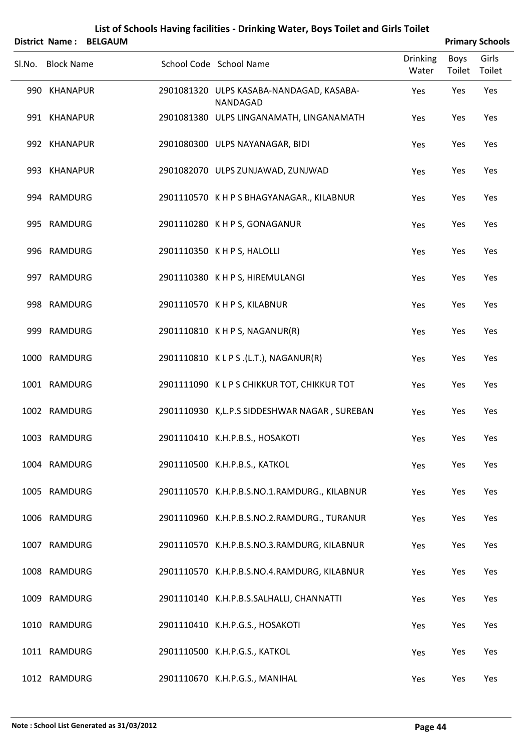|        |                   | District Name: BELGAUM |                                                             |                          |                | <b>Primary Schools</b> |
|--------|-------------------|------------------------|-------------------------------------------------------------|--------------------------|----------------|------------------------|
| Sl.No. | <b>Block Name</b> |                        | School Code School Name                                     | <b>Drinking</b><br>Water | Boys<br>Toilet | Girls<br>Toilet        |
|        | 990 KHANAPUR      |                        | 2901081320 ULPS KASABA-NANDAGAD, KASABA-<br><b>NANDAGAD</b> | Yes                      | Yes            | Yes                    |
|        | 991 KHANAPUR      |                        | 2901081380 ULPS LINGANAMATH, LINGANAMATH                    | Yes                      | Yes            | Yes                    |
|        | 992 KHANAPUR      |                        | 2901080300 ULPS NAYANAGAR, BIDI                             | Yes                      | Yes            | Yes                    |
|        | 993 KHANAPUR      |                        | 2901082070 ULPS ZUNJAWAD, ZUNJWAD                           | Yes                      | Yes            | Yes                    |
|        | 994 RAMDURG       |                        | 2901110570 K H P S BHAGYANAGAR., KILABNUR                   | Yes                      | Yes            | Yes                    |
|        | 995 RAMDURG       |                        | 2901110280 KHPS, GONAGANUR                                  | Yes                      | Yes            | Yes                    |
|        | 996 RAMDURG       |                        | 2901110350 KHPS, HALOLLI                                    | Yes                      | Yes            | Yes                    |
|        | 997 RAMDURG       |                        | 2901110380 K H P S, HIREMULANGI                             | Yes                      | Yes            | Yes                    |
|        | 998 RAMDURG       |                        | 2901110570 KHPS, KILABNUR                                   | Yes                      | Yes            | Yes                    |
|        | 999 RAMDURG       |                        | 2901110810 KHPS, NAGANUR(R)                                 | Yes                      | Yes            | Yes                    |
|        | 1000 RAMDURG      |                        | 2901110810 KLPS.(L.T.), NAGANUR(R)                          | Yes                      | Yes            | Yes                    |
|        | 1001 RAMDURG      |                        | 2901111090 KLPS CHIKKUR TOT, CHIKKUR TOT                    | Yes                      | Yes            | Yes                    |
|        | 1002 RAMDURG      |                        | 2901110930 K,L.P.S SIDDESHWAR NAGAR, SUREBAN                | Yes                      | Yes            | Yes                    |
|        | 1003 RAMDURG      |                        | 2901110410 K.H.P.B.S., HOSAKOTI                             | Yes                      | Yes            | Yes                    |
|        | 1004 RAMDURG      |                        | 2901110500 K.H.P.B.S., KATKOL                               | Yes                      | Yes            | Yes                    |
|        | 1005 RAMDURG      |                        | 2901110570 K.H.P.B.S.NO.1.RAMDURG., KILABNUR                | Yes                      | Yes            | Yes                    |
|        | 1006 RAMDURG      |                        | 2901110960 K.H.P.B.S.NO.2.RAMDURG., TURANUR                 | Yes                      | Yes            | Yes                    |
|        | 1007 RAMDURG      |                        | 2901110570 K.H.P.B.S.NO.3.RAMDURG, KILABNUR                 | Yes                      | Yes            | Yes                    |
|        | 1008 RAMDURG      |                        | 2901110570 K.H.P.B.S.NO.4.RAMDURG, KILABNUR                 | Yes                      | Yes            | Yes                    |
|        | 1009 RAMDURG      |                        | 2901110140 K.H.P.B.S.SALHALLI, CHANNATTI                    | Yes                      | Yes            | Yes                    |
|        | 1010 RAMDURG      |                        | 2901110410 K.H.P.G.S., HOSAKOTI                             | Yes                      | Yes            | Yes                    |
|        | 1011 RAMDURG      |                        | 2901110500 K.H.P.G.S., KATKOL                               | Yes                      | Yes            | Yes                    |
|        | 1012 RAMDURG      |                        | 2901110670 K.H.P.G.S., MANIHAL                              | Yes                      | Yes            | Yes                    |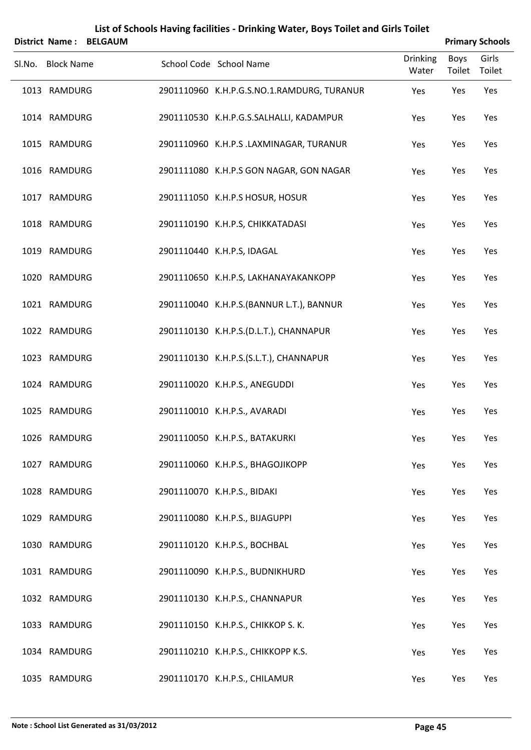| <b>District Name:</b> | <b>BELGAUM</b> | List of Schools Having facilities - Drinking Water, Boys Toilet and Girls Toilet |                          |                | <b>Primary Schools</b> |
|-----------------------|----------------|----------------------------------------------------------------------------------|--------------------------|----------------|------------------------|
| Sl.No. Block Name     |                | School Code School Name                                                          | <b>Drinking</b><br>Water | Boys<br>Toilet | Girls<br>Toilet        |
| 1013 RAMDURG          |                | 2901110960 K.H.P.G.S.NO.1.RAMDURG, TURANUR                                       | Yes                      | Yes            | Yes                    |
| 1014 RAMDURG          |                | 2901110530 K.H.P.G.S.SALHALLI, KADAMPUR                                          | Yes                      | Yes            | Yes                    |
| 1015 RAMDURG          |                | 2901110960 K.H.P.S .LAXMINAGAR, TURANUR                                          | Yes                      | Yes            | Yes                    |
| 1016 RAMDURG          |                | 2901111080 K.H.P.S GON NAGAR, GON NAGAR                                          | Yes                      | Yes            | Yes                    |
| 1017 RAMDURG          |                | 2901111050 K.H.P.S HOSUR, HOSUR                                                  | Yes                      | Yes            | Yes                    |
| 1018 RAMDURG          |                | 2901110190 K.H.P.S, CHIKKATADASI                                                 | Yes                      | Yes            | Yes                    |
| 1019 RAMDURG          |                | 2901110440 K.H.P.S, IDAGAL                                                       | Yes                      | Yes            | Yes                    |
| 1020 RAMDURG          |                | 2901110650 K.H.P.S, LAKHANAYAKANKOPP                                             | Yes                      | Yes            | Yes                    |
| 1021 RAMDURG          |                | 2901110040 K.H.P.S. (BANNUR L.T.), BANNUR                                        | Yes                      | Yes            | Yes                    |
| 1022 RAMDURG          |                | 2901110130 K.H.P.S.(D.L.T.), CHANNAPUR                                           | Yes                      | Yes            | Yes                    |
| 1023 RAMDURG          |                | 2901110130 K.H.P.S.(S.L.T.), CHANNAPUR                                           | Yes                      | Yes            | Yes                    |
| 1024 RAMDURG          |                | 2901110020 K.H.P.S., ANEGUDDI                                                    | Yes                      | Yes            | Yes                    |
| 1025 RAMDURG          |                | 2901110010 K.H.P.S., AVARADI                                                     | Yes                      | Yes            | Yes                    |
| 1026 RAMDURG          |                | 2901110050 K.H.P.S., BATAKURKI                                                   | Yes                      | Yes            | Yes                    |
| 1027 RAMDURG          |                | 2901110060 K.H.P.S., BHAGOJIKOPP                                                 | Yes                      | Yes            | Yes                    |
| 1028 RAMDURG          |                | 2901110070 K.H.P.S., BIDAKI                                                      | Yes                      | Yes            | Yes                    |
| 1029 RAMDURG          |                | 2901110080 K.H.P.S., BIJAGUPPI                                                   | Yes                      | Yes            | Yes                    |
| 1030 RAMDURG          |                | 2901110120 K.H.P.S., BOCHBAL                                                     | Yes                      | Yes            | Yes                    |
| 1031 RAMDURG          |                | 2901110090 K.H.P.S., BUDNIKHURD                                                  | Yes                      | Yes            | Yes                    |
| 1032 RAMDURG          |                | 2901110130 K.H.P.S., CHANNAPUR                                                   | Yes                      | Yes            | Yes                    |
| 1033 RAMDURG          |                | 2901110150 K.H.P.S., CHIKKOP S.K.                                                | Yes                      | Yes            | Yes                    |
| 1034 RAMDURG          |                | 2901110210 К.Н.Р.S., СНІККОРР К.S.                                               | Yes                      | Yes            | Yes                    |
| 1035 RAMDURG          |                | 2901110170 K.H.P.S., CHILAMUR                                                    | Yes                      | Yes            | Yes                    |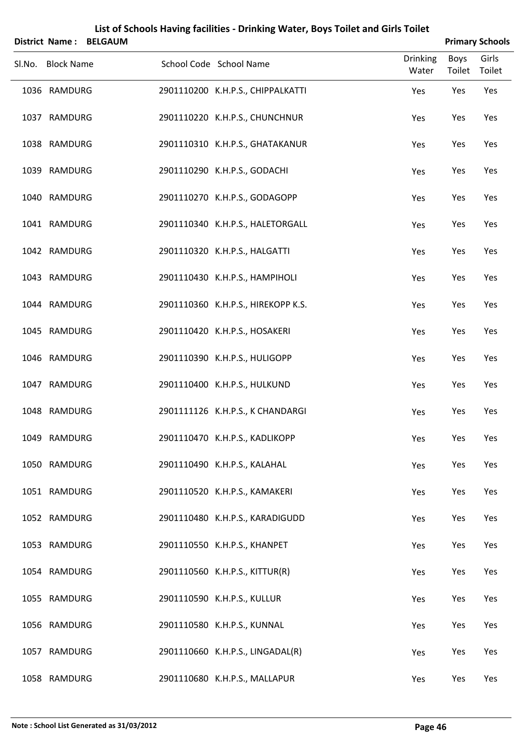|                   | District Name: BELGAUM |                                    |                          |                | <b>Primary Schools</b> |
|-------------------|------------------------|------------------------------------|--------------------------|----------------|------------------------|
| Sl.No. Block Name |                        | School Code School Name            | <b>Drinking</b><br>Water | Boys<br>Toilet | Girls<br>Toilet        |
| 1036 RAMDURG      |                        | 2901110200 K.H.P.S., CHIPPALKATTI  | Yes                      | Yes            | Yes                    |
| 1037 RAMDURG      |                        | 2901110220 K.H.P.S., CHUNCHNUR     | Yes                      | Yes            | Yes                    |
| 1038 RAMDURG      |                        | 2901110310 K.H.P.S., GHATAKANUR    | Yes                      | Yes            | Yes                    |
| 1039 RAMDURG      |                        | 2901110290 K.H.P.S., GODACHI       | Yes                      | Yes            | Yes                    |
| 1040 RAMDURG      |                        | 2901110270 K.H.P.S., GODAGOPP      | Yes                      | Yes            | Yes                    |
| 1041 RAMDURG      |                        | 2901110340 K.H.P.S., HALETORGALL   | Yes                      | Yes            | Yes                    |
| 1042 RAMDURG      |                        | 2901110320 K.H.P.S., HALGATTI      | Yes                      | Yes            | Yes                    |
| 1043 RAMDURG      |                        | 2901110430 K.H.P.S., HAMPIHOLI     | Yes                      | Yes            | Yes                    |
| 1044 RAMDURG      |                        | 2901110360 K.H.P.S., HIREKOPP K.S. | Yes                      | Yes            | Yes                    |
| 1045 RAMDURG      |                        | 2901110420 K.H.P.S., HOSAKERI      | Yes                      | Yes            | Yes                    |
| 1046 RAMDURG      |                        | 2901110390 K.H.P.S., HULIGOPP      | Yes                      | Yes            | Yes                    |
| 1047 RAMDURG      |                        | 2901110400 K.H.P.S., HULKUND       | Yes                      | Yes            | Yes                    |
| 1048 RAMDURG      |                        | 2901111126 K.H.P.S., K CHANDARGI   | Yes                      | Yes            | Yes                    |
| 1049 RAMDURG      |                        | 2901110470 K.H.P.S., KADLIKOPP     | Yes                      | Yes            | Yes                    |
| 1050 RAMDURG      |                        | 2901110490 K.H.P.S., KALAHAL       | Yes                      | Yes            | Yes                    |
| 1051 RAMDURG      |                        | 2901110520 K.H.P.S., KAMAKERI      | Yes                      | Yes            | Yes                    |
| 1052 RAMDURG      |                        | 2901110480 K.H.P.S., KARADIGUDD    | Yes                      | Yes            | Yes                    |
| 1053 RAMDURG      |                        | 2901110550 K.H.P.S., KHANPET       | Yes                      | Yes            | Yes                    |
| 1054 RAMDURG      |                        | 2901110560 K.H.P.S., KITTUR(R)     | Yes                      | Yes            | Yes                    |
| 1055 RAMDURG      |                        | 2901110590 K.H.P.S., KULLUR        | Yes                      | Yes            | Yes                    |
| 1056 RAMDURG      |                        | 2901110580 K.H.P.S., KUNNAL        | Yes                      | Yes            | Yes                    |
| 1057 RAMDURG      |                        | 2901110660 K.H.P.S., LINGADAL(R)   | Yes                      | Yes            | Yes                    |
| 1058 RAMDURG      |                        | 2901110680 K.H.P.S., MALLAPUR      | Yes                      | Yes            | Yes                    |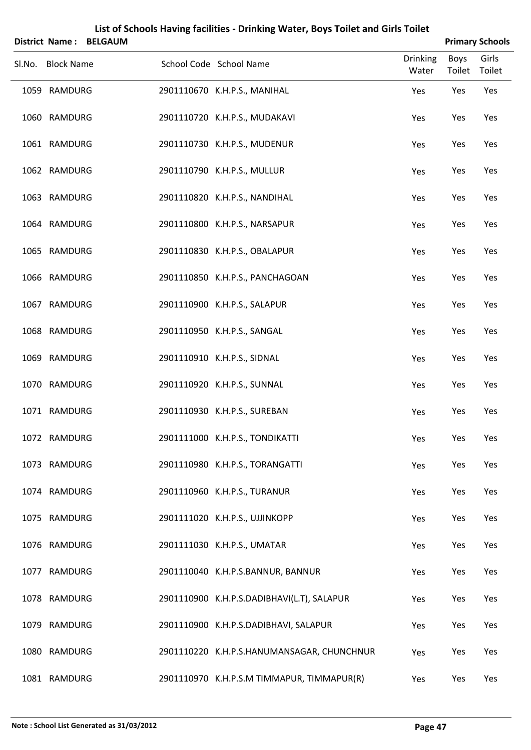|                   | District Name: BELGAUM |                                            |                   |                | <b>Primary Schools</b> |
|-------------------|------------------------|--------------------------------------------|-------------------|----------------|------------------------|
| Sl.No. Block Name |                        | School Code School Name                    | Drinking<br>Water | Boys<br>Toilet | Girls<br>Toilet        |
| 1059 RAMDURG      |                        | 2901110670 K.H.P.S., MANIHAL               | Yes               | Yes            | Yes                    |
| 1060 RAMDURG      |                        | 2901110720 K.H.P.S., MUDAKAVI              | Yes               | Yes            | Yes                    |
| 1061 RAMDURG      |                        | 2901110730 K.H.P.S., MUDENUR               | Yes               | Yes            | Yes                    |
| 1062 RAMDURG      |                        | 2901110790 K.H.P.S., MULLUR                | Yes               | Yes            | Yes                    |
| 1063 RAMDURG      |                        | 2901110820 K.H.P.S., NANDIHAL              | Yes               | Yes            | Yes                    |
| 1064 RAMDURG      |                        | 2901110800 K.H.P.S., NARSAPUR              | Yes               | Yes            | Yes                    |
| 1065 RAMDURG      |                        | 2901110830 K.H.P.S., OBALAPUR              | Yes               | Yes            | Yes                    |
| 1066 RAMDURG      |                        | 2901110850 K.H.P.S., PANCHAGOAN            | Yes               | Yes            | Yes                    |
| 1067 RAMDURG      |                        | 2901110900 K.H.P.S., SALAPUR               | Yes               | Yes            | Yes                    |
| 1068 RAMDURG      |                        | 2901110950 K.H.P.S., SANGAL                | Yes               | Yes            | Yes                    |
| 1069 RAMDURG      |                        | 2901110910 K.H.P.S., SIDNAL                | Yes               | Yes            | Yes                    |
| 1070 RAMDURG      |                        | 2901110920 K.H.P.S., SUNNAL                | Yes               | Yes            | Yes                    |
| 1071 RAMDURG      |                        | 2901110930 K.H.P.S., SUREBAN               | Yes               | Yes            | Yes                    |
| 1072 RAMDURG      |                        | 2901111000 K.H.P.S., TONDIKATTI            | Yes               | Yes            | Yes                    |
| 1073 RAMDURG      |                        | 2901110980 K.H.P.S., TORANGATTI            | Yes               | Yes            | Yes                    |
| 1074 RAMDURG      |                        | 2901110960 K.H.P.S., TURANUR               | Yes               | Yes            | Yes                    |
| 1075 RAMDURG      |                        | 2901111020 K.H.P.S., UJJINKOPP             | Yes               | Yes            | Yes                    |
| 1076 RAMDURG      |                        | 2901111030 K.H.P.S., UMATAR                | Yes               | Yes            | Yes                    |
| 1077 RAMDURG      |                        | 2901110040 K.H.P.S.BANNUR, BANNUR          | Yes               | Yes            | Yes                    |
| 1078 RAMDURG      |                        | 2901110900 K.H.P.S.DADIBHAVI(L.T), SALAPUR | Yes               | Yes            | Yes                    |
| 1079 RAMDURG      |                        | 2901110900 K.H.P.S.DADIBHAVI, SALAPUR      | Yes               | Yes            | Yes                    |
| 1080 RAMDURG      |                        | 2901110220 K.H.P.S.HANUMANSAGAR, CHUNCHNUR | Yes               | Yes            | Yes                    |
| 1081 RAMDURG      |                        | 2901110970 K.H.P.S.M TIMMAPUR, TIMMAPUR(R) | Yes               | Yes            | Yes                    |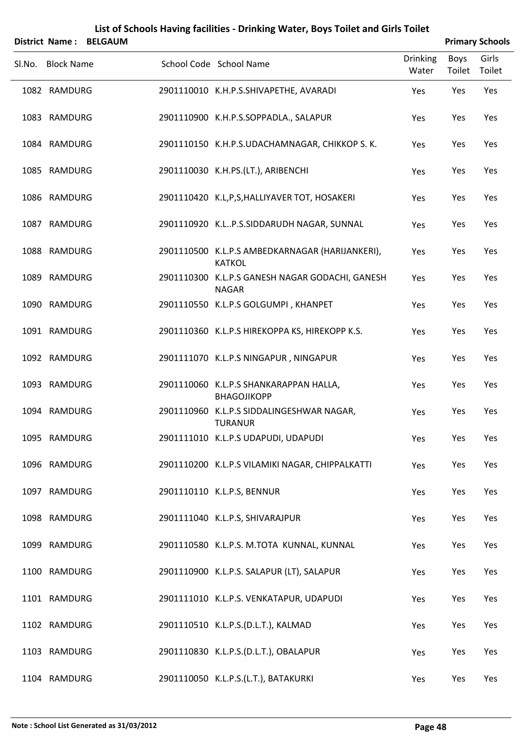|        | <b>District Name:</b> | <b>BELGAUM</b> | List of Schools Having facilities - Drinking Water, Boys Toilet and Girls Toilet |                          |                | <b>Primary Schools</b> |
|--------|-----------------------|----------------|----------------------------------------------------------------------------------|--------------------------|----------------|------------------------|
|        |                       |                |                                                                                  |                          |                | Girls                  |
| Sl.No. | <b>Block Name</b>     |                | School Code School Name                                                          | <b>Drinking</b><br>Water | Boys<br>Toilet | Toilet                 |
|        | 1082 RAMDURG          |                | 2901110010 K.H.P.S.SHIVAPETHE, AVARADI                                           | Yes                      | Yes            | Yes                    |
|        | 1083 RAMDURG          |                | 2901110900 K.H.P.S.SOPPADLA., SALAPUR                                            | Yes                      | Yes            | Yes                    |
|        | 1084 RAMDURG          |                | 2901110150 K.H.P.S.UDACHAMNAGAR, CHIKKOP S.K.                                    | Yes                      | Yes            | Yes                    |
|        | 1085 RAMDURG          |                | 2901110030 K.H.PS.(LT.), ARIBENCHI                                               | Yes                      | Yes            | Yes                    |
|        | 1086 RAMDURG          |                | 2901110420 K.L,P,S,HALLIYAVER TOT, HOSAKERI                                      | Yes                      | Yes            | Yes                    |
|        | 1087 RAMDURG          |                | 2901110920 K.LP.S.SIDDARUDH NAGAR, SUNNAL                                        | Yes                      | Yes            | Yes                    |
|        | 1088 RAMDURG          |                | 2901110500 K.L.P.S AMBEDKARNAGAR (HARIJANKERI),<br><b>KATKOL</b>                 | Yes                      | Yes            | Yes                    |
|        | 1089 RAMDURG          |                | 2901110300 K.L.P.S GANESH NAGAR GODACHI, GANESH<br><b>NAGAR</b>                  | Yes                      | Yes            | Yes                    |
|        | 1090 RAMDURG          |                | 2901110550 K.L.P.S GOLGUMPI, KHANPET                                             | Yes                      | Yes            | Yes                    |
|        | 1091 RAMDURG          |                | 2901110360 K.L.P.S HIREKOPPA KS, HIREKOPP K.S.                                   | Yes                      | Yes            | Yes                    |
|        | 1092 RAMDURG          |                | 2901111070 K.L.P.S NINGAPUR, NINGAPUR                                            | Yes                      | Yes            | Yes                    |
|        | 1093 RAMDURG          |                | 2901110060 K.L.P.S SHANKARAPPAN HALLA,<br><b>BHAGOJIKOPP</b>                     | Yes                      | Yes            | Yes                    |
|        | 1094 RAMDURG          |                | 2901110960 K.L.P.S SIDDALINGESHWAR NAGAR,<br><b>TURANUR</b>                      | Yes                      | Yes            | Yes                    |
|        | 1095 RAMDURG          |                | 2901111010 K.L.P.S UDAPUDI, UDAPUDI                                              | Yes                      | Yes            | Yes                    |
|        | 1096 RAMDURG          |                | 2901110200 K.L.P.S VILAMIKI NAGAR, CHIPPALKATTI                                  | Yes                      | Yes            | Yes                    |
|        | 1097 RAMDURG          |                | 2901110110 K.L.P.S, BENNUR                                                       | Yes                      | Yes            | Yes                    |
|        | 1098 RAMDURG          |                | 2901111040 K.L.P.S, SHIVARAJPUR                                                  | Yes                      | Yes            | Yes                    |
|        | 1099 RAMDURG          |                | 2901110580 K.L.P.S. M.TOTA KUNNAL, KUNNAL                                        | Yes                      | Yes            | Yes                    |
|        | 1100 RAMDURG          |                | 2901110900 K.L.P.S. SALAPUR (LT), SALAPUR                                        | Yes                      | Yes            | Yes                    |
|        | 1101 RAMDURG          |                | 2901111010 K.L.P.S. VENKATAPUR, UDAPUDI                                          | Yes                      | Yes            | Yes                    |
|        | 1102 RAMDURG          |                | 2901110510 K.L.P.S.(D.L.T.), KALMAD                                              | Yes                      | Yes            | Yes                    |
|        | 1103 RAMDURG          |                | 2901110830 K.L.P.S.(D.L.T.), OBALAPUR                                            | Yes                      | Yes            | Yes                    |
|        | 1104 RAMDURG          |                | 2901110050 K.L.P.S.(L.T.), BATAKURKI                                             | Yes                      | Yes            | Yes                    |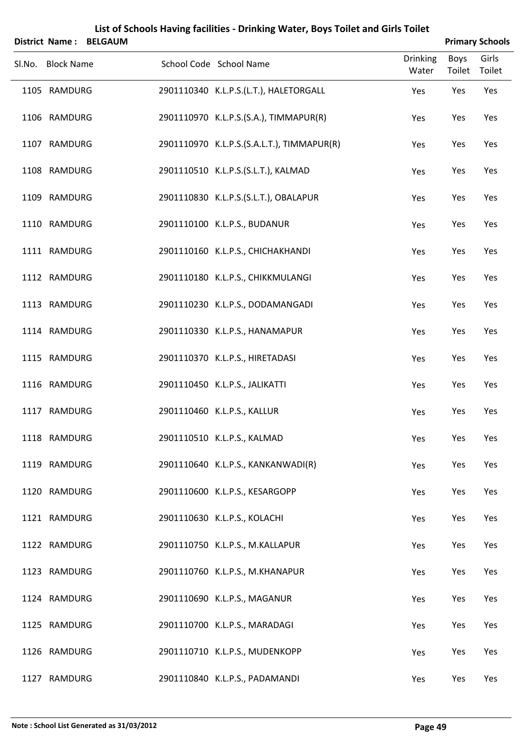|        |                   | District Name: BELGAUM |                                            |                          |                | <b>Primary Schools</b> |
|--------|-------------------|------------------------|--------------------------------------------|--------------------------|----------------|------------------------|
| SI.No. | <b>Block Name</b> |                        | School Code School Name                    | <b>Drinking</b><br>Water | Boys<br>Toilet | Girls<br>Toilet        |
|        | 1105 RAMDURG      |                        | 2901110340 K.L.P.S.(L.T.), HALETORGALL     | Yes                      | Yes            | Yes                    |
|        | 1106 RAMDURG      |                        | 2901110970 K.L.P.S.(S.A.), TIMMAPUR(R)     | Yes                      | Yes            | Yes                    |
|        | 1107 RAMDURG      |                        | 2901110970 K.L.P.S.(S.A.L.T.), TIMMAPUR(R) | Yes                      | Yes            | Yes                    |
|        | 1108 RAMDURG      |                        | 2901110510 K.L.P.S.(S.L.T.), KALMAD        | Yes                      | Yes            | Yes                    |
|        | 1109 RAMDURG      |                        | 2901110830 K.L.P.S.(S.L.T.), OBALAPUR      | Yes                      | Yes            | Yes                    |
|        | 1110 RAMDURG      |                        | 2901110100 K.L.P.S., BUDANUR               | Yes                      | Yes            | Yes                    |
|        | 1111 RAMDURG      |                        | 2901110160 K.L.P.S., CHICHAKHANDI          | Yes                      | Yes            | Yes                    |
|        | 1112 RAMDURG      |                        | 2901110180 K.L.P.S., CHIKKMULANGI          | Yes                      | Yes            | Yes                    |
|        | 1113 RAMDURG      |                        | 2901110230 K.L.P.S., DODAMANGADI           | Yes                      | Yes            | Yes                    |
|        | 1114 RAMDURG      |                        | 2901110330 K.L.P.S., HANAMAPUR             | Yes                      | Yes            | Yes                    |
|        | 1115 RAMDURG      |                        | 2901110370 K.L.P.S., HIRETADASI            | Yes                      | Yes            | Yes                    |
|        | 1116 RAMDURG      |                        | 2901110450 K.L.P.S., JALIKATTI             | Yes                      | Yes            | Yes                    |
|        | 1117 RAMDURG      |                        | 2901110460 K.L.P.S., KALLUR                | Yes                      | Yes            | Yes                    |
|        | 1118 RAMDURG      |                        | 2901110510 K.L.P.S., KALMAD                | Yes                      | Yes            | Yes                    |
|        | 1119 RAMDURG      |                        | 2901110640 K.L.P.S., KANKANWADI(R)         | Yes                      | Yes            | Yes                    |
|        | 1120 RAMDURG      |                        | 2901110600 K.L.P.S., KESARGOPP             | Yes                      | Yes            | Yes                    |
|        | 1121 RAMDURG      |                        | 2901110630 K.L.P.S., KOLACHI               | Yes                      | Yes            | Yes                    |
|        | 1122 RAMDURG      |                        | 2901110750 K.L.P.S., M.KALLAPUR            | Yes                      | Yes            | Yes                    |
|        | 1123 RAMDURG      |                        | 2901110760 K.L.P.S., M.KHANAPUR            | Yes                      | Yes            | Yes                    |
|        | 1124 RAMDURG      |                        | 2901110690 K.L.P.S., MAGANUR               | Yes                      | Yes            | Yes                    |
|        | 1125 RAMDURG      |                        | 2901110700 K.L.P.S., MARADAGI              | Yes                      | Yes            | Yes                    |
|        | 1126 RAMDURG      |                        | 2901110710 K.L.P.S., MUDENKOPP             | Yes                      | Yes            | Yes                    |
|        | 1127 RAMDURG      |                        | 2901110840 K.L.P.S., PADAMANDI             | Yes                      | Yes            | Yes                    |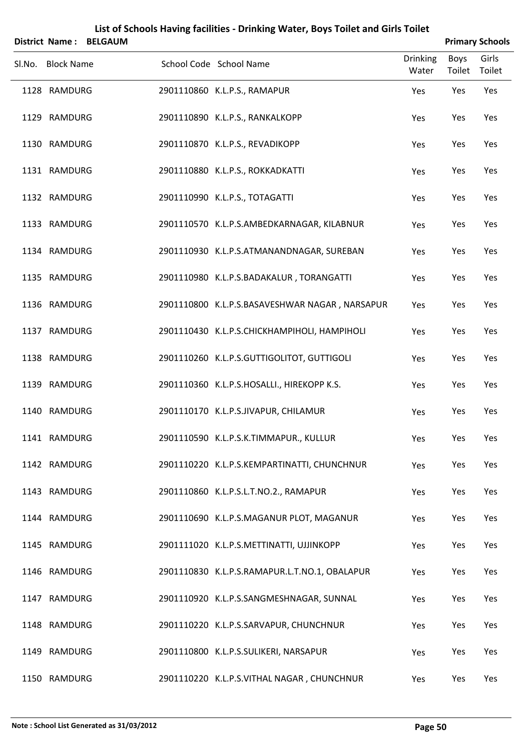|        | District Name:    | <b>BELGAUM</b> |                                                |                          |                | <b>Primary Schools</b> |
|--------|-------------------|----------------|------------------------------------------------|--------------------------|----------------|------------------------|
| Sl.No. | <b>Block Name</b> |                | School Code School Name                        | <b>Drinking</b><br>Water | Boys<br>Toilet | Girls<br>Toilet        |
|        | 1128 RAMDURG      |                | 2901110860 K.L.P.S., RAMAPUR                   | Yes                      | Yes            | Yes                    |
|        | 1129 RAMDURG      |                | 2901110890 K.L.P.S., RANKALKOPP                | Yes                      | Yes            | Yes                    |
|        | 1130 RAMDURG      |                | 2901110870 K.L.P.S., REVADIKOPP                | Yes                      | Yes            | Yes                    |
|        | 1131 RAMDURG      |                | 2901110880 K.L.P.S., ROKKADKATTI               | Yes                      | Yes            | Yes                    |
|        | 1132 RAMDURG      |                | 2901110990 K.L.P.S., TOTAGATTI                 | Yes                      | Yes            | Yes                    |
|        | 1133 RAMDURG      |                | 2901110570 K.L.P.S.AMBEDKARNAGAR, KILABNUR     | Yes                      | Yes            | Yes                    |
|        | 1134 RAMDURG      |                | 2901110930 K.L.P.S.ATMANANDNAGAR, SUREBAN      | Yes                      | Yes            | Yes                    |
|        | 1135 RAMDURG      |                | 2901110980 K.L.P.S.BADAKALUR, TORANGATTI       | Yes                      | Yes            | Yes                    |
|        | 1136 RAMDURG      |                | 2901110800 K.L.P.S.BASAVESHWAR NAGAR, NARSAPUR | Yes                      | Yes            | Yes                    |
|        | 1137 RAMDURG      |                | 2901110430 K.L.P.S.CHICKHAMPIHOLI, HAMPIHOLI   | Yes                      | Yes            | Yes                    |
|        | 1138 RAMDURG      |                | 2901110260 K.L.P.S.GUTTIGOLITOT, GUTTIGOLI     | Yes                      | Yes            | Yes                    |
|        | 1139 RAMDURG      |                | 2901110360 K.L.P.S.HOSALLI., HIREKOPP K.S.     | Yes                      | Yes            | Yes                    |
|        | 1140 RAMDURG      |                | 2901110170 K.L.P.S.JIVAPUR, CHILAMUR           | Yes                      | Yes            | Yes                    |
|        | 1141 RAMDURG      |                | 2901110590 K.L.P.S.K.TIMMAPUR., KULLUR         | Yes                      | Yes            | Yes                    |
|        | 1142 RAMDURG      |                | 2901110220 K.L.P.S.KEMPARTINATTI, CHUNCHNUR    | Yes                      | Yes            | Yes                    |
|        | 1143 RAMDURG      |                | 2901110860 K.L.P.S.L.T.NO.2., RAMAPUR          | Yes                      | Yes            | Yes                    |
|        | 1144 RAMDURG      |                | 2901110690 K.L.P.S.MAGANUR PLOT, MAGANUR       | Yes                      | Yes            | Yes                    |
|        | 1145 RAMDURG      |                | 2901111020 K.L.P.S.METTINATTI, UJJINKOPP       | Yes                      | Yes            | Yes                    |
|        | 1146 RAMDURG      |                | 2901110830 K.L.P.S.RAMAPUR.L.T.NO.1, OBALAPUR  | Yes                      | Yes            | Yes                    |
|        | 1147 RAMDURG      |                | 2901110920 K.L.P.S.SANGMESHNAGAR, SUNNAL       | Yes                      | Yes            | Yes                    |
|        | 1148 RAMDURG      |                | 2901110220 K.L.P.S.SARVAPUR, CHUNCHNUR         | Yes                      | Yes            | Yes                    |
|        | 1149 RAMDURG      |                | 2901110800 K.L.P.S.SULIKERI, NARSAPUR          | Yes                      | Yes            | Yes                    |
|        | 1150 RAMDURG      |                | 2901110220 K.L.P.S.VITHAL NAGAR, CHUNCHNUR     | Yes                      | Yes            | Yes                    |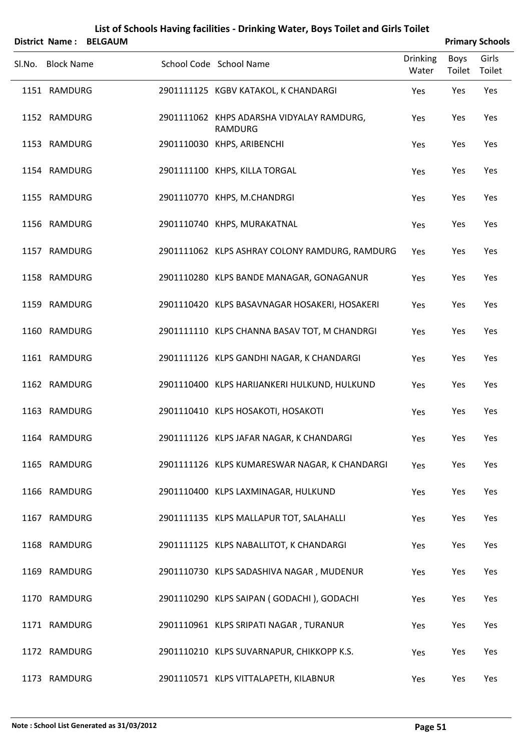|        | <b>District Name:</b> | <b>BELGAUM</b> |                                                             |                          |                | <b>Primary Schools</b> |
|--------|-----------------------|----------------|-------------------------------------------------------------|--------------------------|----------------|------------------------|
| SI.No. | <b>Block Name</b>     |                | School Code School Name                                     | <b>Drinking</b><br>Water | Boys<br>Toilet | Girls<br>Toilet        |
|        | 1151 RAMDURG          |                | 2901111125 KGBV KATAKOL, K CHANDARGI                        | Yes                      | Yes            | Yes                    |
|        | 1152 RAMDURG          |                | 2901111062 KHPS ADARSHA VIDYALAY RAMDURG,<br><b>RAMDURG</b> | Yes                      | Yes            | Yes                    |
|        | 1153 RAMDURG          |                | 2901110030 KHPS, ARIBENCHI                                  | Yes                      | Yes            | Yes                    |
|        | 1154 RAMDURG          |                | 2901111100 KHPS, KILLA TORGAL                               | Yes                      | Yes            | Yes                    |
|        | 1155 RAMDURG          |                | 2901110770 KHPS, M.CHANDRGI                                 | Yes                      | Yes            | Yes                    |
|        | 1156 RAMDURG          |                | 2901110740 KHPS, MURAKATNAL                                 | Yes                      | Yes            | Yes                    |
|        | 1157 RAMDURG          |                | 2901111062 KLPS ASHRAY COLONY RAMDURG, RAMDURG              | Yes                      | Yes            | Yes                    |
|        | 1158 RAMDURG          |                | 2901110280 KLPS BANDE MANAGAR, GONAGANUR                    | Yes                      | Yes            | Yes                    |
|        | 1159 RAMDURG          |                | 2901110420 KLPS BASAVNAGAR HOSAKERI, HOSAKERI               | Yes                      | Yes            | Yes                    |
|        | 1160 RAMDURG          |                | 2901111110 KLPS CHANNA BASAV TOT, M CHANDRGI                | Yes                      | Yes            | Yes                    |
|        | 1161 RAMDURG          |                | 2901111126 KLPS GANDHI NAGAR, K CHANDARGI                   | Yes                      | Yes            | Yes                    |
|        | 1162 RAMDURG          |                | 2901110400 KLPS HARIJANKERI HULKUND, HULKUND                | Yes                      | Yes            | Yes                    |
|        | 1163 RAMDURG          |                | 2901110410 KLPS HOSAKOTI, HOSAKOTI                          | Yes                      | Yes            | Yes                    |
|        | 1164 RAMDURG          |                | 2901111126 KLPS JAFAR NAGAR, K CHANDARGI                    | Yes                      | Yes            | Yes                    |
|        | 1165 RAMDURG          |                | 2901111126 KLPS KUMARESWAR NAGAR, K CHANDARGI               | Yes                      | Yes            | Yes                    |
|        | 1166 RAMDURG          |                | 2901110400 KLPS LAXMINAGAR, HULKUND                         | Yes                      | Yes            | Yes                    |
|        | 1167 RAMDURG          |                | 2901111135 KLPS MALLAPUR TOT, SALAHALLI                     | Yes                      | Yes            | Yes                    |
|        | 1168 RAMDURG          |                | 2901111125 KLPS NABALLITOT, K CHANDARGI                     | Yes                      | Yes            | Yes                    |
|        | 1169 RAMDURG          |                | 2901110730 KLPS SADASHIVA NAGAR, MUDENUR                    | Yes                      | Yes            | Yes                    |
|        | 1170 RAMDURG          |                | 2901110290 KLPS SAIPAN (GODACHI), GODACHI                   | Yes                      | Yes            | Yes                    |
|        | 1171 RAMDURG          |                | 2901110961 KLPS SRIPATI NAGAR, TURANUR                      | Yes                      | Yes            | Yes                    |
|        | 1172 RAMDURG          |                | 2901110210 KLPS SUVARNAPUR, CHIKKOPP K.S.                   | Yes                      | Yes            | Yes                    |
|        | 1173 RAMDURG          |                | 2901110571 KLPS VITTALAPETH, KILABNUR                       | Yes                      | Yes            | Yes                    |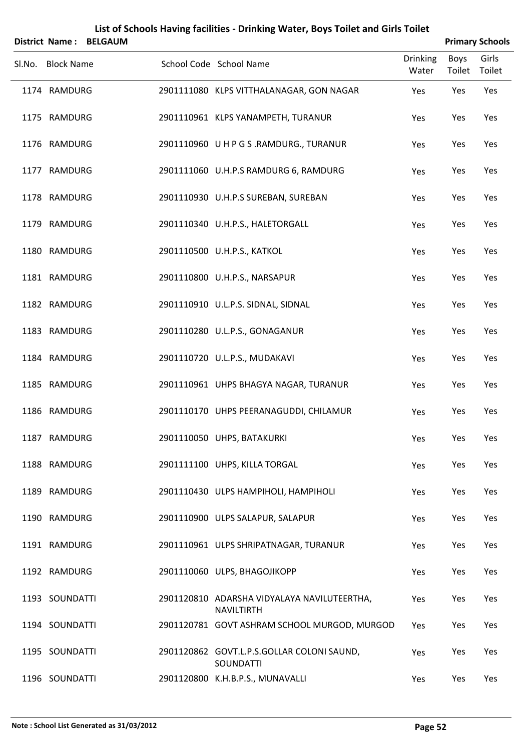| <b>District Name:</b> | <b>BELGAUM</b> |                                                                  |                          |                | <b>Primary Schools</b> |
|-----------------------|----------------|------------------------------------------------------------------|--------------------------|----------------|------------------------|
| Sl.No. Block Name     |                | School Code School Name                                          | <b>Drinking</b><br>Water | Boys<br>Toilet | Girls<br>Toilet        |
| 1174 RAMDURG          |                | 2901111080 KLPS VITTHALANAGAR, GON NAGAR                         | Yes                      | Yes            | Yes                    |
| 1175 RAMDURG          |                | 2901110961 KLPS YANAMPETH, TURANUR                               | Yes                      | Yes            | Yes                    |
| 1176 RAMDURG          |                | 2901110960 U H P G S .RAMDURG., TURANUR                          | Yes                      | Yes            | Yes                    |
| 1177 RAMDURG          |                | 2901111060 U.H.P.S RAMDURG 6, RAMDURG                            | Yes                      | Yes            | Yes                    |
| 1178 RAMDURG          |                | 2901110930 U.H.P.S SUREBAN, SUREBAN                              | Yes                      | Yes            | Yes                    |
| 1179 RAMDURG          |                | 2901110340 U.H.P.S., HALETORGALL                                 | Yes                      | Yes            | Yes                    |
| 1180 RAMDURG          |                | 2901110500 U.H.P.S., KATKOL                                      | Yes                      | Yes            | Yes                    |
| 1181 RAMDURG          |                | 2901110800 U.H.P.S., NARSAPUR                                    | Yes                      | Yes            | Yes                    |
| 1182 RAMDURG          |                | 2901110910 U.L.P.S. SIDNAL, SIDNAL                               | Yes                      | Yes            | Yes                    |
| 1183 RAMDURG          |                | 2901110280 U.L.P.S., GONAGANUR                                   | Yes                      | Yes            | Yes                    |
| 1184 RAMDURG          |                | 2901110720 U.L.P.S., MUDAKAVI                                    | Yes                      | Yes            | Yes                    |
| 1185 RAMDURG          |                | 2901110961 UHPS BHAGYA NAGAR, TURANUR                            | Yes                      | Yes            | Yes                    |
| 1186 RAMDURG          |                | 2901110170 UHPS PEERANAGUDDI, CHILAMUR                           | Yes                      | Yes            | Yes                    |
| 1187 RAMDURG          |                | 2901110050 UHPS, BATAKURKI                                       | Yes                      | Yes            | Yes                    |
| 1188 RAMDURG          |                | 2901111100 UHPS, KILLA TORGAL                                    | Yes                      | Yes            | Yes                    |
| 1189 RAMDURG          |                | 2901110430 ULPS HAMPIHOLI, HAMPIHOLI                             | Yes                      | Yes            | Yes                    |
| 1190 RAMDURG          |                | 2901110900 ULPS SALAPUR, SALAPUR                                 | Yes                      | Yes            | Yes                    |
| 1191 RAMDURG          |                | 2901110961 ULPS SHRIPATNAGAR, TURANUR                            | Yes                      | Yes            | Yes                    |
| 1192 RAMDURG          |                | 2901110060 ULPS, BHAGOJIKOPP                                     | Yes                      | Yes            | Yes                    |
| 1193 SOUNDATTI        |                | 2901120810 ADARSHA VIDYALAYA NAVILUTEERTHA,<br><b>NAVILTIRTH</b> | Yes                      | Yes            | Yes                    |
| 1194 SOUNDATTI        |                | 2901120781 GOVT ASHRAM SCHOOL MURGOD, MURGOD                     | Yes                      | Yes            | Yes                    |
| 1195 SOUNDATTI        |                | 2901120862 GOVT.L.P.S.GOLLAR COLONI SAUND,<br>SOUNDATTI          | Yes                      | Yes            | Yes                    |
| 1196 SOUNDATTI        |                | 2901120800 K.H.B.P.S., MUNAVALLI                                 | Yes                      | Yes            | Yes                    |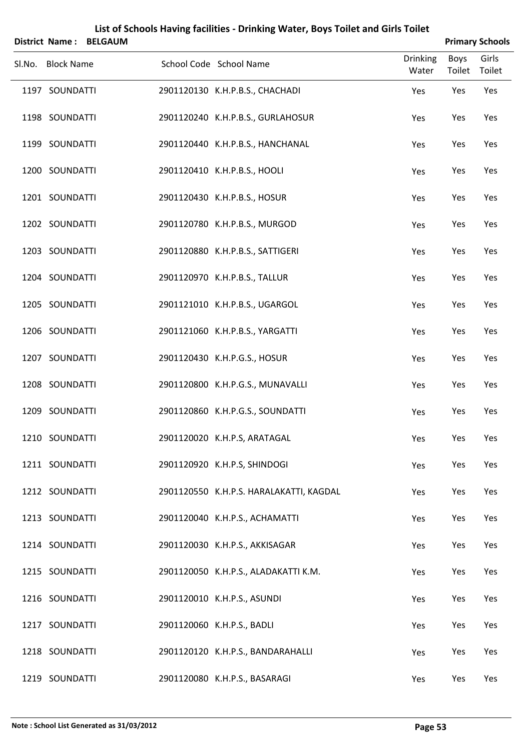| <b>District Name:</b> | <b>BELGAUM</b> |                                         |                          |                | <b>Primary Schools</b> |
|-----------------------|----------------|-----------------------------------------|--------------------------|----------------|------------------------|
| Sl.No. Block Name     |                | School Code School Name                 | <b>Drinking</b><br>Water | Boys<br>Toilet | Girls<br>Toilet        |
| 1197 SOUNDATTI        |                | 2901120130 K.H.P.B.S., CHACHADI         | Yes                      | Yes            | Yes                    |
| 1198 SOUNDATTI        |                | 2901120240 K.H.P.B.S., GURLAHOSUR       | Yes                      | Yes            | Yes                    |
| 1199 SOUNDATTI        |                | 2901120440 K.H.P.B.S., HANCHANAL        | Yes                      | Yes            | Yes                    |
| 1200 SOUNDATTI        |                | 2901120410 K.H.P.B.S., HOOLI            | Yes                      | Yes            | Yes                    |
| 1201 SOUNDATTI        |                | 2901120430 K.H.P.B.S., HOSUR            | Yes                      | Yes            | Yes                    |
| 1202 SOUNDATTI        |                | 2901120780 K.H.P.B.S., MURGOD           | Yes                      | Yes            | Yes                    |
| 1203 SOUNDATTI        |                | 2901120880 K.H.P.B.S., SATTIGERI        | Yes                      | Yes            | Yes                    |
| 1204 SOUNDATTI        |                | 2901120970 K.H.P.B.S., TALLUR           | Yes                      | Yes            | Yes                    |
| 1205 SOUNDATTI        |                | 2901121010 K.H.P.B.S., UGARGOL          | Yes                      | Yes            | Yes                    |
| 1206 SOUNDATTI        |                | 2901121060 K.H.P.B.S., YARGATTI         | Yes                      | Yes            | Yes                    |
| 1207 SOUNDATTI        |                | 2901120430 K.H.P.G.S., HOSUR            | Yes                      | Yes            | Yes                    |
| 1208 SOUNDATTI        |                | 2901120800 K.H.P.G.S., MUNAVALLI        | Yes                      | Yes            | Yes                    |
| 1209 SOUNDATTI        |                | 2901120860 K.H.P.G.S., SOUNDATTI        | Yes                      | Yes            | Yes                    |
| 1210 SOUNDATTI        |                | 2901120020 K.H.P.S, ARATAGAL            | Yes                      | Yes            | Yes                    |
| 1211 SOUNDATTI        |                | 2901120920 K.H.P.S, SHINDOGI            | Yes                      | Yes            | Yes                    |
| 1212 SOUNDATTI        |                | 2901120550 K.H.P.S. HARALAKATTI, KAGDAL | Yes                      | Yes            | Yes                    |
| 1213 SOUNDATTI        |                | 2901120040 K.H.P.S., ACHAMATTI          | Yes                      | Yes            | Yes                    |
| 1214 SOUNDATTI        |                | 2901120030 K.H.P.S., AKKISAGAR          | Yes                      | Yes            | Yes                    |
| 1215 SOUNDATTI        |                | 2901120050 K.H.P.S., ALADAKATTI K.M.    | Yes                      | Yes            | Yes                    |
| 1216 SOUNDATTI        |                | 2901120010 K.H.P.S., ASUNDI             | Yes                      | Yes            | Yes                    |
| 1217 SOUNDATTI        |                | 2901120060 K.H.P.S., BADLI              | Yes                      | Yes            | Yes                    |
| 1218 SOUNDATTI        |                | 2901120120 K.H.P.S., BANDARAHALLI       | Yes                      | Yes            | Yes                    |
| 1219 SOUNDATTI        |                | 2901120080 K.H.P.S., BASARAGI           | Yes                      | Yes            | Yes                    |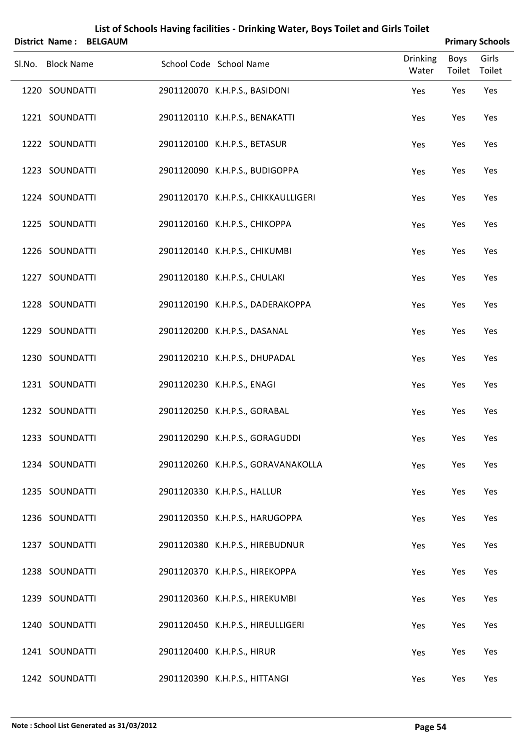|        |                   | District Name: BELGAUM |                                     |                          |                | <b>Primary Schools</b> |
|--------|-------------------|------------------------|-------------------------------------|--------------------------|----------------|------------------------|
| Sl.No. | <b>Block Name</b> |                        | School Code School Name             | <b>Drinking</b><br>Water | Boys<br>Toilet | Girls<br>Toilet        |
|        | 1220 SOUNDATTI    |                        | 2901120070 K.H.P.S., BASIDONI       | Yes                      | Yes            | Yes                    |
|        | 1221 SOUNDATTI    |                        | 2901120110 K.H.P.S., BENAKATTI      | Yes                      | Yes            | Yes                    |
|        | 1222 SOUNDATTI    |                        | 2901120100 K.H.P.S., BETASUR        | Yes                      | Yes            | Yes                    |
|        | 1223 SOUNDATTI    |                        | 2901120090 K.H.P.S., BUDIGOPPA      | Yes                      | Yes            | Yes                    |
|        | 1224 SOUNDATTI    |                        | 2901120170 K.H.P.S., CHIKKAULLIGERI | Yes                      | Yes            | Yes                    |
|        | 1225 SOUNDATTI    |                        | 2901120160 К.Н.Р.S., СНІКОРРА       | Yes                      | Yes            | Yes                    |
|        | 1226 SOUNDATTI    |                        | 2901120140 K.H.P.S., CHIKUMBI       | Yes                      | Yes            | Yes                    |
|        | 1227 SOUNDATTI    |                        | 2901120180 K.H.P.S., CHULAKI        | Yes                      | Yes            | Yes                    |
|        | 1228 SOUNDATTI    |                        | 2901120190 K.H.P.S., DADERAKOPPA    | Yes                      | Yes            | Yes                    |
|        | 1229 SOUNDATTI    |                        | 2901120200 K.H.P.S., DASANAL        | Yes                      | Yes            | Yes                    |
|        | 1230 SOUNDATTI    |                        | 2901120210 K.H.P.S., DHUPADAL       | Yes                      | Yes            | Yes                    |
|        | 1231 SOUNDATTI    |                        | 2901120230 K.H.P.S., ENAGI          | Yes                      | Yes            | Yes                    |
|        | 1232 SOUNDATTI    |                        | 2901120250 K.H.P.S., GORABAL        | Yes                      | Yes            | Yes                    |
|        | 1233 SOUNDATTI    |                        | 2901120290 K.H.P.S., GORAGUDDI      | Yes                      | Yes            | Yes                    |
|        | 1234 SOUNDATTI    |                        | 2901120260 K.H.P.S., GORAVANAKOLLA  | Yes                      | Yes            | Yes                    |
|        | 1235 SOUNDATTI    |                        | 2901120330 K.H.P.S., HALLUR         | Yes                      | Yes            | Yes                    |
|        | 1236 SOUNDATTI    |                        | 2901120350 K.H.P.S., HARUGOPPA      | Yes                      | Yes            | Yes                    |
|        | 1237 SOUNDATTI    |                        | 2901120380 K.H.P.S., HIREBUDNUR     | Yes                      | Yes            | Yes                    |
|        | 1238 SOUNDATTI    |                        | 2901120370 K.H.P.S., HIREKOPPA      | Yes                      | Yes            | Yes                    |
|        | 1239 SOUNDATTI    |                        | 2901120360 K.H.P.S., HIREKUMBI      | Yes                      | Yes            | Yes                    |
|        | 1240 SOUNDATTI    |                        | 2901120450 K.H.P.S., HIREULLIGERI   | Yes                      | Yes            | Yes                    |
|        | 1241 SOUNDATTI    |                        | 2901120400 K.H.P.S., HIRUR          | Yes                      | Yes            | Yes                    |
|        | 1242 SOUNDATTI    |                        | 2901120390 K.H.P.S., HITTANGI       | Yes                      | Yes            | Yes                    |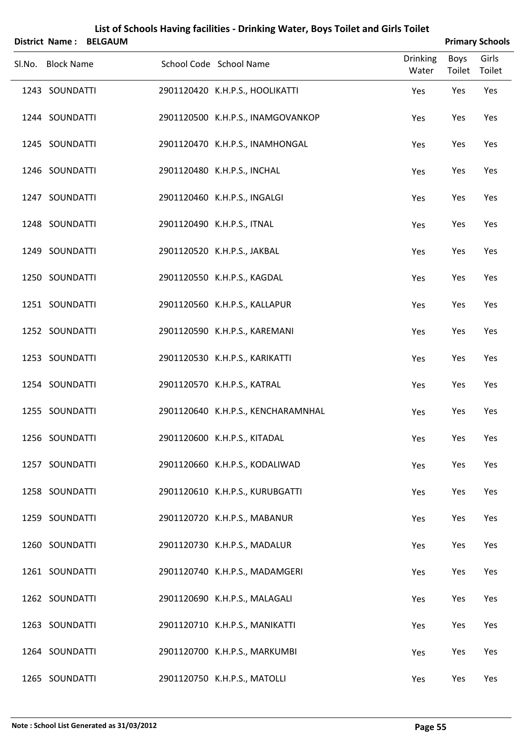|                   | District Name: BELGAUM |                                    |                          |                | <b>Primary Schools</b> |
|-------------------|------------------------|------------------------------------|--------------------------|----------------|------------------------|
| Sl.No. Block Name |                        | School Code School Name            | <b>Drinking</b><br>Water | Boys<br>Toilet | Girls<br>Toilet        |
| 1243 SOUNDATTI    |                        | 2901120420 K.H.P.S., HOOLIKATTI    | Yes                      | Yes            | Yes                    |
| 1244 SOUNDATTI    |                        | 2901120500 K.H.P.S., INAMGOVANKOP  | Yes                      | Yes            | Yes                    |
| 1245 SOUNDATTI    |                        | 2901120470 K.H.P.S., INAMHONGAL    | Yes                      | Yes            | Yes                    |
| 1246 SOUNDATTI    |                        | 2901120480 K.H.P.S., INCHAL        | Yes                      | Yes            | Yes                    |
| 1247 SOUNDATTI    |                        | 2901120460 K.H.P.S., INGALGI       | Yes                      | Yes            | Yes                    |
| 1248 SOUNDATTI    |                        | 2901120490 K.H.P.S., ITNAL         | Yes                      | Yes            | Yes                    |
| 1249 SOUNDATTI    |                        | 2901120520 K.H.P.S., JAKBAL        | Yes                      | Yes            | Yes                    |
| 1250 SOUNDATTI    |                        | 2901120550 K.H.P.S., KAGDAL        | Yes                      | Yes            | Yes                    |
| 1251 SOUNDATTI    |                        | 2901120560 K.H.P.S., KALLAPUR      | Yes                      | Yes            | Yes                    |
| 1252 SOUNDATTI    |                        | 2901120590 K.H.P.S., KAREMANI      | Yes                      | Yes            | Yes                    |
| 1253 SOUNDATTI    |                        | 2901120530 K.H.P.S., KARIKATTI     | Yes                      | Yes            | Yes                    |
| 1254 SOUNDATTI    |                        | 2901120570 K.H.P.S., KATRAL        | Yes                      | Yes            | Yes                    |
| 1255 SOUNDATTI    |                        | 2901120640 K.H.P.S., KENCHARAMNHAL | Yes                      | Yes            | Yes                    |
| 1256 SOUNDATTI    |                        | 2901120600 K.H.P.S., KITADAL       | Yes                      | Yes            | Yes                    |
| 1257 SOUNDATTI    |                        | 2901120660 K.H.P.S., KODALIWAD     | Yes                      | Yes            | Yes                    |
| 1258 SOUNDATTI    |                        | 2901120610 K.H.P.S., KURUBGATTI    | Yes                      | Yes            | Yes                    |
| 1259 SOUNDATTI    |                        | 2901120720 K.H.P.S., MABANUR       | Yes                      | Yes            | Yes                    |
| 1260 SOUNDATTI    |                        | 2901120730 K.H.P.S., MADALUR       | Yes                      | Yes            | Yes                    |
| 1261 SOUNDATTI    |                        | 2901120740 K.H.P.S., MADAMGERI     | Yes                      | Yes            | Yes                    |
| 1262 SOUNDATTI    |                        | 2901120690 K.H.P.S., MALAGALI      | Yes                      | Yes            | Yes                    |
| 1263 SOUNDATTI    |                        | 2901120710 K.H.P.S., MANIKATTI     | Yes                      | Yes            | Yes                    |
| 1264 SOUNDATTI    |                        | 2901120700 K.H.P.S., MARKUMBI      | Yes                      | Yes            | Yes                    |
| 1265 SOUNDATTI    |                        | 2901120750 K.H.P.S., MATOLLI       | Yes                      | Yes            | Yes                    |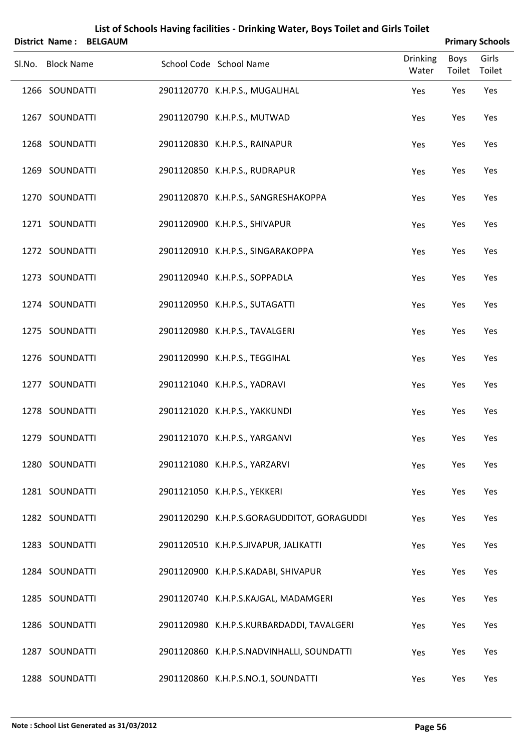|        |                   | District Name: BELGAUM |                                            |                          |                       | <b>Primary Schools</b> |
|--------|-------------------|------------------------|--------------------------------------------|--------------------------|-----------------------|------------------------|
| Sl.No. | <b>Block Name</b> |                        | School Code School Name                    | <b>Drinking</b><br>Water | <b>Boys</b><br>Toilet | Girls<br>Toilet        |
|        | 1266 SOUNDATTI    |                        | 2901120770 K.H.P.S., MUGALIHAL             | Yes                      | Yes                   | Yes                    |
|        | 1267 SOUNDATTI    |                        | 2901120790 K.H.P.S., MUTWAD                | Yes                      | Yes                   | Yes                    |
|        | 1268 SOUNDATTI    |                        | 2901120830 K.H.P.S., RAINAPUR              | Yes                      | Yes                   | Yes                    |
|        | 1269 SOUNDATTI    |                        | 2901120850 K.H.P.S., RUDRAPUR              | Yes                      | Yes                   | Yes                    |
|        | 1270 SOUNDATTI    |                        | 2901120870 K.H.P.S., SANGRESHAKOPPA        | Yes                      | Yes                   | Yes                    |
|        | 1271 SOUNDATTI    |                        | 2901120900 K.H.P.S., SHIVAPUR              | Yes                      | Yes                   | Yes                    |
|        | 1272 SOUNDATTI    |                        | 2901120910 K.H.P.S., SINGARAKOPPA          | Yes                      | Yes                   | Yes                    |
|        | 1273 SOUNDATTI    |                        | 2901120940 K.H.P.S., SOPPADLA              | Yes                      | Yes                   | Yes                    |
|        | 1274 SOUNDATTI    |                        | 2901120950 K.H.P.S., SUTAGATTI             | Yes                      | Yes                   | Yes                    |
|        | 1275 SOUNDATTI    |                        | 2901120980 K.H.P.S., TAVALGERI             | Yes                      | Yes                   | Yes                    |
|        | 1276 SOUNDATTI    |                        | 2901120990 K.H.P.S., TEGGIHAL              | Yes                      | Yes                   | Yes                    |
|        | 1277 SOUNDATTI    |                        | 2901121040 K.H.P.S., YADRAVI               | Yes                      | Yes                   | Yes                    |
|        | 1278 SOUNDATTI    |                        | 2901121020 K.H.P.S., YAKKUNDI              | Yes                      | Yes                   | Yes                    |
|        | 1279 SOUNDATTI    |                        | 2901121070 K.H.P.S., YARGANVI              | Yes                      | Yes                   | Yes                    |
|        | 1280 SOUNDATTI    |                        | 2901121080 K.H.P.S., YARZARVI              | Yes                      | Yes                   | Yes                    |
|        | 1281 SOUNDATTI    |                        | 2901121050 K.H.P.S., YEKKERI               | Yes                      | Yes                   | Yes                    |
|        | 1282 SOUNDATTI    |                        | 2901120290 K.H.P.S.GORAGUDDITOT, GORAGUDDI | Yes                      | Yes                   | Yes                    |
|        | 1283 SOUNDATTI    |                        | 2901120510 K.H.P.S.JIVAPUR, JALIKATTI      | Yes                      | Yes                   | Yes                    |
|        | 1284 SOUNDATTI    |                        | 2901120900 K.H.P.S.KADABI, SHIVAPUR        | Yes                      | Yes                   | Yes                    |
|        | 1285 SOUNDATTI    |                        | 2901120740 K.H.P.S.KAJGAL, MADAMGERI       | Yes                      | Yes                   | Yes                    |
|        | 1286 SOUNDATTI    |                        | 2901120980 K.H.P.S.KURBARDADDI, TAVALGERI  | Yes                      | Yes                   | Yes                    |
|        | 1287 SOUNDATTI    |                        | 2901120860 K.H.P.S.NADVINHALLI, SOUNDATTI  | Yes                      | Yes                   | Yes                    |
|        | 1288 SOUNDATTI    |                        | 2901120860 K.H.P.S.NO.1, SOUNDATTI         | Yes                      | Yes                   | Yes                    |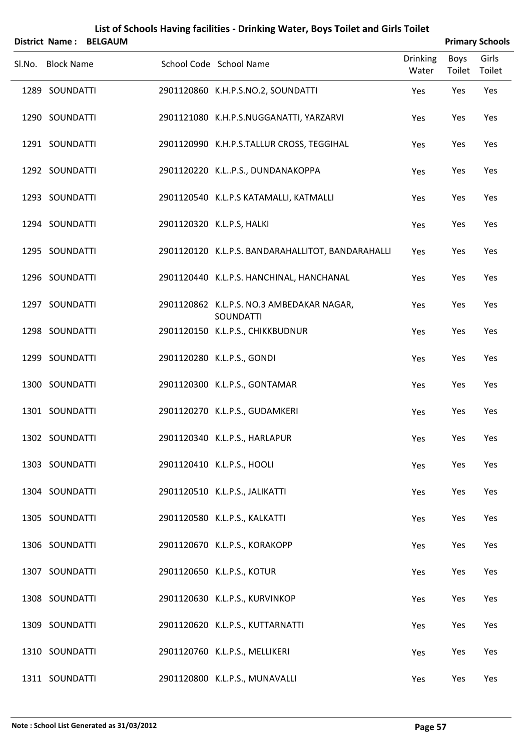| <b>District Name:</b> | <b>BELGAUM</b> |                                                               |                          |                | <b>Primary Schools</b> |
|-----------------------|----------------|---------------------------------------------------------------|--------------------------|----------------|------------------------|
| Sl.No. Block Name     |                | School Code School Name                                       | <b>Drinking</b><br>Water | Boys<br>Toilet | Girls<br>Toilet        |
| 1289 SOUNDATTI        |                | 2901120860 K.H.P.S.NO.2, SOUNDATTI                            | Yes                      | Yes            | Yes                    |
| 1290 SOUNDATTI        |                | 2901121080 K.H.P.S.NUGGANATTI, YARZARVI                       | Yes                      | Yes            | Yes                    |
| 1291 SOUNDATTI        |                | 2901120990 K.H.P.S.TALLUR CROSS, TEGGIHAL                     | Yes                      | Yes            | Yes                    |
| 1292 SOUNDATTI        |                | 2901120220 K.LP.S., DUNDANAKOPPA                              | Yes                      | Yes            | Yes                    |
| 1293 SOUNDATTI        |                | 2901120540 K.L.P.S KATAMALLI, KATMALLI                        | Yes                      | Yes            | Yes                    |
| 1294 SOUNDATTI        |                | 2901120320 K.L.P.S, HALKI                                     | Yes                      | Yes            | Yes                    |
| 1295 SOUNDATTI        |                | 2901120120 K.L.P.S. BANDARAHALLITOT, BANDARAHALLI             | Yes                      | Yes            | Yes                    |
| 1296 SOUNDATTI        |                | 2901120440 K.L.P.S. HANCHINAL, HANCHANAL                      | Yes                      | Yes            | Yes                    |
| 1297 SOUNDATTI        |                | 2901120862 K.L.P.S. NO.3 AMBEDAKAR NAGAR,<br><b>SOUNDATTI</b> | Yes                      | Yes            | Yes                    |
| 1298 SOUNDATTI        |                | 2901120150 K.L.P.S., CHIKKBUDNUR                              | Yes                      | Yes            | Yes                    |
| 1299 SOUNDATTI        |                | 2901120280 K.L.P.S., GONDI                                    | Yes                      | Yes            | Yes                    |
| 1300 SOUNDATTI        |                | 2901120300 K.L.P.S., GONTAMAR                                 | Yes                      | Yes            | Yes                    |
| 1301 SOUNDATTI        |                | 2901120270 K.L.P.S., GUDAMKERI                                | Yes                      | Yes            | Yes                    |
| 1302 SOUNDATTI        |                | 2901120340 K.L.P.S., HARLAPUR                                 | Yes                      | Yes            | Yes                    |
| 1303 SOUNDATTI        |                | 2901120410 K.L.P.S., HOOLI                                    | Yes                      | Yes            | Yes                    |
| 1304 SOUNDATTI        |                | 2901120510 K.L.P.S., JALIKATTI                                | Yes                      | Yes            | Yes                    |
| 1305 SOUNDATTI        |                | 2901120580 K.L.P.S., KALKATTI                                 | Yes                      | Yes            | Yes                    |
| 1306 SOUNDATTI        |                | 2901120670 K.L.P.S., KORAKOPP                                 | Yes                      | Yes            | Yes                    |
| 1307 SOUNDATTI        |                | 2901120650 K.L.P.S., KOTUR                                    | Yes                      | Yes            | Yes                    |
| 1308 SOUNDATTI        |                | 2901120630 K.L.P.S., KURVINKOP                                | Yes                      | Yes            | Yes                    |
| 1309 SOUNDATTI        |                | 2901120620 K.L.P.S., KUTTARNATTI                              | Yes                      | Yes            | Yes                    |
| 1310 SOUNDATTI        |                | 2901120760 K.L.P.S., MELLIKERI                                | Yes                      | Yes            | Yes                    |
| 1311 SOUNDATTI        |                | 2901120800 K.L.P.S., MUNAVALLI                                | Yes                      | Yes            | Yes                    |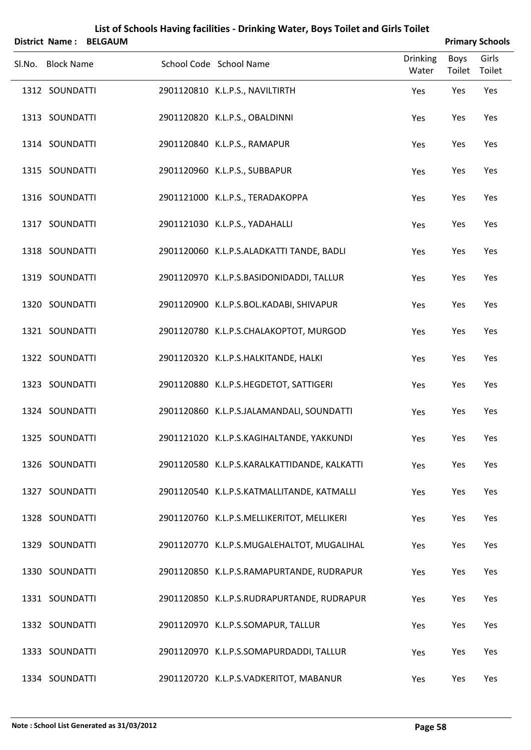|        | District Name:    | <b>BELGAUM</b> |                                              |                          | <b>Primary Schools</b> |                 |
|--------|-------------------|----------------|----------------------------------------------|--------------------------|------------------------|-----------------|
| Sl.No. | <b>Block Name</b> |                | School Code School Name                      | <b>Drinking</b><br>Water | Boys<br>Toilet         | Girls<br>Toilet |
|        | 1312 SOUNDATTI    |                | 2901120810 K.L.P.S., NAVILTIRTH              | Yes                      | Yes                    | Yes             |
|        | 1313 SOUNDATTI    |                | 2901120820 K.L.P.S., OBALDINNI               | Yes                      | Yes                    | Yes             |
|        | 1314 SOUNDATTI    |                | 2901120840 K.L.P.S., RAMAPUR                 | Yes                      | Yes                    | Yes             |
|        | 1315 SOUNDATTI    |                | 2901120960 K.L.P.S., SUBBAPUR                | Yes                      | Yes                    | Yes             |
|        | 1316 SOUNDATTI    |                | 2901121000 K.L.P.S., TERADAKOPPA             | Yes                      | Yes                    | Yes             |
|        | 1317 SOUNDATTI    |                | 2901121030 K.L.P.S., YADAHALLI               | Yes                      | Yes                    | Yes             |
|        | 1318 SOUNDATTI    |                | 2901120060 K.L.P.S.ALADKATTI TANDE, BADLI    | Yes                      | Yes                    | Yes             |
|        | 1319 SOUNDATTI    |                | 2901120970 K.L.P.S.BASIDONIDADDI, TALLUR     | Yes                      | Yes                    | Yes             |
|        | 1320 SOUNDATTI    |                | 2901120900 K.L.P.S.BOL.KADABI, SHIVAPUR      | Yes                      | Yes                    | Yes             |
|        | 1321 SOUNDATTI    |                | 2901120780 K.L.P.S.CHALAKOPTOT, MURGOD       | Yes                      | Yes                    | Yes             |
|        | 1322 SOUNDATTI    |                | 2901120320 K.L.P.S.HALKITANDE, HALKI         | Yes                      | Yes                    | Yes             |
|        | 1323 SOUNDATTI    |                | 2901120880 K.L.P.S.HEGDETOT, SATTIGERI       | Yes                      | Yes                    | Yes             |
|        | 1324 SOUNDATTI    |                | 2901120860 K.L.P.S.JALAMANDALI, SOUNDATTI    | Yes                      | Yes                    | Yes             |
|        | 1325 SOUNDATTI    |                | 2901121020 K.L.P.S.KAGIHALTANDE, YAKKUNDI    | Yes                      | Yes                    | Yes             |
|        | 1326 SOUNDATTI    |                | 2901120580 K.L.P.S.KARALKATTIDANDE, KALKATTI | Yes                      | Yes                    | Yes             |
|        | 1327 SOUNDATTI    |                | 2901120540 K.L.P.S.KATMALLITANDE, KATMALLI   | Yes                      | Yes                    | Yes             |
|        | 1328 SOUNDATTI    |                | 2901120760 K.L.P.S.MELLIKERITOT, MELLIKERI   | Yes                      | Yes                    | Yes             |
|        | 1329 SOUNDATTI    |                | 2901120770 K.L.P.S.MUGALEHALTOT, MUGALIHAL   | Yes                      | Yes                    | Yes             |
|        | 1330 SOUNDATTI    |                | 2901120850 K.L.P.S.RAMAPURTANDE, RUDRAPUR    | Yes                      | Yes                    | Yes             |
|        | 1331 SOUNDATTI    |                | 2901120850 K.L.P.S.RUDRAPURTANDE, RUDRAPUR   | Yes                      | Yes                    | Yes             |
|        | 1332 SOUNDATTI    |                | 2901120970 K.L.P.S.SOMAPUR, TALLUR           | Yes                      | Yes                    | Yes             |
|        | 1333 SOUNDATTI    |                | 2901120970 K.L.P.S.SOMAPURDADDI, TALLUR      | Yes                      | Yes                    | Yes             |
|        | 1334 SOUNDATTI    |                | 2901120720 K.L.P.S.VADKERITOT, MABANUR       | Yes                      | Yes                    | Yes             |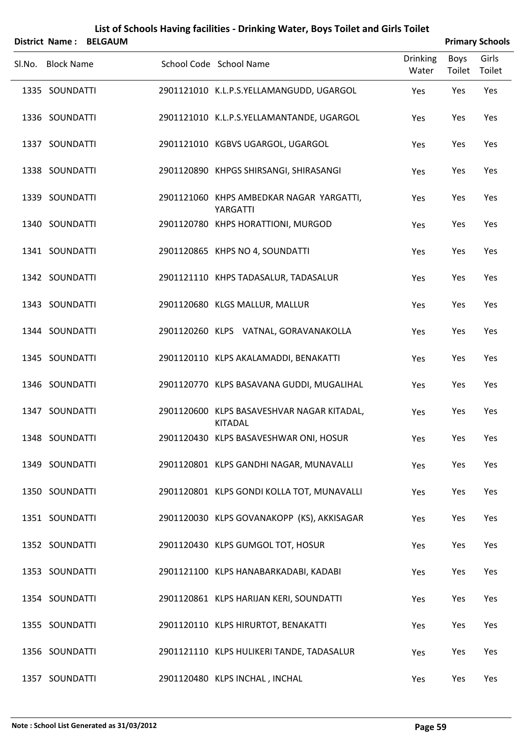|        | District Name: BELGAUM |  |                                                              |                          |                | <b>Primary Schools</b> |  |  |  |  |
|--------|------------------------|--|--------------------------------------------------------------|--------------------------|----------------|------------------------|--|--|--|--|
| Sl.No. | <b>Block Name</b>      |  | School Code School Name                                      | <b>Drinking</b><br>Water | Boys<br>Toilet | Girls<br>Toilet        |  |  |  |  |
|        | 1335 SOUNDATTI         |  | 2901121010 K.L.P.S.YELLAMANGUDD, UGARGOL                     | Yes                      | Yes            | Yes                    |  |  |  |  |
|        | 1336 SOUNDATTI         |  | 2901121010 K.L.P.S.YELLAMANTANDE, UGARGOL                    | Yes                      | Yes            | Yes                    |  |  |  |  |
|        | 1337 SOUNDATTI         |  | 2901121010 KGBVS UGARGOL, UGARGOL                            | Yes                      | Yes            | Yes                    |  |  |  |  |
|        | 1338 SOUNDATTI         |  | 2901120890 KHPGS SHIRSANGI, SHIRASANGI                       | Yes                      | Yes            | Yes                    |  |  |  |  |
|        | 1339 SOUNDATTI         |  | 2901121060 KHPS AMBEDKAR NAGAR YARGATTI,<br>YARGATTI         | Yes                      | Yes            | Yes                    |  |  |  |  |
|        | 1340 SOUNDATTI         |  | 2901120780 KHPS HORATTIONI, MURGOD                           | Yes                      | Yes            | Yes                    |  |  |  |  |
|        | 1341 SOUNDATTI         |  | 2901120865 KHPS NO 4, SOUNDATTI                              | Yes                      | Yes            | Yes                    |  |  |  |  |
|        | 1342 SOUNDATTI         |  | 2901121110 KHPS TADASALUR, TADASALUR                         | Yes                      | Yes            | Yes                    |  |  |  |  |
|        | 1343 SOUNDATTI         |  | 2901120680 KLGS MALLUR, MALLUR                               | Yes                      | Yes            | Yes                    |  |  |  |  |
|        | 1344 SOUNDATTI         |  | 2901120260 KLPS VATNAL, GORAVANAKOLLA                        | Yes                      | Yes            | Yes                    |  |  |  |  |
|        | 1345 SOUNDATTI         |  | 2901120110 KLPS AKALAMADDI, BENAKATTI                        | Yes                      | Yes            | Yes                    |  |  |  |  |
|        | 1346 SOUNDATTI         |  | 2901120770 KLPS BASAVANA GUDDI, MUGALIHAL                    | Yes                      | Yes            | Yes                    |  |  |  |  |
|        | 1347 SOUNDATTI         |  | 2901120600 KLPS BASAVESHVAR NAGAR KITADAL,<br><b>KITADAL</b> | Yes                      | Yes            | Yes                    |  |  |  |  |
|        | 1348 SOUNDATTI         |  | 2901120430 KLPS BASAVESHWAR ONI, HOSUR                       | Yes                      | Yes            | Yes                    |  |  |  |  |
|        | 1349 SOUNDATTI         |  | 2901120801 KLPS GANDHI NAGAR, MUNAVALLI                      | Yes                      | Yes            | Yes                    |  |  |  |  |
|        | 1350 SOUNDATTI         |  | 2901120801 KLPS GONDI KOLLA TOT, MUNAVALLI                   | Yes                      | Yes            | Yes                    |  |  |  |  |
|        | 1351 SOUNDATTI         |  | 2901120030 KLPS GOVANAKOPP (KS), AKKISAGAR                   | Yes                      | Yes            | Yes                    |  |  |  |  |
|        | 1352 SOUNDATTI         |  | 2901120430 KLPS GUMGOL TOT, HOSUR                            | Yes                      | Yes            | Yes                    |  |  |  |  |
|        | 1353 SOUNDATTI         |  | 2901121100 KLPS HANABARKADABI, KADABI                        | Yes                      | Yes            | Yes                    |  |  |  |  |
|        | 1354 SOUNDATTI         |  | 2901120861 KLPS HARIJAN KERI, SOUNDATTI                      | Yes                      | Yes            | Yes                    |  |  |  |  |
|        | 1355 SOUNDATTI         |  | 2901120110 KLPS HIRURTOT, BENAKATTI                          | Yes                      | Yes            | Yes                    |  |  |  |  |
|        | 1356 SOUNDATTI         |  | 2901121110 KLPS HULIKERI TANDE, TADASALUR                    | Yes                      | Yes            | Yes                    |  |  |  |  |
|        | 1357 SOUNDATTI         |  | 2901120480 KLPS INCHAL, INCHAL                               | Yes                      | Yes            | Yes                    |  |  |  |  |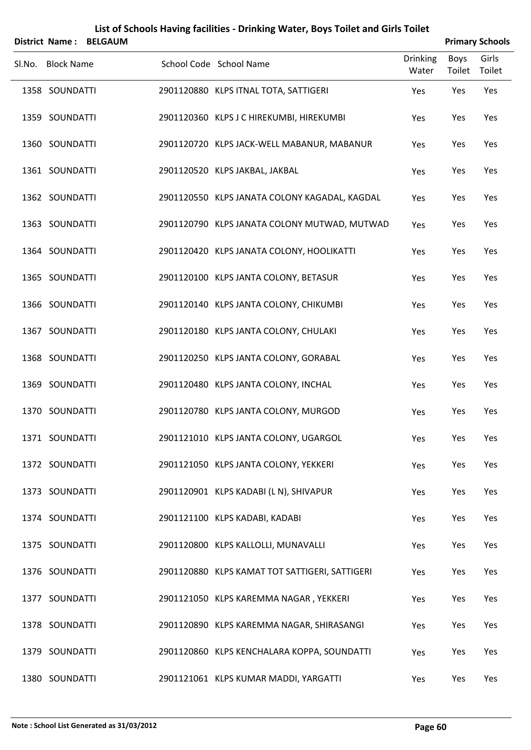|        | <b>District Name:</b> | <b>BELGAUM</b> |                                                |                          |                       | <b>Primary Schools</b> |
|--------|-----------------------|----------------|------------------------------------------------|--------------------------|-----------------------|------------------------|
| SI.No. | <b>Block Name</b>     |                | School Code School Name                        | <b>Drinking</b><br>Water | <b>Boys</b><br>Toilet | Girls<br>Toilet        |
|        | 1358 SOUNDATTI        |                | 2901120880 KLPS ITNAL TOTA, SATTIGERI          | Yes                      | Yes                   | Yes                    |
|        | 1359 SOUNDATTI        |                | 2901120360 KLPS J C HIREKUMBI, HIREKUMBI       | Yes                      | Yes                   | Yes                    |
|        | 1360 SOUNDATTI        |                | 2901120720 KLPS JACK-WELL MABANUR, MABANUR     | Yes                      | Yes                   | Yes                    |
|        | 1361 SOUNDATTI        |                | 2901120520 KLPS JAKBAL, JAKBAL                 | Yes                      | Yes                   | Yes                    |
|        | 1362 SOUNDATTI        |                | 2901120550 KLPS JANATA COLONY KAGADAL, KAGDAL  | Yes                      | Yes                   | Yes                    |
|        | 1363 SOUNDATTI        |                | 2901120790 KLPS JANATA COLONY MUTWAD, MUTWAD   | Yes                      | Yes                   | Yes                    |
|        | 1364 SOUNDATTI        |                | 2901120420 KLPS JANATA COLONY, HOOLIKATTI      | Yes                      | Yes                   | Yes                    |
|        | 1365 SOUNDATTI        |                | 2901120100 KLPS JANTA COLONY, BETASUR          | Yes                      | Yes                   | Yes                    |
|        | 1366 SOUNDATTI        |                | 2901120140 KLPS JANTA COLONY, CHIKUMBI         | Yes                      | Yes                   | Yes                    |
|        | 1367 SOUNDATTI        |                | 2901120180 KLPS JANTA COLONY, CHULAKI          | Yes                      | Yes                   | Yes                    |
|        | 1368 SOUNDATTI        |                | 2901120250 KLPS JANTA COLONY, GORABAL          | Yes                      | Yes                   | Yes                    |
|        | 1369 SOUNDATTI        |                | 2901120480 KLPS JANTA COLONY, INCHAL           | Yes                      | Yes                   | Yes                    |
|        | 1370 SOUNDATTI        |                | 2901120780 KLPS JANTA COLONY, MURGOD           | Yes                      | Yes                   | Yes                    |
|        | 1371 SOUNDATTI        |                | 2901121010 KLPS JANTA COLONY, UGARGOL          | Yes                      | Yes                   | Yes                    |
|        | 1372 SOUNDATTI        |                | 2901121050 KLPS JANTA COLONY, YEKKERI          | Yes                      | Yes                   | Yes                    |
|        | 1373 SOUNDATTI        |                | 2901120901 KLPS KADABI (L N), SHIVAPUR         | Yes                      | Yes                   | Yes                    |
|        | 1374 SOUNDATTI        |                | 2901121100 KLPS KADABI, KADABI                 | Yes                      | Yes                   | Yes                    |
|        | 1375 SOUNDATTI        |                | 2901120800 KLPS KALLOLLI, MUNAVALLI            | Yes                      | Yes                   | Yes                    |
|        | 1376 SOUNDATTI        |                | 2901120880 KLPS KAMAT TOT SATTIGERI, SATTIGERI | Yes                      | Yes                   | Yes                    |
|        | 1377 SOUNDATTI        |                | 2901121050 KLPS KAREMMA NAGAR, YEKKERI         | Yes                      | Yes                   | Yes                    |
|        | 1378 SOUNDATTI        |                | 2901120890 KLPS KAREMMA NAGAR, SHIRASANGI      | Yes                      | Yes                   | Yes                    |
|        | 1379 SOUNDATTI        |                | 2901120860 KLPS KENCHALARA KOPPA, SOUNDATTI    | Yes                      | Yes                   | Yes                    |
|        | 1380 SOUNDATTI        |                | 2901121061 KLPS KUMAR MADDI, YARGATTI          | Yes                      | Yes                   | Yes                    |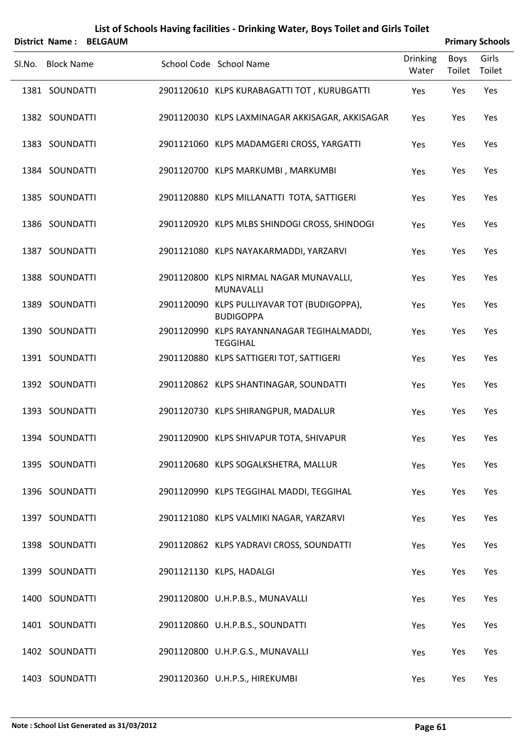|        | <b>District Name:</b> | <b>BELGAUM</b> |            | List of Schools Having facilities - Drinking Water, Boys Toilet and Girls Toilet |                   |                       | <b>Primary Schools</b> |
|--------|-----------------------|----------------|------------|----------------------------------------------------------------------------------|-------------------|-----------------------|------------------------|
| Sl.No. | <b>Block Name</b>     |                |            | School Code School Name                                                          | Drinking<br>Water | <b>Boys</b><br>Toilet | Girls<br>Toilet        |
|        | 1381 SOUNDATTI        |                |            | 2901120610 KLPS KURABAGATTI TOT, KURUBGATTI                                      | Yes               | Yes                   | Yes                    |
|        | 1382 SOUNDATTI        |                |            | 2901120030 KLPS LAXMINAGAR AKKISAGAR, AKKISAGAR                                  | Yes               | Yes                   | Yes                    |
|        | 1383 SOUNDATTI        |                |            | 2901121060 KLPS MADAMGERI CROSS, YARGATTI                                        | Yes               | Yes                   | Yes                    |
|        | 1384 SOUNDATTI        |                |            | 2901120700 KLPS MARKUMBI, MARKUMBI                                               | Yes               | Yes                   | Yes                    |
|        | 1385 SOUNDATTI        |                |            | 2901120880 KLPS MILLANATTI TOTA, SATTIGERI                                       | Yes               | Yes                   | Yes                    |
|        | 1386 SOUNDATTI        |                |            | 2901120920 KLPS MLBS SHINDOGI CROSS, SHINDOGI                                    | Yes               | Yes                   | Yes                    |
|        | 1387 SOUNDATTI        |                |            | 2901121080 KLPS NAYAKARMADDI, YARZARVI                                           | Yes               | Yes                   | Yes                    |
|        | 1388 SOUNDATTI        |                |            | 2901120800 KLPS NIRMAL NAGAR MUNAVALLI,<br>MUNAVALLI                             | Yes               | Yes                   | Yes                    |
|        | 1389 SOUNDATTI        |                | 2901120090 | KLPS PULLIYAVAR TOT (BUDIGOPPA),<br><b>BUDIGOPPA</b>                             | Yes               | Yes                   | Yes                    |
|        | 1390 SOUNDATTI        |                |            | 2901120990 KLPS RAYANNANAGAR TEGIHALMADDI,<br><b>TEGGIHAL</b>                    | Yes               | Yes                   | Yes                    |
|        | 1391 SOUNDATTI        |                |            | 2901120880 KLPS SATTIGERI TOT, SATTIGERI                                         | Yes               | Yes                   | Yes                    |
|        | 1392 SOUNDATTI        |                |            | 2901120862 KLPS SHANTINAGAR, SOUNDATTI                                           | Yes               | Yes                   | Yes                    |
|        | 1393 SOUNDATTI        |                |            | 2901120730 KLPS SHIRANGPUR, MADALUR                                              | Yes               | Yes                   | Yes                    |
|        | 1394 SOUNDATTI        |                |            | 2901120900 KLPS SHIVAPUR TOTA, SHIVAPUR                                          | Yes               | Yes                   | Yes                    |
|        | 1395 SOUNDATTI        |                |            | 2901120680 KLPS SOGALKSHETRA, MALLUR                                             | Yes               | Yes                   | Yes                    |
|        | 1396 SOUNDATTI        |                |            | 2901120990 KLPS TEGGIHAL MADDI, TEGGIHAL                                         | Yes               | Yes                   | Yes                    |
|        | 1397 SOUNDATTI        |                |            | 2901121080 KLPS VALMIKI NAGAR, YARZARVI                                          | Yes               | Yes                   | Yes                    |
|        | 1398 SOUNDATTI        |                |            | 2901120862 KLPS YADRAVI CROSS, SOUNDATTI                                         | Yes               | Yes                   | Yes                    |
|        | 1399 SOUNDATTI        |                |            | 2901121130 KLPS, HADALGI                                                         | Yes               | Yes                   | Yes                    |
|        | 1400 SOUNDATTI        |                |            | 2901120800 U.H.P.B.S., MUNAVALLI                                                 | Yes               | Yes                   | Yes                    |
|        | 1401 SOUNDATTI        |                |            | 2901120860 U.H.P.B.S., SOUNDATTI                                                 | Yes               | Yes                   | Yes                    |
|        | 1402 SOUNDATTI        |                |            | 2901120800 U.H.P.G.S., MUNAVALLI                                                 | Yes               | Yes                   | Yes                    |
|        | 1403 SOUNDATTI        |                |            | 2901120360 U.H.P.S., HIREKUMBI                                                   | Yes               | Yes                   | Yes                    |